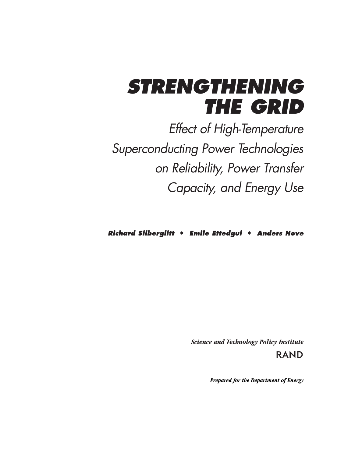# *STRENGTHENING THE GRID*

Effect of High-Temperature Superconducting Power Technologies on Reliability, Power Transfer Capacity, and Energy Use

*Richard Silberglitt Emile Ettedgui Anders Hove*

**RAND** *Science and Technology Policy Institute*

*Prepared for the Department of Energy*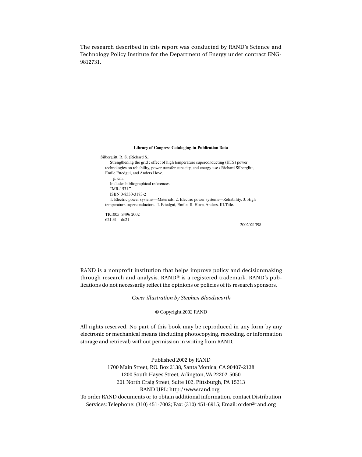The research described in this report was conducted by RAND's Science and Technology Policy Institute for the Department of Energy under contract ENG-9812731.

#### **Library of Congress Cataloging-in-Publication Data**

Silberglitt, R. S. (Richard S.) Strengthening the grid : effect of high temperature superconducting (HTS) power technologies on reliability, power transfer capacity, and energy use / Richard Silberglitt, Emile Ettedgui, and Anders Hove. p. cm. Includes bibliographical references. "MR-1531." ISBN 0-8330-3173-2 1. Electric power systems—Materials. 2. Electric power systems—Reliability. 3. High temperature superconductors. I. Ettedgui, Emile. II. Hove, Anders. III.Title.

TK1005 .S496 2002 621.31—dc21

2002021398

RAND is a nonprofit institution that helps improve policy and decisionmaking through research and analysis. RAND® is a registered trademark. RAND's publications do not necessarily reflect the opinions or policies of its research sponsors.

*Cover illustration by Stephen Bloodsworth*

© Copyright 2002 RAND

All rights reserved. No part of this book may be reproduced in any form by any electronic or mechanical means (including photocopying, recording, or information storage and retrieval) without permission in writing from RAND.

Published 2002 by RAND 1700 Main Street, P.O. Box 2138, Santa Monica, CA 90407-2138 1200 South Hayes Street, Arlington, VA 22202-5050 201 North Craig Street, Suite 102, Pittsburgh, PA 15213 RAND URL: http://www.rand.org To order RAND documents or to obtain additional information, contact Distribution Services: Telephone: (310) 451-7002; Fax: (310) 451-6915; Email: order@rand.org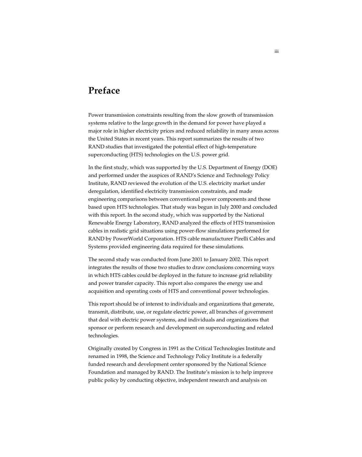### **Preface**

Power transmission constraints resulting from the slow growth of transmission systems relative to the large growth in the demand for power have played a major role in higher electricity prices and reduced reliability in many areas across the United States in recent years. This report summarizes the results of two RAND studies that investigated the potential effect of high-temperature superconducting (HTS) technologies on the U.S. power grid.

In the first study, which was supported by the U.S. Department of Energy (DOE) and performed under the auspices of RAND's Science and Technology Policy Institute, RAND reviewed the evolution of the U.S. electricity market under deregulation, identified electricity transmission constraints, and made engineering comparisons between conventional power components and those based upon HTS technologies. That study was begun in July 2000 and concluded with this report. In the second study, which was supported by the National Renewable Energy Laboratory, RAND analyzed the effects of HTS transmission cables in realistic grid situations using power-flow simulations performed for RAND by PowerWorld Corporation. HTS cable manufacturer Pirelli Cables and Systems provided engineering data required for these simulations.

The second study was conducted from June 2001 to January 2002. This report integrates the results of those two studies to draw conclusions concerning ways in which HTS cables could be deployed in the future to increase grid reliability and power transfer capacity. This report also compares the energy use and acquisition and operating costs of HTS and conventional power technologies.

This report should be of interest to individuals and organizations that generate, transmit, distribute, use, or regulate electric power, all branches of government that deal with electric power systems, and individuals and organizations that sponsor or perform research and development on superconducting and related technologies.

Originally created by Congress in 1991 as the Critical Technologies Institute and renamed in 1998, the Science and Technology Policy Institute is a federally funded research and development center sponsored by the National Science Foundation and managed by RAND. The Institute's mission is to help improve public policy by conducting objective, independent research and analysis on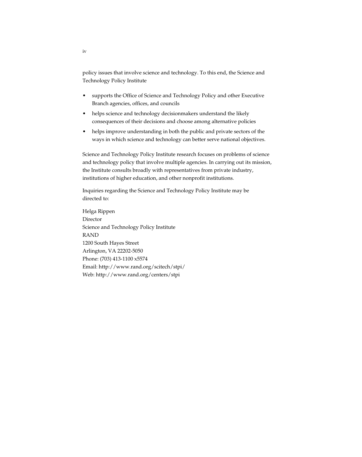policy issues that involve science and technology. To this end, the Science and Technology Policy Institute

- supports the Office of Science and Technology Policy and other Executive Branch agencies, offices, and councils
- helps science and technology decisionmakers understand the likely consequences of their decisions and choose among alternative policies
- helps improve understanding in both the public and private sectors of the ways in which science and technology can better serve national objectives.

Science and Technology Policy Institute research focuses on problems of science and technology policy that involve multiple agencies. In carrying out its mission, the Institute consults broadly with representatives from private industry, institutions of higher education, and other nonprofit institutions.

Inquiries regarding the Science and Technology Policy Institute may be directed to:

Helga Rippen Director Science and Technology Policy Institute RAND 1200 South Hayes Street Arlington, VA 22202-5050 Phone: (703) 413-1100 x5574 Email: http://www.rand.org/scitech/stpi/ Web: http://www.rand.org/centers/stpi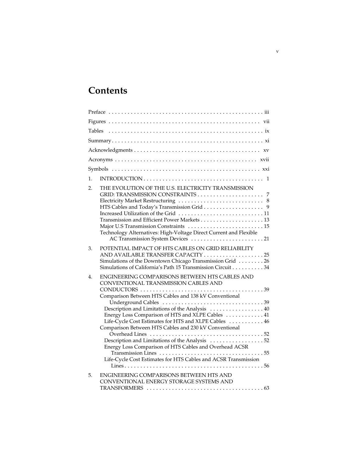## **Contents**

| 1.                                                                                                                                                                                                                                                                                                                                                                                                                                                                                                                                                |
|---------------------------------------------------------------------------------------------------------------------------------------------------------------------------------------------------------------------------------------------------------------------------------------------------------------------------------------------------------------------------------------------------------------------------------------------------------------------------------------------------------------------------------------------------|
| THE EVOLUTION OF THE U.S. ELECTRICITY TRANSMISSION<br>2.<br>Increased Utilization of the Grid 11<br>Major U.S Transmission Constraints  15<br>Technology Alternatives: High-Voltage Direct Current and Flexible                                                                                                                                                                                                                                                                                                                                   |
| POTENTIAL IMPACT OF HTS CABLES ON GRID RELIABILITY<br>3.<br>AND AVAILABLE TRANSFER CAPACITY 25<br>Simulations of the Downtown Chicago Transmission Grid 26<br>Simulations of California's Path 15 Transmission Circuit 34                                                                                                                                                                                                                                                                                                                         |
| ENGINEERING COMPARISONS BETWEEN HTS CABLES AND<br>4.<br>CONVENTIONAL TRANSMISSION CABLES AND<br>$\ldots \ldots 39$<br>CONDUCTORS<br>Comparison Between HTS Cables and 138 kV Conventional<br>Description and Limitations of the Analysis  40<br>Energy Loss Comparison of HTS and XLPE Cables  41<br>Life-Cycle Cost Estimates for HTS and XLPE Cables  46<br>Comparison Between HTS Cables and 230 kV Conventional<br>Overhead Lines<br>Description and Limitations of the Analysis 52<br>Energy Loss Comparison of HTS Cables and Overhead ACSR |
| Life-Cycle Cost Estimates for HTS Cables and ACSR Transmission                                                                                                                                                                                                                                                                                                                                                                                                                                                                                    |
| ENGINEERING COMPARISONS BETWEEN HTS AND<br>5.<br>CONVENTIONAL ENERGY STORAGE SYSTEMS AND                                                                                                                                                                                                                                                                                                                                                                                                                                                          |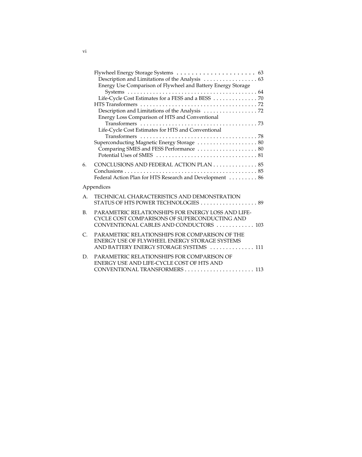| TECHNICAL CHARACTERISTICS AND DEMONSTRATION |                                                                                                                                                                                                                                                                                                                                                                                                                                                                                                                                                                                                                                                                                                                                       |
|---------------------------------------------|---------------------------------------------------------------------------------------------------------------------------------------------------------------------------------------------------------------------------------------------------------------------------------------------------------------------------------------------------------------------------------------------------------------------------------------------------------------------------------------------------------------------------------------------------------------------------------------------------------------------------------------------------------------------------------------------------------------------------------------|
|                                             |                                                                                                                                                                                                                                                                                                                                                                                                                                                                                                                                                                                                                                                                                                                                       |
|                                             |                                                                                                                                                                                                                                                                                                                                                                                                                                                                                                                                                                                                                                                                                                                                       |
|                                             |                                                                                                                                                                                                                                                                                                                                                                                                                                                                                                                                                                                                                                                                                                                                       |
|                                             |                                                                                                                                                                                                                                                                                                                                                                                                                                                                                                                                                                                                                                                                                                                                       |
|                                             |                                                                                                                                                                                                                                                                                                                                                                                                                                                                                                                                                                                                                                                                                                                                       |
|                                             |                                                                                                                                                                                                                                                                                                                                                                                                                                                                                                                                                                                                                                                                                                                                       |
|                                             |                                                                                                                                                                                                                                                                                                                                                                                                                                                                                                                                                                                                                                                                                                                                       |
|                                             |                                                                                                                                                                                                                                                                                                                                                                                                                                                                                                                                                                                                                                                                                                                                       |
| PARAMETRIC RELATIONSHIPS FOR COMPARISON OF  |                                                                                                                                                                                                                                                                                                                                                                                                                                                                                                                                                                                                                                                                                                                                       |
| ENERGY USE AND LIFE-CYCLE COST OF HTS AND   |                                                                                                                                                                                                                                                                                                                                                                                                                                                                                                                                                                                                                                                                                                                                       |
|                                             |                                                                                                                                                                                                                                                                                                                                                                                                                                                                                                                                                                                                                                                                                                                                       |
|                                             | Description and Limitations of the Analysis  63<br>Energy Use Comparison of Flywheel and Battery Energy Storage<br>Energy Loss Comparison of HTS and Conventional<br>Life-Cycle Cost Estimates for HTS and Conventional<br>Superconducting Magnetic Energy Storage  80<br>Comparing SMES and FESS Performance  80<br>CONCLUSIONS AND FEDERAL ACTION PLAN 85<br>Federal Action Plan for HTS Research and Development  86<br>Appendices<br>PARAMETRIC RELATIONSHIPS FOR ENERGY LOSS AND LIFE-<br>CYCLE COST COMPARISONS OF SUPERCONDUCTING AND<br>CONVENTIONAL CABLES AND CONDUCTORS  103<br>PARAMETRIC RELATIONSHIPS FOR COMPARISON OF THE<br>ENERGY USE OF FLYWHEEL ENERGY STORAGE SYSTEMS<br>AND BATTERY ENERGY STORAGE SYSTEMS  111 |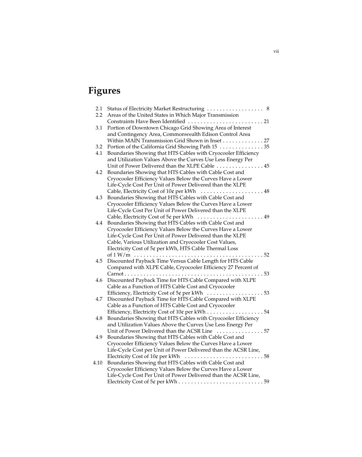# **Figures**

| 2.1              |                                                                                                                 |
|------------------|-----------------------------------------------------------------------------------------------------------------|
| $2.2\phantom{0}$ | Areas of the United States in Which Major Transmission                                                          |
|                  | Constraints Have Been Identified<br>$\ldots$ 21                                                                 |
| 3.1              | Portion of Downtown Chicago Grid Showing Area of Interest                                                       |
|                  | and Contingency Area, Commonwealth Edison Control Area                                                          |
|                  | Within MAIN Transmission Grid Shown in Inset 27                                                                 |
| 3.2              | Portion of the California Grid Showing Path 15 35                                                               |
| 4.1              | Boundaries Showing that HTS Cables with Cryocooler Efficiency                                                   |
|                  | and Utilization Values Above the Curves Use Less Energy Per                                                     |
|                  | Unit of Power Delivered than the XLPE Cable  45                                                                 |
| 4.2              | Boundaries Showing that HTS Cables with Cable Cost and                                                          |
|                  | Cryocooler Efficiency Values Below the Curves Have a Lower                                                      |
|                  | Life-Cycle Cost Per Unit of Power Delivered than the XLPE                                                       |
|                  | Cable, Electricity Cost of 10¢ per kWh  48                                                                      |
| 4.3              | Boundaries Showing that HTS Cables with Cable Cost and                                                          |
|                  | Cryocooler Efficiency Values Below the Curves Have a Lower                                                      |
|                  | Life-Cycle Cost Per Unit of Power Delivered than the XLPE                                                       |
|                  | Cable, Electricity Cost of 5¢ per kWh  49                                                                       |
| 4.4              | Boundaries Showing that HTS Cables with Cable Cost and                                                          |
|                  | Cryocooler Efficiency Values Below the Curves Have a Lower                                                      |
|                  | Life-Cycle Cost Per Unit of Power Delivered than the XLPE                                                       |
|                  | Cable, Various Utilization and Cryocooler Cost Values,                                                          |
|                  | Electricity Cost of 5¢ per kWh, HTS Cable Thermal Loss                                                          |
|                  | of $1 \,\mathrm{W/m}$<br>$\ldots$ 52                                                                            |
| 4.5              | Discounted Payback Time Versus Cable Length for HTS Cable                                                       |
|                  | Compared with XLPE Cable, Cryocooler Efficiency 27 Percent of                                                   |
|                  | $Carnot \ldots \ldots \ldots$<br>$\ldots$ 53<br>.                                                               |
| 4.6              | Discounted Payback Time for HTS Cable Compared with XLPE                                                        |
|                  | Cable as a Function of HTS Cable Cost and Cryocooler                                                            |
|                  | Efficiency, Electricity Cost of 5¢ per kWh<br>. 53                                                              |
| 4.7              | Discounted Payback Time for HTS Cable Compared with XLPE                                                        |
|                  | Cable as a Function of HTS Cable Cost and Cryocooler                                                            |
|                  | Efficiency, Electricity Cost of 10¢ per kWh 54<br>Boundaries Showing that HTS Cables with Cryocooler Efficiency |
| 4.8              | and Utilization Values Above the Curves Use Less Energy Per                                                     |
|                  | Unit of Power Delivered than the ACSR Line<br>$\ldots 57$                                                       |
| 4.9              | Boundaries Showing that HTS Cables with Cable Cost and                                                          |
|                  | Cryocooler Efficiency Values Below the Curves Have a Lower                                                      |
|                  | Life-Cycle Cost per Unit of Power Delivered than the ACSR Line,                                                 |
|                  | Electricity Cost of 10¢ per kWh                                                                                 |
| 4.10             | Boundaries Showing that HTS Cables with Cable Cost and                                                          |
|                  | Cryocooler Efficiency Values Below the Curves Have a Lower                                                      |
|                  | Life-Cycle Cost Per Unit of Power Delivered than the ACSR Line,                                                 |
|                  |                                                                                                                 |
|                  |                                                                                                                 |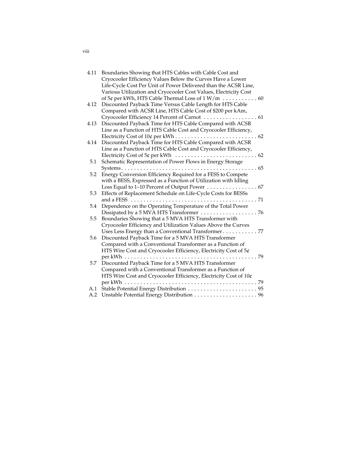| Cryocooler Efficiency Values Below the Curves Have a Lower<br>Life-Cycle Cost Per Unit of Power Delivered than the ACSR Line,<br>Various Utilization and Cryocooler Cost Values, Electricity Cost<br>of 5¢ per kWh, HTS Cable Thermal Loss of 1 W/m  60<br>Discounted Payback Time Versus Cable Length for HTS Cable<br>Compared with ACSR Line, HTS Cable Cost of \$200 per kAm, |
|-----------------------------------------------------------------------------------------------------------------------------------------------------------------------------------------------------------------------------------------------------------------------------------------------------------------------------------------------------------------------------------|
|                                                                                                                                                                                                                                                                                                                                                                                   |
|                                                                                                                                                                                                                                                                                                                                                                                   |
|                                                                                                                                                                                                                                                                                                                                                                                   |
|                                                                                                                                                                                                                                                                                                                                                                                   |
|                                                                                                                                                                                                                                                                                                                                                                                   |
|                                                                                                                                                                                                                                                                                                                                                                                   |
| Cryocooler Efficiency 14 Percent of Carnot  61                                                                                                                                                                                                                                                                                                                                    |
| Discounted Payback Time for HTS Cable Compared with ACSR                                                                                                                                                                                                                                                                                                                          |
| Line as a Function of HTS Cable Cost and Cryocooler Efficiency,                                                                                                                                                                                                                                                                                                                   |
|                                                                                                                                                                                                                                                                                                                                                                                   |
| Discounted Payback Time for HTS Cable Compared with ACSR                                                                                                                                                                                                                                                                                                                          |
| Line as a Function of HTS Cable Cost and Cryocooler Efficiency,                                                                                                                                                                                                                                                                                                                   |
|                                                                                                                                                                                                                                                                                                                                                                                   |
| Schematic Representation of Power Flows in Energy Storage                                                                                                                                                                                                                                                                                                                         |
|                                                                                                                                                                                                                                                                                                                                                                                   |
| Energy Conversion Efficiency Required for a FESS to Compete                                                                                                                                                                                                                                                                                                                       |
| with a BESS, Expressed as a Function of Utilization with Idling                                                                                                                                                                                                                                                                                                                   |
| Loss Equal to 1-10 Percent of Output Power  67                                                                                                                                                                                                                                                                                                                                    |
| Effects of Replacement Schedule on Life-Cycle Costs for BESSs                                                                                                                                                                                                                                                                                                                     |
|                                                                                                                                                                                                                                                                                                                                                                                   |
| Dependence on the Operating Temperature of the Total Power                                                                                                                                                                                                                                                                                                                        |
| 76                                                                                                                                                                                                                                                                                                                                                                                |
| Boundaries Showing that a 5 MVA HTS Transformer with                                                                                                                                                                                                                                                                                                                              |
| Cryocooler Efficiency and Utilization Values Above the Curves                                                                                                                                                                                                                                                                                                                     |
| Uses Less Energy than a Conventional Transformer<br>77                                                                                                                                                                                                                                                                                                                            |
| Discounted Payback Time for a 5 MVA HTS Transformer                                                                                                                                                                                                                                                                                                                               |
| Compared with a Conventional Transformer as a Function of                                                                                                                                                                                                                                                                                                                         |
| HTS Wire Cost and Cryocooler Efficiency, Electricity Cost of 5¢                                                                                                                                                                                                                                                                                                                   |
| 79                                                                                                                                                                                                                                                                                                                                                                                |
| Discounted Payback Time for a 5 MVA HTS Transformer                                                                                                                                                                                                                                                                                                                               |
| Compared with a Conventional Transformer as a Function of                                                                                                                                                                                                                                                                                                                         |
| HTS Wire Cost and Cryocooler Efficiency, Electricity Cost of 10¢                                                                                                                                                                                                                                                                                                                  |
| $\ldots$ 79                                                                                                                                                                                                                                                                                                                                                                       |
|                                                                                                                                                                                                                                                                                                                                                                                   |
|                                                                                                                                                                                                                                                                                                                                                                                   |
|                                                                                                                                                                                                                                                                                                                                                                                   |

viii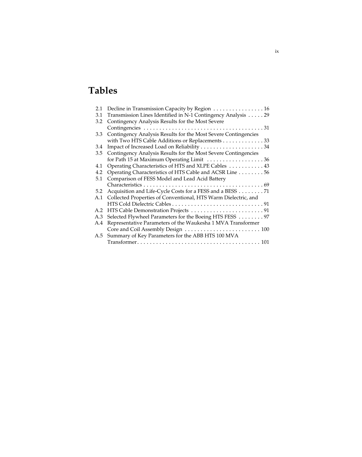# **Tables**

| 2.1 | Decline in Transmission Capacity by Region  16                 |
|-----|----------------------------------------------------------------|
| 3.1 | Transmission Lines Identified in N-1 Contingency Analysis 29   |
| 3.2 | Contingency Analysis Results for the Most Severe               |
|     |                                                                |
| 3.3 | Contingency Analysis Results for the Most Severe Contingencies |
|     | with Two HTS Cable Additions or Replacements 33                |
| 3.4 |                                                                |
| 3.5 | Contingency Analysis Results for the Most Severe Contingencies |
|     | for Path 15 at Maximum Operating Limit 36                      |
| 4.1 | Operating Characteristics of HTS and XLPE Cables  43           |
| 4.2 | Operating Characteristics of HTS Cable and ACSR Line 56        |
| 5.1 | Comparison of FESS Model and Lead Acid Battery                 |
|     |                                                                |
| 5.2 | Acquisition and Life-Cycle Costs for a FESS and a BESS 71      |
| A.1 | Collected Properties of Conventional, HTS Warm Dielectric, and |
|     |                                                                |
| A.2 |                                                                |
| A.3 | Selected Flywheel Parameters for the Boeing HTS FESS 97        |
| A.4 | Representative Parameters of the Waukesha 1 MVA Transformer    |
|     |                                                                |
| A.5 | Summary of Key Parameters for the ABB HTS 100 MVA              |
|     |                                                                |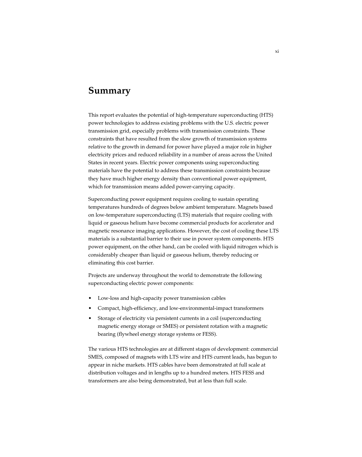### **Summary**

This report evaluates the potential of high-temperature superconducting (HTS) power technologies to address existing problems with the U.S. electric power transmission grid, especially problems with transmission constraints. These constraints that have resulted from the slow growth of transmission systems relative to the growth in demand for power have played a major role in higher electricity prices and reduced reliability in a number of areas across the United States in recent years. Electric power components using superconducting materials have the potential to address these transmission constraints because they have much higher energy density than conventional power equipment, which for transmission means added power-carrying capacity.

Superconducting power equipment requires cooling to sustain operating temperatures hundreds of degrees below ambient temperature. Magnets based on low-temperature superconducting (LTS) materials that require cooling with liquid or gaseous helium have become commercial products for accelerator and magnetic resonance imaging applications. However, the cost of cooling these LTS materials is a substantial barrier to their use in power system components. HTS power equipment, on the other hand, can be cooled with liquid nitrogen which is considerably cheaper than liquid or gaseous helium, thereby reducing or eliminating this cost barrier.

Projects are underway throughout the world to demonstrate the following superconducting electric power components:

- Low-loss and high-capacity power transmission cables
- Compact, high-efficiency, and low-environmental-impact transformers
- Storage of electricity via persistent currents in a coil (superconducting magnetic energy storage or SMES) or persistent rotation with a magnetic bearing (flywheel energy storage systems or FESS).

The various HTS technologies are at different stages of development: commercial SMES, composed of magnets with LTS wire and HTS current leads, has begun to appear in niche markets. HTS cables have been demonstrated at full scale at distribution voltages and in lengths up to a hundred meters. HTS FESS and transformers are also being demonstrated, but at less than full scale.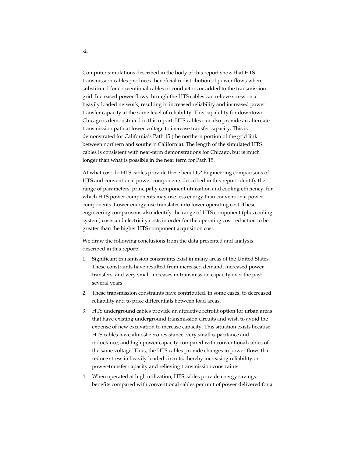Computer simulations described in the body of this report show that HTS transmission cables produce a beneficial redistribution of power flows when substituted for conventional cables or conductors or added to the transmission grid. Increased power flows through the HTS cables can relieve stress on a heavily loaded network, resulting in increased reliability and increased power transfer capacity at the same level of reliability. This capability for downtown Chicago is demonstrated in this report. HTS cables can also provide an alternate transmission path at lower voltage to increase transfer capacity. This is demonstrated for California's Path 15 (the northern portion of the grid link between northern and southern California). The length of the simulated HTS cables is consistent with near-term demonstrations for Chicago, but is much longer than what is possible in the near term for Path 15.

At what cost do HTS cables provide these benefits? Engineering comparisons of HTS and conventional power components described in this report identify the range of parameters, principally component utilization and cooling efficiency, for which HTS power components may use less energy than conventional power components. Lower energy use translates into lower operating cost. These engineering comparisons also identify the range of HTS component (plus cooling system) costs and electricity costs in order for the operating cost reduction to be greater than the higher HTS component acquisition cost.

We draw the following conclusions from the data presented and analysis described in this report:

- 1. Significant transmission constraints exist in many areas of the United States. These constraints have resulted from increased demand, increased power transfers, and very small increases in transmission capacity over the past several years.
- 2. These transmission constraints have contributed, in some cases, to decreased reliability and to price differentials between load areas.
- 3. HTS underground cables provide an attractive retrofit option for urban areas that have existing underground transmission circuits and wish to avoid the expense of new excavation to increase capacity. This situation exists because HTS cables have almost zero resistance, very small capacitance and inductance, and high power capacity compared with conventional cables of the same voltage. Thus, the HTS cables provide changes in power flows that reduce stress in heavily loaded circuits, thereby increasing reliability or power-transfer capacity and relieving transmission constraints.
- 4. When operated at high utilization, HTS cables provide energy savings benefits compared with conventional cables per unit of power delivered for a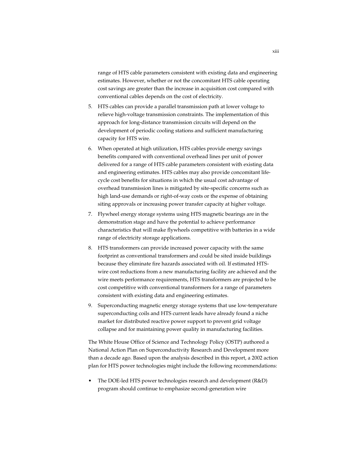range of HTS cable parameters consistent with existing data and engineering estimates. However, whether or not the concomitant HTS cable operating cost savings are greater than the increase in acquisition cost compared with conventional cables depends on the cost of electricity.

- 5. HTS cables can provide a parallel transmission path at lower voltage to relieve high-voltage transmission constraints. The implementation of this approach for long-distance transmission circuits will depend on the development of periodic cooling stations and sufficient manufacturing capacity for HTS wire.
- 6. When operated at high utilization, HTS cables provide energy savings benefits compared with conventional overhead lines per unit of power delivered for a range of HTS cable parameters consistent with existing data and engineering estimates. HTS cables may also provide concomitant lifecycle cost benefits for situations in which the usual cost advantage of overhead transmission lines is mitigated by site-specific concerns such as high land-use demands or right-of-way costs or the expense of obtaining siting approvals or increasing power transfer capacity at higher voltage.
- 7. Flywheel energy storage systems using HTS magnetic bearings are in the demonstration stage and have the potential to achieve performance characteristics that will make flywheels competitive with batteries in a wide range of electricity storage applications.
- 8. HTS transformers can provide increased power capacity with the same footprint as conventional transformers and could be sited inside buildings because they eliminate fire hazards associated with oil. If estimated HTSwire cost reductions from a new manufacturing facility are achieved and the wire meets performance requirements, HTS transformers are projected to be cost competitive with conventional transformers for a range of parameters consistent with existing data and engineering estimates.
- 9. Superconducting magnetic energy storage systems that use low-temperature superconducting coils and HTS current leads have already found a niche market for distributed reactive power support to prevent grid voltage collapse and for maintaining power quality in manufacturing facilities.

The White House Office of Science and Technology Policy (OSTP) authored a National Action Plan on Superconductivity Research and Development more than a decade ago. Based upon the analysis described in this report, a 2002 action plan for HTS power technologies might include the following recommendations:

• The DOE-led HTS power technologies research and development (R&D) program should continue to emphasize second-generation wire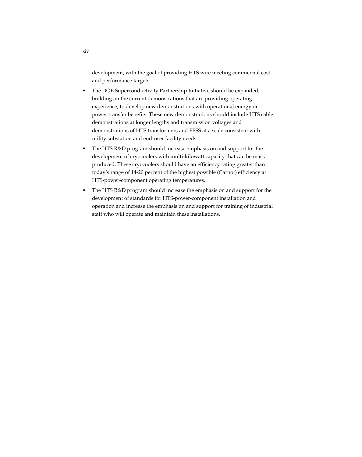development, with the goal of providing HTS wire meeting commercial cost and performance targets.

- The DOE Superconductivity Partnership Initiative should be expanded, building on the current demonstrations that are providing operating experience, to develop new demonstrations with operational energy or power transfer benefits. These new demonstrations should include HTS cable demonstrations at longer lengths and transmission voltages and demonstrations of HTS transformers and FESS at a scale consistent with utility substation and end-user facility needs.
- The HTS R&D program should increase emphasis on and support for the development of cryocoolers with multi-kilowatt capacity that can be mass produced. These cryocoolers should have an efficiency rating greater than today's range of 14-20 percent of the highest possible (Carnot) efficiency at HTS-power-component operating temperatures.
- The HTS R&D program should increase the emphasis on and support for the development of standards for HTS-power-component installation and operation and increase the emphasis on and support for training of industrial staff who will operate and maintain these installations.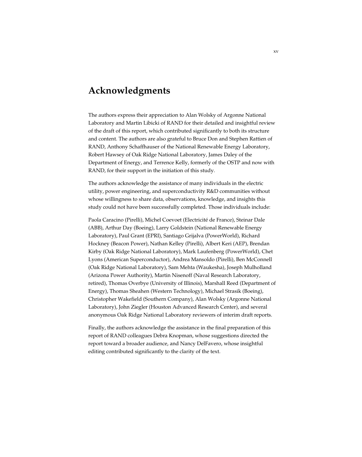### **Acknowledgments**

The authors express their appreciation to Alan Wolsky of Argonne National Laboratory and Martin Libicki of RAND for their detailed and insightful review of the draft of this report, which contributed significantly to both its structure and content. The authors are also grateful to Bruce Don and Stephen Rattien of RAND, Anthony Schaffhauser of the National Renewable Energy Laboratory, Robert Hawsey of Oak Ridge National Laboratory, James Daley of the Department of Energy, and Terrence Kelly, formerly of the OSTP and now with RAND, for their support in the initiation of this study.

The authors acknowledge the assistance of many individuals in the electric utility, power engineering, and superconductivity R&D communities without whose willingness to share data, observations, knowledge, and insights this study could not have been successfully completed. Those individuals include:

Paola Caracino (Pirelli), Michel Coevoet (Electricité de France), Steinar Dale (ABB), Arthur Day (Boeing), Larry Goldstein (National Renewable Energy Laboratory), Paul Grant (EPRI), Santiago Grijalva (PowerWorld), Richard Hockney (Beacon Power), Nathan Kelley (Pirelli), Albert Keri (AEP), Brendan Kirby (Oak Ridge National Laboratory), Mark Laufenberg (PowerWorld), Chet Lyons (American Superconductor), Andrea Mansoldo (Pirelli), Ben McConnell (Oak Ridge National Laboratory), Sam Mehta (Waukesha), Joseph Mulholland (Arizona Power Authority), Martin Nisenoff (Naval Research Laboratory, retired), Thomas Overbye (University of Illinois), Marshall Reed (Department of Energy), Thomas Sheahen (Western Technology), Michael Strasik (Boeing), Christopher Wakefield (Southern Company), Alan Wolsky (Argonne National Laboratory), John Ziegler (Houston Advanced Research Center), and several anonymous Oak Ridge National Laboratory reviewers of interim draft reports.

Finally, the authors acknowledge the assistance in the final preparation of this report of RAND colleagues Debra Knopman, whose suggestions directed the report toward a broader audience, and Nancy DelFavero, whose insightful editing contributed significantly to the clarity of the text.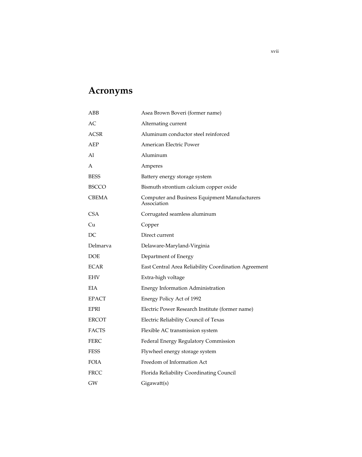# **Acronyms**

| ABB          | Asea Brown Boveri (former name)                              |
|--------------|--------------------------------------------------------------|
| AC           | Alternating current                                          |
| <b>ACSR</b>  | Aluminum conductor steel reinforced                          |
| AEP          | American Electric Power                                      |
| Al           | Aluminum                                                     |
| A            | Amperes                                                      |
| <b>BESS</b>  | Battery energy storage system                                |
| <b>BSCCO</b> | Bismuth strontium calcium copper oxide                       |
| <b>CBEMA</b> | Computer and Business Equipment Manufacturers<br>Association |
| <b>CSA</b>   | Corrugated seamless aluminum                                 |
| Cu           | Copper                                                       |
| DC           | Direct current                                               |
| Delmarva     | Delaware-Maryland-Virginia                                   |
| <b>DOE</b>   | Department of Energy                                         |
| <b>ECAR</b>  | East Central Area Reliability Coordination Agreement         |
| EHV          | Extra-high voltage                                           |
| EIA          | Energy Information Administration                            |
| <b>EPACT</b> | Energy Policy Act of 1992                                    |
| <b>EPRI</b>  | Electric Power Research Institute (former name)              |
| <b>ERCOT</b> | Electric Reliability Council of Texas                        |
| <b>FACTS</b> | Flexible AC transmission system                              |
| <b>FERC</b>  | Federal Energy Regulatory Commission                         |
| <b>FESS</b>  | Flywheel energy storage system                               |
| <b>FOIA</b>  | Freedom of Information Act                                   |
| <b>FRCC</b>  | Florida Reliability Coordinating Council                     |
| GW           | Gigawatt(s)                                                  |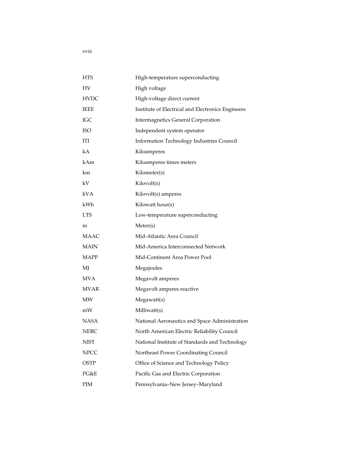xviii

| <b>HTS</b>  | High-temperature superconducting                  |
|-------------|---------------------------------------------------|
| HV          | High voltage                                      |
| <b>HVDC</b> | High-voltage direct current                       |
| <b>IEEE</b> | Institute of Electrical and Electronics Engineers |
| IGC         | <b>Intermagnetics General Corporation</b>         |
| <b>ISO</b>  | Independent system operator                       |
| <b>ITI</b>  | <b>Information Technology Industries Council</b>  |
| kA          | Kiloamperes                                       |
| kAm         | Kiloamperes times meters                          |
| km          | Kilometer(s)                                      |
| kV          | Kilovolt(s)                                       |
| kVA         | Kilovolt(s) amperes                               |
| kWh         | Kilowatt hour(s)                                  |
| <b>LTS</b>  | Low-temperature superconducting                   |
| m           | Meter(s)                                          |
| MAAC        | Mid-Atlantic Area Council                         |
| <b>MAIN</b> | Mid-America Interconnected Network                |
| <b>MAPP</b> | Mid-Continent Area Power Pool                     |
| MJ          | Megajoules                                        |
| <b>MVA</b>  | Megavolt amperes                                  |
| <b>MVAR</b> | Megavolt amperes reactive                         |
| <b>MW</b>   | Megawatt(s)                                       |
| mW          | Milliwatt(s)                                      |
| <b>NASA</b> | National Aeronautics and Space Administration     |
| <b>NERC</b> | North American Electric Reliability Council       |
| NIST        | National Institute of Standards and Technology    |
| <b>NPCC</b> | Northeast Power Coordinating Council              |
| <b>OSTP</b> | Office of Science and Technology Policy           |
| PG&E        | Pacific Gas and Electric Corporation              |
| PJM         | Pennsylvania-New Jersey-Maryland                  |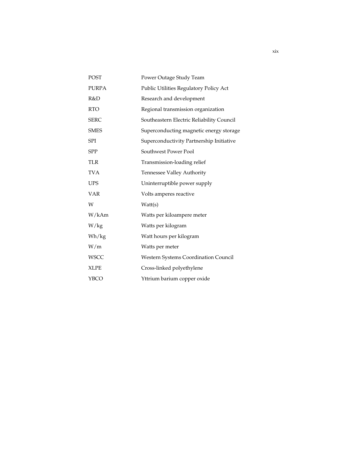| POST         | Power Outage Study Team                     |
|--------------|---------------------------------------------|
| <b>PURPA</b> | Public Utilities Regulatory Policy Act      |
| R&D          | Research and development                    |
| <b>RTO</b>   | Regional transmission organization          |
| <b>SERC</b>  | Southeastern Electric Reliability Council   |
| <b>SMES</b>  | Superconducting magnetic energy storage     |
| <b>SPI</b>   | Superconductivity Partnership Initiative    |
| <b>SPP</b>   | Southwest Power Pool                        |
| <b>TLR</b>   | Transmission-loading relief                 |
| <b>TVA</b>   | Tennessee Valley Authority                  |
| <b>UPS</b>   | Uninterruptible power supply                |
| <b>VAR</b>   | Volts amperes reactive                      |
| W            | Watt(s)                                     |
| W/kAm        | Watts per kiloampere meter                  |
| W/kg         | Watts per kilogram                          |
| Wh/kg        | Watt hours per kilogram                     |
| W/m          | Watts per meter                             |
| <b>WSCC</b>  | <b>Western Systems Coordination Council</b> |
| XLPE         | Cross-linked polyethylene                   |
| <b>YBCO</b>  | Yttrium barium copper oxide                 |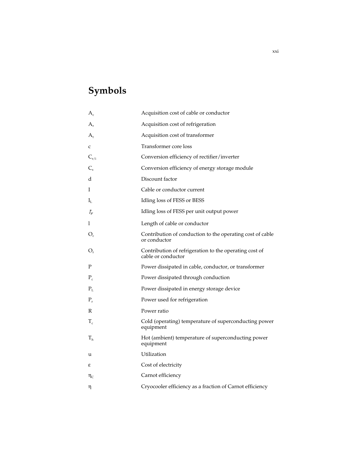# **Symbols**

| $A_c$          | Acquisition cost of cable or conductor                                       |
|----------------|------------------------------------------------------------------------------|
| $A_{r}$        | Acquisition cost of refrigeration                                            |
| $A_t$          | Acquisition cost of transformer                                              |
| c              | Transformer core loss                                                        |
| $C_{r/i}$      | Conversion efficiency of rectifier/inverter                                  |
| $C_{\rm s}$    | Conversion efficiency of energy storage module                               |
| d              | Discount factor                                                              |
| I              | Cable or conductor current                                                   |
| $I_{L}$        | Idling loss of FESS or BESS                                                  |
| $\bar{l}_F$    | Idling loss of FESS per unit output power                                    |
| $\mathbf{l}$   | Length of cable or conductor                                                 |
| $O_c$          | Contribution of conduction to the operating cost of cable<br>or conductor    |
| $O_r$          | Contribution of refrigeration to the operating cost of<br>cable or conductor |
| P              | Power dissipated in cable, conductor, or transformer                         |
| $P_c$          | Power dissipated through conduction                                          |
| $P_L$          | Power dissipated in energy storage device                                    |
| $P_r$          | Power used for refrigeration                                                 |
| R              | Power ratio                                                                  |
| $T_c$          | Cold (operating) temperature of superconducting power<br>equipment           |
| T <sub>h</sub> | Hot (ambient) temperature of superconducting power<br>equipment              |
| u              | Utilization                                                                  |
| ε              | Cost of electricity                                                          |
| $\eta_C$       | Carnot efficiency                                                            |
| η              | Cryocooler efficiency as a fraction of Carnot efficiency                     |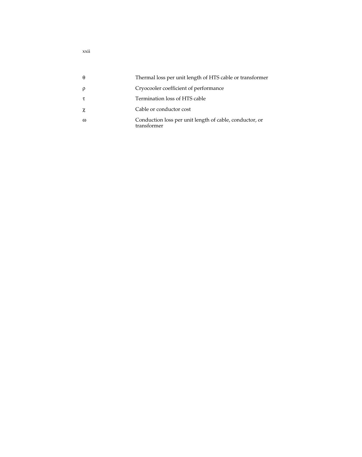| $\theta$ | Thermal loss per unit length of HTS cable or transformer               |
|----------|------------------------------------------------------------------------|
| $\rho$   | Cryocooler coefficient of performance                                  |
| $\tau$   | Termination loss of HTS cable                                          |
| χ        | Cable or conductor cost                                                |
| $\omega$ | Conduction loss per unit length of cable, conductor, or<br>transformer |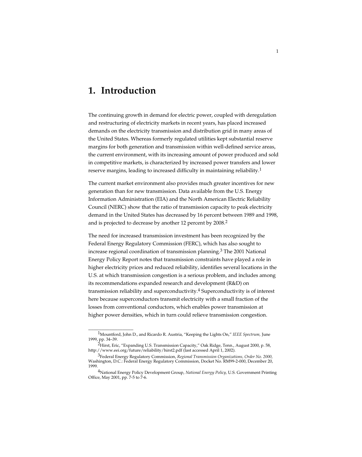### **1. Introduction**

\_\_\_\_\_\_\_\_\_\_\_\_\_\_\_\_\_

The continuing growth in demand for electric power, coupled with deregulation and restructuring of electricity markets in recent years, has placed increased demands on the electricity transmission and distribution grid in many areas of the United States. Whereas formerly regulated utilities kept substantial reserve margins for both generation and transmission within well-defined service areas, the current environment, with its increasing amount of power produced and sold in competitive markets, is characterized by increased power transfers and lower reserve margins, leading to increased difficulty in maintaining reliability.<sup>1</sup>

The current market environment also provides much greater incentives for new generation than for new transmission. Data available from the U.S. Energy Information Administration (EIA) and the North American Electric Reliability Council (NERC) show that the ratio of transmission capacity to peak electricity demand in the United States has decreased by 16 percent between 1989 and 1998, and is projected to decrease by another 12 percent by 2008.<sup>2</sup>

The need for increased transmission investment has been recognized by the Federal Energy Regulatory Commission (FERC), which has also sought to increase regional coordination of transmission planning.<sup>3</sup> The 2001 National Energy Policy Report notes that transmission constraints have played a role in higher electricity prices and reduced reliability, identifies several locations in the U.S. at which transmission congestion is a serious problem, and includes among its recommendations expanded research and development (R&D) on transmission reliability and superconductivity.4 Superconductivity is of interest here because superconductors transmit electricity with a small fraction of the losses from conventional conductors, which enables power transmission at higher power densities, which in turn could relieve transmission congestion.

<sup>1</sup>Mountford, John D., and Ricardo R. Austria, "Keeping the Lights On," *IEEE Spectrum,* June 1999, pp. 34–39.

<sup>&</sup>lt;sup>2</sup>Hirst, Eric, "Expanding U.S. Transmission Capacity," Oak Ridge, Tenn., August 2000, p. 58, http://www.eei.org/future/reliability/hirst2.pdf (last accessed April 1, 2002).

<sup>3</sup>Federal Energy Regulatory Commission, *Regional Transmission Organizations, Order No. 2000,* Washington, D.C.: Federal Energy Regulatory Commission, Docket No. RM99-2-000, December 20, 1999.

<sup>4</sup>National Energy Policy Development Group, *National Energy Policy,* U.S. Government Printing Office, May 2001, pp. 7-5 to 7-6.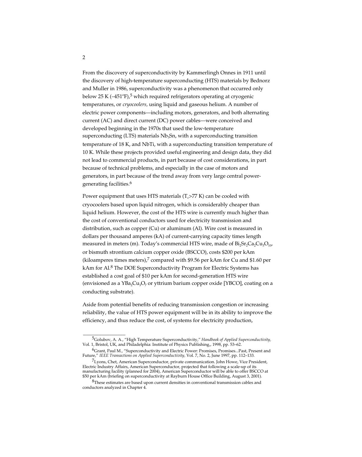From the discovery of superconductivity by Kammerlingh Onnes in 1911 until the discovery of high-temperature superconducting (HTS) materials by Bednorz and Muller in 1986, superconductivity was a phenomenon that occurred only below 25 K  $(-451^{\circ}F)$ ,<sup>5</sup> which required refrigerators operating at cryogenic temperatures, or *cryocoolers,* using liquid and gaseous helium. A number of electric power components—including motors, generators, and both alternating current (AC) and direct current (DC) power cables—were conceived and developed beginning in the 1970s that used the low-temperature superconducting (LTS) materials  $Nb<sub>3</sub>Sn$ , with a superconducting transition temperature of 18 K, and NbTi, with a superconducting transition temperature of 10 K. While these projects provided useful engineering and design data, they did not lead to commercial products, in part because of cost considerations, in part because of technical problems, and especially in the case of motors and generators, in part because of the trend away from very large central powergenerating facilities.6

Power equipment that uses HTS materials  $(T_c>77 K)$  can be cooled with cryocoolers based upon liquid nitrogen, which is considerably cheaper than liquid helium. However, the cost of the HTS wire is currently much higher than the cost of conventional conductors used for electricity transmission and distribution, such as copper (Cu) or aluminum (Al). Wire cost is measured in dollars per thousand amperes (kA) of current-carrying capacity times length measured in meters (m). Today's commercial HTS wire, made of  $Bi_2Sr_2Ca_2Cu_3O_{10}$ or bismuth strontium calcium copper oxide (BSCCO), costs \$200 per kAm (kiloamperes times meters), $\frac{7}{2}$  compared with \$9.56 per kAm for Cu and \$1.60 per kAm for Al.<sup>8</sup> The DOE Superconductivity Program for Electric Systems has established a cost goal of \$10 per kAm for second-generation HTS wire (envisioned as a YBa<sub>2</sub>Cu<sub>3</sub>O<sub>7</sub> or yttrium barium copper oxide [YBCO], coating on a conducting substrate).

Aside from potential benefits of reducing transmission congestion or increasing reliability, the value of HTS power equipment will be in its ability to improve the efficiency, and thus reduce the cost, of systems for electricity production,

\_\_\_\_\_\_\_\_\_\_\_\_\_\_\_\_

<sup>5</sup>Golubov, A. A., "High Temperature Superconductivity," *Handbook of Applied Superconductivity,* Vol. 1, Bristol, UK, and Philadelphia: Institute of Physics Publishing,, 1998, pp. 53–62.

<sup>&</sup>lt;sup>6</sup>Grant, Paul M., "Superconductivity and Electric Power: Promises, Promises...Past, Present and Future," *IEEE Transactions on Applied Superconductivity,* Vol. 7, No. 2, June 1997, pp. 112–133.

<sup>&</sup>lt;sup>7</sup>Lyons, Chet, American Superconductor, private communication. John Howe, Vice President, Electric Industry Affairs, American Superconductor, projected that following a scale-up of its manufacturing facility (planned for 2004), American Superconductor will be able to offer BSCCO at \$50 per kAm (briefing on superconductivity at Rayburn House Office Building, August 3, 2001).

<sup>8</sup>These estimates are based upon current densities in conventional transmission cables and conductors analyzed in Chapter 4.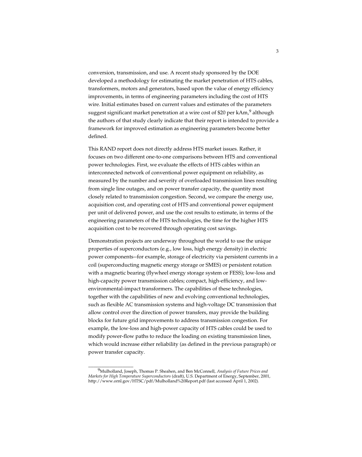conversion, transmission, and use. A recent study sponsored by the DOE developed a methodology for estimating the market penetration of HTS cables, transformers, motors and generators, based upon the value of energy efficiency improvements, in terms of engineering parameters including the cost of HTS wire. Initial estimates based on current values and estimates of the parameters suggest significant market penetration at a wire cost of \$20 per  $kAm$ <sup>9</sup> although the authors of that study clearly indicate that their report is intended to provide a framework for improved estimation as engineering parameters become better defined.

This RAND report does not directly address HTS market issues. Rather, it focuses on two different one-to-one comparisons between HTS and conventional power technologies. First, we evaluate the effects of HTS cables within an interconnected network of conventional power equipment on reliability, as measured by the number and severity of overloaded transmission lines resulting from single line outages, and on power transfer capacity, the quantity most closely related to transmission congestion. Second, we compare the energy use, acquisition cost, and operating cost of HTS and conventional power equipment per unit of delivered power, and use the cost results to estimate, in terms of the engineering parameters of the HTS technologies, the time for the higher HTS acquisition cost to be recovered through operating cost savings.

Demonstration projects are underway throughout the world to use the unique properties of superconductors (e.g., low loss, high energy density) in electric power components--for example, storage of electricity via persistent currents in a coil (superconducting magnetic energy storage or SMES) or persistent rotation with a magnetic bearing (flywheel energy storage system or FESS); low-loss and high-capacity power transmission cables; compact, high-efficiency, and lowenvironmental-impact transformers. The capabilities of these technologies, together with the capabilities of new and evolving conventional technologies, such as flexible AC transmission systems and high-voltage DC transmission that allow control over the direction of power transfers, may provide the building blocks for future grid improvements to address transmission congestion. For example, the low-loss and high-power capacity of HTS cables could be used to modify power-flow paths to reduce the loading on existing transmission lines, which would increase either reliability (as defined in the previous paragraph) or power transfer capacity.

 $\overline{\phantom{a}}$  , where the contract of the contract of  $\overline{\phantom{a}}$ 

<sup>9</sup>Mulholland, Joseph, Thomas P. Sheahen, and Ben McConnell, *Analysis of Future Prices and Markets for High Temperature Superconductors* (draft), U.S. Department of Energy, September, 2001, http://www.ornl.gov/HTSC/pdf/Mulholland%20Report.pdf (last accessed April 1, 2002).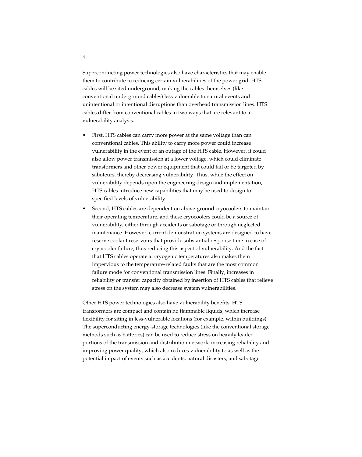Superconducting power technologies also have characteristics that may enable them to contribute to reducing certain vulnerabilities of the power grid. HTS cables will be sited underground, making the cables themselves (like conventional underground cables) less vulnerable to natural events and unintentional or intentional disruptions than overhead transmission lines. HTS cables differ from conventional cables in two ways that are relevant to a vulnerability analysis:

- First, HTS cables can carry more power at the same voltage than can conventional cables. This ability to carry more power could increase vulnerability in the event of an outage of the HTS cable. However, it could also allow power transmission at a lower voltage, which could eliminate transformers and other power equipment that could fail or be targeted by saboteurs, thereby decreasing vulnerability. Thus, while the effect on vulnerability depends upon the engineering design and implementation, HTS cables introduce new capabilities that may be used to design for specified levels of vulnerability.
- Second, HTS cables are dependent on above-ground cryocoolers to maintain their operating temperature, and these cryocoolers could be a source of vulnerability, either through accidents or sabotage or through neglected maintenance. However, current demonstration systems are designed to have reserve coolant reservoirs that provide substantial response time in case of cryocooler failure, thus reducing this aspect of vulnerability. And the fact that HTS cables operate at cryogenic temperatures also makes them impervious to the temperature-related faults that are the most common failure mode for conventional transmission lines. Finally, increases in reliability or transfer capacity obtained by insertion of HTS cables that relieve stress on the system may also decrease system vulnerabilities.

Other HTS power technologies also have vulnerability benefits. HTS transformers are compact and contain no flammable liquids, which increase flexibility for siting in less-vulnerable locations (for example, within buildings). The superconducting energy-storage technologies (like the conventional storage methods such as batteries) can be used to reduce stress on heavily loaded portions of the transmission and distribution network, increasing reliability and improving power quality, which also reduces vulnerability to as well as the potential impact of events such as accidents, natural disasters, and sabotage.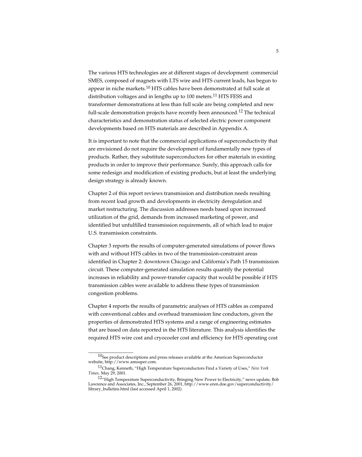The various HTS technologies are at different stages of development: commercial SMES, composed of magnets with LTS wire and HTS current leads, has begun to appear in niche markets.10 HTS cables have been demonstrated at full scale at distribution voltages and in lengths up to 100 meters.<sup>11</sup> HTS FESS and transformer demonstrations at less than full scale are being completed and new full-scale demonstration projects have recently been announced.<sup>12</sup> The technical characteristics and demonstration status of selected electric power component developments based on HTS materials are described in Appendix A.

It is important to note that the commercial applications of superconductivity that are envisioned do not require the development of fundamentally new types of products. Rather, they substitute superconductors for other materials in existing products in order to improve their performance. Surely, this approach calls for some redesign and modification of existing products, but at least the underlying design strategy is already known.

Chapter 2 of this report reviews transmission and distribution needs resulting from recent load growth and developments in electricity deregulation and market restructuring. The discussion addresses needs based upon increased utilization of the grid, demands from increased marketing of power, and identified but unfulfilled transmission requirements, all of which lead to major U.S. transmission constraints.

Chapter 3 reports the results of computer-generated simulations of power flows with and without HTS cables in two of the transmission-constraint areas identified in Chapter 2: downtown Chicago and California's Path 15 transmission circuit. These computer-generated simulation results quantify the potential increases in reliability and power-transfer capacity that would be possible if HTS transmission cables were available to address these types of transmission congestion problems.

Chapter 4 reports the results of parametric analyses of HTS cables as compared with conventional cables and overhead transmission line conductors, given the properties of demonstrated HTS systems and a range of engineering estimates that are based on data reported in the HTS literature. This analysis identifies the required HTS wire cost and cryocooler cost and efficiency for HTS operating cost

 $\overline{\phantom{a}}$  , where the contract of the contract of  $\overline{\phantom{a}}$ 

 $10$ See product descriptions and press releases available at the American Superconductor website, http://www.amsuper.com.

<sup>11</sup>Chang, Kenneth, "High Temperature Superconductors Find a Variety of Uses," *New York Times,* May 29, 2001.

 $12\nu$ High Temperature Superconductivity, Bringing New Power to Electricity," news update, Bob Lawrence and Associates, Inc., September 26, 2001, http://www.eren.doe.gov/superconductivity/ library\_bulletins.html (last accessed April 1, 2002).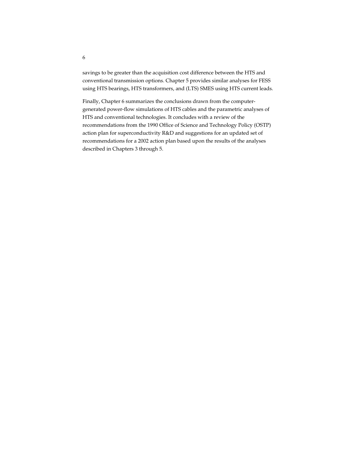savings to be greater than the acquisition cost difference between the HTS and conventional transmission options. Chapter 5 provides similar analyses for FESS using HTS bearings, HTS transformers, and (LTS) SMES using HTS current leads.

Finally, Chapter 6 summarizes the conclusions drawn from the computergenerated power-flow simulations of HTS cables and the parametric analyses of HTS and conventional technologies. It concludes with a review of the recommendations from the 1990 Office of Science and Technology Policy (OSTP) action plan for superconductivity R&D and suggestions for an updated set of recommendations for a 2002 action plan based upon the results of the analyses described in Chapters 3 through 5.

6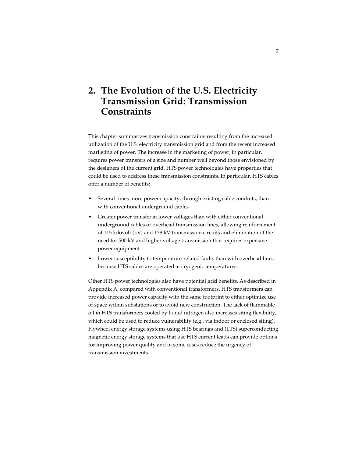### **2. The Evolution of the U.S. Electricity Transmission Grid: Transmission Constraints**

This chapter summarizes transmission constraints resulting from the increased utilization of the U.S. electricity transmission grid and from the recent increased marketing of power. The increase in the marketing of power, in particular, requires power transfers of a size and number well beyond those envisioned by the designers of the current grid. HTS power technologies have properties that could be used to address these transmission constraints. In particular, HTS cables offer a number of benefits:

- Several times more power capacity, through existing cable conduits, than with conventional underground cables
- Greater power transfer at lower voltages than with either conventional underground cables or overhead transmission lines, allowing reinforcement of 115 kilovolt (kV) and 138 kV transmission circuits and elimination of the need for 500 kV and higher voltage transmission that requires expensive power equipment
- Lower susceptibility to temperature-related faults than with overhead lines because HTS cables are operated at cryogenic temperatures.

Other HTS power technologies also have potential grid benefits. As described in Appendix A, compared with conventional transformers, HTS transformers can provide increased power capacity with the same footprint to either optimize use of space within substations or to avoid new construction. The lack of flammable oil in HTS transformers cooled by liquid nitrogen also increases siting flexibility, which could be used to reduce vulnerability (e.g., via indoor or enclosed siting). Flywheel energy storage systems using HTS bearings and (LTS) superconducting magnetic energy storage systems that use HTS current leads can provide options for improving power quality and in some cases reduce the urgency of transmission investments.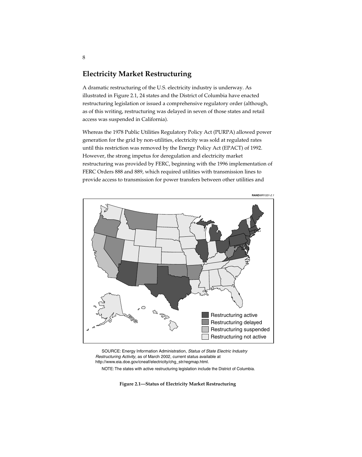#### **Electricity Market Restructuring**

A dramatic restructuring of the U.S. electricity industry is underway. As illustrated in Figure 2.1, 24 states and the District of Columbia have enacted restructuring legislation or issued a comprehensive regulatory order (although, as of this writing, restructuring was delayed in seven of those states and retail access was suspended in California).

Whereas the 1978 Public Utilities Regulatory Policy Act (PURPA) allowed power generation for the grid by non-utilities, electricity was sold at regulated rates until this restriction was removed by the Energy Policy Act (EPACT) of 1992. However, the strong impetus for deregulation and electricity market restructuring was provided by FERC, beginning with the 1996 implementation of FERC Orders 888 and 889, which required utilities with transmission lines to provide access to transmission for power transfers between other utilities and



SOURCE: Energy Information Administration, Status of State Electric Industry Restructuring Activity, as of March 2002, current status available at http://www.eia.doe.gov/cneaf/electricity/chg\_str/regmap.html.

NOTE: The states with active restructuring legislation include the District of Columbia.

**Figure 2.1—Status of Electricity Market Restructuring**

8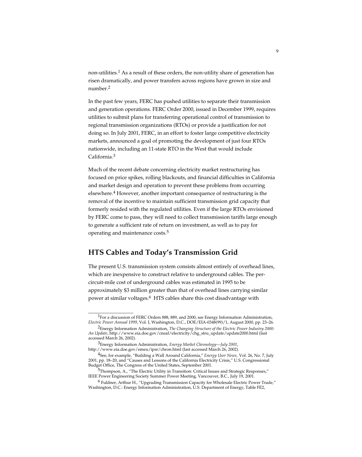non-utilities.<sup>1</sup> As a result of these orders, the non-utility share of generation has risen dramatically, and power transfers across regions have grown in size and number.<sup>2</sup>

In the past few years, FERC has pushed utilities to separate their transmission and generation operations. FERC Order 2000, issued in December 1999, requires utilities to submit plans for transferring operational control of transmission to regional transmission organizations (RTOs) or provide a justification for not doing so. In July 2001, FERC, in an effort to foster large competitive electricity markets, announced a goal of promoting the development of just four RTOs nationwide, including an 11-state RTO in the West that would include California.<sup>3</sup>

Much of the recent debate concerning electricity market restructuring has focused on price spikes, rolling blackouts, and financial difficulties in California and market design and operation to prevent these problems from occurring elsewhere.<sup>4</sup> However, another important consequence of restructuring is the removal of the incentive to maintain sufficient transmission grid capacity that formerly resided with the regulated utilities. Even if the large RTOs envisioned by FERC come to pass, they will need to collect transmission tariffs large enough to generate a sufficient rate of return on investment, as well as to pay for operating and maintenance costs.<sup>5</sup>

#### **HTS Cables and Today's Transmission Grid**

The present U.S. transmission system consists almost entirely of overhead lines, which are inexpensive to construct relative to underground cables. The percircuit-mile cost of underground cables was estimated in 1995 to be approximately \$3 million greater than that of overhead lines carrying similar power at similar voltages.6 HTS cables share this cost disadvantage with

\_\_\_\_\_\_\_\_\_\_\_\_\_\_\_\_\_

<sup>&</sup>lt;sup>1</sup>For a discussion of FERC Orders 888, 889, and 2000, see Energy Information Administration, *Electric Power Annual 1999*, Vol. I, Washington, D.C., DOE/EIA-0348(99)/1, August 2000, pp. 23–26.

<sup>2</sup>Energy Information Administration, *The Changing Structure of the Electric Power Industry 2000: An Update*, http://www.eia.doe.gov/cneaf/electricity/chg\_stru\_update/update2000.html (last accessed March 26, 2002).

<sup>3</sup>Energy Information Administration, *Energy Market Chronology—July 2001*, http://www.eia.doe.gov/emeu/ipsr/chron.html (last accessed March 26, 2002).

<sup>4</sup>See, for example, "Building a Wall Around California," *Energy User News,* Vol. 26, No. 7, July 2001, pp. 18–20, and "Causes and Lessons of the California Electricity Crisis," U.S. Congressional Budget Office, The Congress of the United States, September 2001.

<sup>5</sup>Thompson, A., "The Electric Utility in Transition: Critical Issues and Strategic Responses," IEEE Power Engineering Society Summer Power Meeting, Vancouver, B.C., July 19, 2001.

<sup>6</sup> Fuldner, Arthur H., "Upgrading Transmission Capacity for Wholesale Electric Power Trade," Washington, D.C.: Energy Information Administration, U.S. Department of Energy, Table FE2,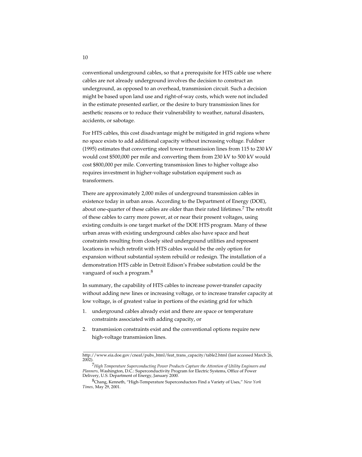conventional underground cables, so that a prerequisite for HTS cable use where cables are not already underground involves the decision to construct an underground, as opposed to an overhead, transmission circuit. Such a decision might be based upon land use and right-of-way costs, which were not included in the estimate presented earlier, or the desire to bury transmission lines for aesthetic reasons or to reduce their vulnerability to weather, natural disasters, accidents, or sabotage.

For HTS cables, this cost disadvantage might be mitigated in grid regions where no space exists to add additional capacity without increasing voltage. Fuldner (1995) estimates that converting steel tower transmission lines from 115 to 230 kV would cost \$500,000 per mile and converting them from 230 kV to 500 kV would cost \$800,000 per mile. Converting transmission lines to higher voltage also requires investment in higher-voltage substation equipment such as transformers.

There are approximately 2,000 miles of underground transmission cables in existence today in urban areas. According to the Department of Energy (DOE), about one-quarter of these cables are older than their rated lifetimes.<sup>7</sup> The retrofit of these cables to carry more power, at or near their present voltages, using existing conduits is one target market of the DOE HTS program. Many of these urban areas with existing underground cables also have space and heat constraints resulting from closely sited underground utilities and represent locations in which retrofit with HTS cables would be the only option for expansion without substantial system rebuild or redesign. The installation of a demonstration HTS cable in Detroit Edison's Frisbee substation could be the vanguard of such a program.<sup>8</sup>

In summary, the capability of HTS cables to increase power-transfer capacity without adding new lines or increasing voltage, or to increase transfer capacity at low voltage, is of greatest value in portions of the existing grid for which

- 1. underground cables already exist and there are space or temperature constraints associated with adding capacity, or
- 2. transmission constraints exist and the conventional options require new high-voltage transmission lines.

\_\_\_\_\_\_\_\_\_\_\_\_\_\_\_\_\_\_\_\_\_\_\_\_\_\_\_\_\_\_\_\_\_\_\_\_\_\_\_\_\_\_\_\_\_\_\_\_\_\_\_\_\_\_\_\_\_\_\_\_\_\_\_\_\_\_\_\_\_\_\_ http://www.eia.doe.gov/cneaf/pubs\_html/feat\_trans\_capacity/table2.html (last accessed March 26, 2002).

<sup>7</sup>*High Temperature Superconducting Power Products Capture the Attention of Utility Engineers and Planners,* Washington, D.C.: Superconductivity Program for Electric Systems, Office of Power Delivery, U.S. Department of Energy, January 2000.

<sup>8</sup>Chang, Kenneth, "High-Temperature Superconductors Find a Variety of Uses," *New York Times,* May 29, 2001.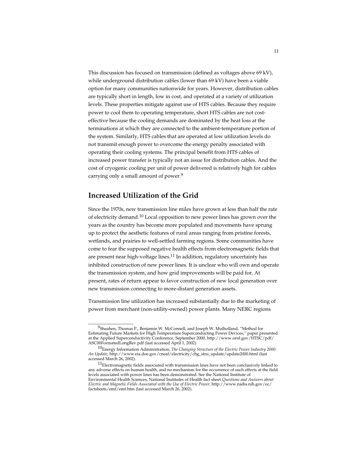This discussion has focused on transmission (defined as voltages above 69 kV), while underground distribution cables (lower than 69 kV) have been a viable option for many communities nationwide for years. However, distribution cables are typically short in length, low in cost, and operated at a variety of utilization levels. These properties mitigate against use of HTS cables. Because they require power to cool them to operating temperature, short HTS cables are not costeffective because the cooling demands are dominated by the heat loss at the terminations at which they are connected to the ambient-temperature portion of the system. Similarly, HTS cables that are operated at low utilization levels do not transmit enough power to overcome the energy penalty associated with operating their cooling systems. The principal benefit from HTS cables of increased power transfer is typically not an issue for distribution cables. And the cost of cryogenic cooling per unit of power delivered is relatively high for cables carrying only a small amount of power.<sup>9</sup>

#### **Increased Utilization of the Grid**

\_\_\_\_\_\_\_\_\_\_\_\_\_\_\_\_\_

Since the 1970s, new transmission line miles have grown at less than half the rate of electricity demand.10 Local opposition to new power lines has grown over the years as the country has become more populated and movements have sprung up to protect the aesthetic features of rural areas ranging from pristine forests, wetlands, and prairies to well-settled farming regions. Some communities have come to fear the supposed negative health effects from electromagnetic fields that are present near high-voltage lines.<sup>11</sup> In addition, regulatory uncertainty has inhibited construction of new power lines. It is unclear who will own and operate the transmission system, and how grid improvements will be paid for. At present, rates of return appear to favor construction of new local generation over new transmission connecting to more-distant generation assets.

Transmission line utilization has increased substantially due to the marketing of power from merchant (non-utility-owned) power plants. Many NERC regions

<sup>&</sup>lt;sup>9</sup>Sheahen, Thomas P., Benjamin W. McConnell, and Joseph W. Mulholland, "Method for Estimating Future Markets for High Temperature Superconducting Power Devices," paper presented at the Applied Superconductivity Conference, September 2000, http://www.ornl.gov/HTSC/pdf/ ASC00FormatedLongRev.pdf (last accessed April 1, 2002).

<sup>10</sup>Energy Information Administration, *The Changing Structure of the Electric Power Industry 2000: An Update*, http://www.eia.doe.gov/cneaf/electricity/chg\_stru\_update/update2000.html (last accessed March 26, 2002).

 $^{11}$  Electromagnetic fields associated with transmission lines have not been conclusively linked to any adverse effects on human health, and no mechanism for the occurrence of such effects at the field levels associated with power lines has been demonstrated. See the National Institute of Environmental Health Sciences, National Institutes of Health fact sheet *Questions and Answers about Electric and Magnetic Fields Associated with the Use of Electric Power,* http://www.niehs.nih.gov/oc/ factsheets/emf/emf.htm (last accessed March 26, 2002).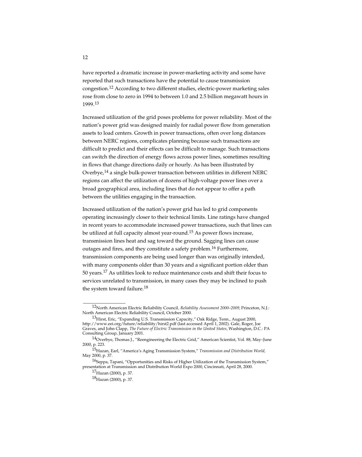have reported a dramatic increase in power-marketing activity and some have reported that such transactions have the potential to cause transmission congestion.12 According to two different studies, electric-power marketing sales rose from close to zero in 1994 to between 1.0 and 2.5 billion megawatt hours in 1999.<sup>13</sup>

Increased utilization of the grid poses problems for power reliability. Most of the nation's power grid was designed mainly for radial power flow from generation assets to load centers. Growth in power transactions, often over long distances between NERC regions, complicates planning because such transactions are difficult to predict and their effects can be difficult to manage. Such transactions can switch the direction of energy flows across power lines, sometimes resulting in flows that change directions daily or hourly. As has been illustrated by Overbye,<sup>14</sup> a single bulk-power transaction between utilities in different NERC regions can affect the utilization of dozens of high-voltage power lines over a broad geographical area, including lines that do not appear to offer a path between the utilities engaging in the transaction.

Increased utilization of the nation's power grid has led to grid components operating increasingly closer to their technical limits. Line ratings have changed in recent years to accommodate increased power transactions, such that lines can be utilized at full capacity almost year-round.15 As power flows increase, transmission lines heat and sag toward the ground. Sagging lines can cause outages and fires, and they constitute a safety problem.<sup>16</sup> Furthermore, transmission components are being used longer than was originally intended, with many components older than 30 years and a significant portion older than 50 years.17 As utilities look to reduce maintenance costs and shift their focus to services unrelated to transmission, in many cases they may be inclined to push the system toward failure.<sup>18</sup>

\_\_\_\_\_\_\_\_\_\_\_\_\_\_\_\_

12

<sup>12</sup>North American Electric Reliability Council*, Reliability Assessment 2000–2009,* Princeton, N.J.: North American Electric Reliability Council, October 2000.

<sup>&</sup>lt;sup>13</sup>Hirst, Eric, "Expanding U.S. Transmission Capacity," Oak Ridge, Tenn., August 2000, http://www.eei.org/future/reliability/hirst2.pdf (last accessed April 1, 2002). Gale, Roger, Joe Graves, and John Clapp, *The Future of Electric Transmission in the United States,* Washington, D.C.: PA Consulting Group, January 2001.

<sup>14</sup>Overbye, Thomas J., "Reengineering the Electric Grid," American Scientist, Vol. 88, May–June 2000, p. 223.

<sup>15</sup>Hazan, Earl, "America's Aging Transmission System," *Transmission and Distribution World,* May 2000, p. 37.

<sup>16</sup>Seppa, Tapani, "Opportunities and Risks of Higher Utilization of the Transmission System," presentation at Transmission and Distribution World Expo 2000, Cincinnati, April 28, 2000.

 $^{17}$ Hazan (2000), p. 37.

<sup>18</sup>Hazan (2000), p. 37.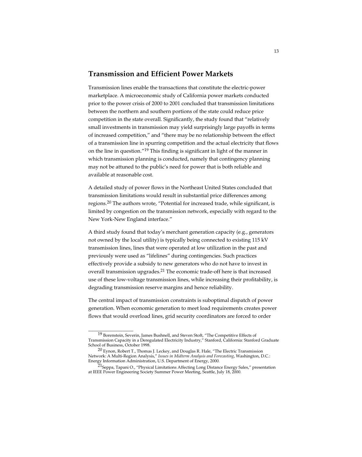#### **Transmission and Efficient Power Markets**

Transmission lines enable the transactions that constitute the electric-power marketplace. A microeconomic study of California power markets conducted prior to the power crisis of 2000 to 2001 concluded that transmission limitations between the northern and southern portions of the state could reduce price competition in the state overall. Significantly, the study found that "relatively small investments in transmission may yield surprisingly large payoffs in terms of increased competition," and "there may be no relationship between the effect of a transmission line in spurring competition and the actual electricity that flows on the line in question."19 This finding is significant in light of the manner in which transmission planning is conducted, namely that contingency planning may not be attuned to the public's need for power that is both reliable and available at reasonable cost.

A detailed study of power flows in the Northeast United States concluded that transmission limitations would result in substantial price differences among regions.20 The authors wrote, "Potential for increased trade, while significant, is limited by congestion on the transmission network, especially with regard to the New York-New England interface."

A third study found that today's merchant generation capacity (e.g., generators not owned by the local utility) is typically being connected to existing 115 kV transmission lines, lines that were operated at low utilization in the past and previously were used as "lifelines" during contingencies. Such practices effectively provide a subsidy to new generators who do not have to invest in overall transmission upgrades.21 The economic trade-off here is that increased use of these low-voltage transmission lines, while increasing their profitability, is degrading transmission reserve margins and hence reliability.

The central impact of transmission constraints is suboptimal dispatch of power generation. When economic generation to meet load requirements creates power flows that would overload lines, grid security coordinators are forced to order

\_\_\_\_\_\_\_\_\_\_\_\_\_\_\_\_\_

 $^{19}$  Borenstein, Severin, James Bushnell, and Steven Stoft, "The Competitive Effects of Transmission Capacity in a Deregulated Electricity Industry," Stanford, California: Stanford Graduate School of Business, October 1998.

<sup>20</sup> Eynon, Robert T., Thomas J. Leckey, and Douglas R. Hale, "The Electric Transmission Network: A Multi-Region Analysis," *Issues in Midterm Analysis and Forecasting*, Washington, D.C.: Energy Information Administration, U.S. Department of Energy, 2000.

<sup>&</sup>lt;sup>21</sup>Seppa, Tapani O., "Physical Limitations Affecting Long Distance Energy Sales," presentation at IEEE Power Engineering Society Summer Power Meeting, Seattle, July 18, 2000.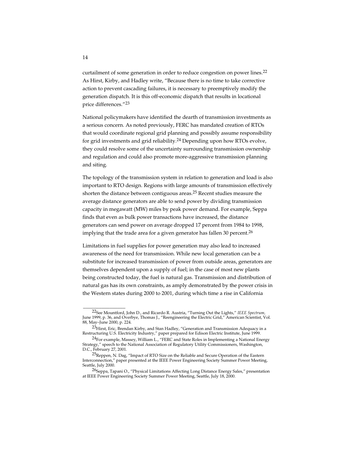curtailment of some generation in order to reduce congestion on power lines.<sup>22</sup> As Hirst, Kirby, and Hadley write, "Because there is no time to take corrective action to prevent cascading failures, it is necessary to preemptively modify the generation dispatch. It is this off-economic dispatch that results in locational price differences."<sup>23</sup>

National policymakers have identified the dearth of transmission investments as a serious concern. As noted previously, FERC has mandated creation of RTOs that would coordinate regional grid planning and possibly assume responsibility for grid investments and grid reliability.<sup>24</sup> Depending upon how RTOs evolve, they could resolve some of the uncertainty surrounding transmission ownership and regulation and could also promote more-aggressive transmission planning and siting.

The topology of the transmission system in relation to generation and load is also important to RTO design. Regions with large amounts of transmission effectively shorten the distance between contiguous areas.25 Recent studies measure the average distance generators are able to send power by dividing transmission capacity in megawatt (MW) miles by peak power demand. For example, Seppa finds that even as bulk power transactions have increased, the distance generators can send power on average dropped 17 percent from 1984 to 1998, implying that the trade area for a given generator has fallen 30 percent.<sup>26</sup>

Limitations in fuel supplies for power generation may also lead to increased awareness of the need for transmission. While new local generation can be a substitute for increased transmission of power from outside areas, generators are themselves dependent upon a supply of fuel; in the case of most new plants being constructed today, the fuel is natural gas. Transmission and distribution of natural gas has its own constraints, as amply demonstrated by the power crisis in the Western states during 2000 to 2001, during which time a rise in California

\_\_\_\_\_\_\_\_\_\_\_\_\_\_\_\_

<sup>22</sup>See Mountford, John D., and Ricardo R. Austria, "Turning Out the Lights," *IEEE Spectrum,* June 1999, p. 36, and Overbye, Thomas J., "Reengineering the Electric Grid," American Scientist, Vol. 88, May–June 2000, p. 224.

<sup>23</sup>Hirst, Eric, Brendan Kirby, and Stan Hadley, "Generation and Transmission Adequacy in a Restructuring U.S. Electricity Industry," paper prepared for Edison Electric Institute, June 1999.

<sup>24</sup>For example, Massey, William L., "FERC and State Roles in Implementing a National Energy Strategy," speech to the National Association of Regulatory Utility Commissioners, Washington, D.C., February 27, 2001.

<sup>&</sup>lt;sup>25</sup>Reppen, N. Dag, "Impact of RTO Size on the Reliable and Secure Operation of the Eastern Interconnection," paper presented at the IEEE Power Engineering Society Summer Power Meeting, Seattle, July 2000.

<sup>26</sup>Seppa, Tapani O., "Physical Limitations Affecting Long Distance Energy Sales," presentation at IEEE Power Engineering Society Summer Power Meeting, Seattle, July 18, 2000.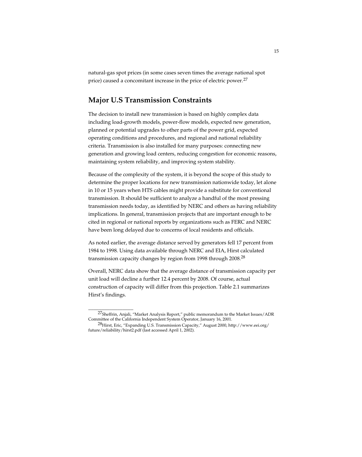natural-gas spot prices (in some cases seven times the average national spot price) caused a concomitant increase in the price of electric power.<sup>27</sup>

### **Major U.S Transmission Constraints**

The decision to install new transmission is based on highly complex data including load-growth models, power-flow models, expected new generation, planned or potential upgrades to other parts of the power grid, expected operating conditions and procedures, and regional and national reliability criteria. Transmission is also installed for many purposes: connecting new generation and growing load centers, reducing congestion for economic reasons, maintaining system reliability, and improving system stability.

Because of the complexity of the system, it is beyond the scope of this study to determine the proper locations for new transmission nationwide today, let alone in 10 or 15 years when HTS cables might provide a substitute for conventional transmission. It should be sufficient to analyze a handful of the most pressing transmission needs today, as identified by NERC and others as having reliability implications. In general, transmission projects that are important enough to be cited in regional or national reports by organizations such as FERC and NERC have been long delayed due to concerns of local residents and officials.

As noted earlier, the average distance served by generators fell 17 percent from 1984 to 1998. Using data available through NERC and EIA, Hirst calculated transmission capacity changes by region from 1998 through 2008.28

Overall, NERC data show that the average distance of transmission capacity per unit load will decline a further 12.4 percent by 2008. Of course, actual construction of capacity will differ from this projection. Table 2.1 summarizes Hirst's findings.

<sup>27</sup>Sheffrin, Anjali, "Market Analysis Report," public memorandum to the Market Issues/ADR Committee of the California Independent System Operator, January 16, 2001.

<sup>&</sup>lt;sup>28</sup>Hirst, Eric, "Expanding U.S. Transmission Capacity," August 2000, http://www.eei.org/ future/reliability/hirst2.pdf (last accessed April 1, 2002).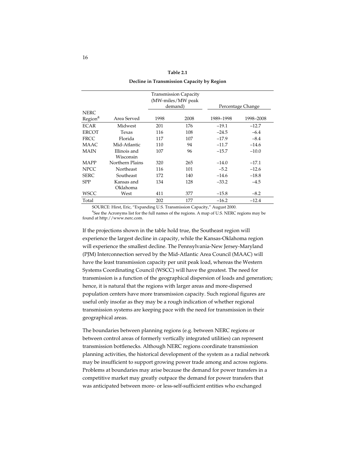#### **Table 2.1**

**Decline in Transmission Capacity by Region**

| <b>Transmission Capacity</b><br>(MW-miles/MW peak |                 |         |      |                   |           |
|---------------------------------------------------|-----------------|---------|------|-------------------|-----------|
|                                                   |                 | demand) |      | Percentage Change |           |
| <b>NERC</b>                                       |                 |         |      |                   |           |
| Region <sup>a</sup>                               | Area Served     | 1998    | 2008 | 1989-1998         | 1998-2008 |
| <b>ECAR</b>                                       | Midwest         | 201     | 176  | $-19.1$           | $-12.7$   |
| <b>ERCOT</b>                                      | Texas           | 116     | 108  | $-24.5$           | $-6.4$    |
| <b>FRCC</b>                                       | Florida         | 117     | 107  | $-17.9$           | $-8.4$    |
| <b>MAAC</b>                                       | Mid-Atlantic    | 110     | 94   | $-11.7$           | $-14.6$   |
| <b>MAIN</b>                                       | Illinois and    | 107     | 96   | $-15.7$           | $-10.0$   |
|                                                   | Wisconsin       |         |      |                   |           |
| <b>MAPP</b>                                       | Northern Plains | 320     | 265  | $-14.0$           | $-17.1$   |
| <b>NPCC</b>                                       | Northeast       | 116     | 101  | $-5.2$            | $-12.6$   |
| <b>SERC</b>                                       | Southeast       | 172     | 140  | $-14.6$           | $-18.8$   |
| <b>SPP</b>                                        | Kansas and      | 134     | 128  | $-33.2$           | $-4.5$    |
|                                                   | Oklahoma        |         |      |                   |           |
| <b>WSCC</b>                                       | West            | 411     | 377  | $-15.8$           | $-8.2$    |
| Total                                             |                 | 202     | 177  | $-16.2$           | $-12.4$   |

SOURCE: Hirst, Eric, "Expanding U.S. Transmission Capacity," August 2000.

<sup>a</sup>See the Acronyms list for the full names of the regions. A map of U.S. NERC regions may be found at http://www.nerc.com.

If the projections shown in the table hold true, the Southeast region will experience the largest decline in capacity, while the Kansas-Oklahoma region will experience the smallest decline. The Pennsylvania-New Jersey-Maryland (PJM) Interconnection served by the Mid-Atlantic Area Council (MAAC) will have the least transmission capacity per unit peak load, whereas the Western Systems Coordinating Council (WSCC) will have the greatest. The need for transmission is a function of the geographical dispersion of loads and generation; hence, it is natural that the regions with larger areas and more-dispersed population centers have more transmission capacity. Such regional figures are useful only insofar as they may be a rough indication of whether regional transmission systems are keeping pace with the need for transmission in their geographical areas.

The boundaries between planning regions (e.g. between NERC regions or between control areas of formerly vertically integrated utilities) can represent transmission bottlenecks. Although NERC regions coordinate transmission planning activities, the historical development of the system as a radial network may be insufficient to support growing power trade among and across regions. Problems at boundaries may arise because the demand for power transfers in a competitive market may greatly outpace the demand for power transfers that was anticipated between more- or less-self-sufficient entities who exchanged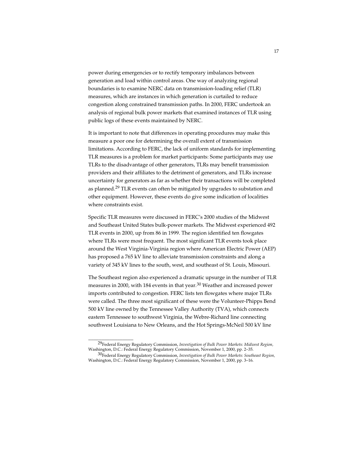power during emergencies or to rectify temporary imbalances between generation and load within control areas. One way of analyzing regional boundaries is to examine NERC data on transmission-loading relief (TLR) measures, which are instances in which generation is curtailed to reduce congestion along constrained transmission paths. In 2000, FERC undertook an analysis of regional bulk power markets that examined instances of TLR using public logs of these events maintained by NERC.

It is important to note that differences in operating procedures may make this measure a poor one for determining the overall extent of transmission limitations. According to FERC, the lack of uniform standards for implementing TLR measures is a problem for market participants: Some participants may use TLRs to the disadvantage of other generators, TLRs may benefit transmission providers and their affiliates to the detriment of generators, and TLRs increase uncertainty for generators as far as whether their transactions will be completed as planned.29 TLR events can often be mitigated by upgrades to substation and other equipment. However, these events do give some indication of localities where constraints exist.

Specific TLR measures were discussed in FERC's 2000 studies of the Midwest and Southeast United States bulk-power markets. The Midwest experienced 492 TLR events in 2000, up from 86 in 1999. The region identified ten flowgates where TLRs were most frequent. The most significant TLR events took place around the West Virginia-Virginia region where American Electric Power (AEP) has proposed a 765 kV line to alleviate transmission constraints and along a variety of 345 kV lines to the south, west, and southeast of St. Louis, Missouri.

The Southeast region also experienced a dramatic upsurge in the number of TLR measures in 2000, with 184 events in that year.<sup>30</sup> Weather and increased power imports contributed to congestion. FERC lists ten flowgates where major TLRs were called. The three most significant of these were the Volunteer-Phipps Bend 500 kV line owned by the Tennessee Valley Authority (TVA), which connects eastern Tennessee to southwest Virginia, the Webre-Richard line connecting southwest Louisiana to New Orleans, and the Hot Springs-McNeil 500 kV line

 $\overline{\phantom{a}}$  , where the contract of the contract of  $\overline{\phantom{a}}$ 

<sup>29</sup>Federal Energy Regulatory Commission, *Investigation of Bulk Power Markets: Midwest Region,* Washington, D.C.: Federal Energy Regulatory Commission, November 1, 2000, pp. 2–35.

<sup>30</sup>Federal Energy Regulatory Commission, *Investigation of Bulk Power Markets: Southeast Region,* Washington, D.C.: Federal Energy Regulatory Commission, November 1, 2000, pp. 3–16.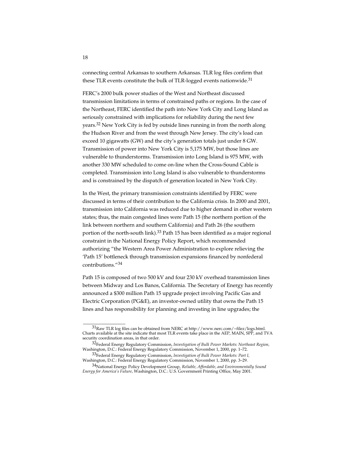connecting central Arkansas to southern Arkansas. TLR log files confirm that these TLR events constitute the bulk of TLR-logged events nationwide.<sup>31</sup>

FERC's 2000 bulk power studies of the West and Northeast discussed transmission limitations in terms of constrained paths or regions. In the case of the Northeast, FERC identified the path into New York City and Long Island as seriously constrained with implications for reliability during the next few years.32 New York City is fed by outside lines running in from the north along the Hudson River and from the west through New Jersey. The city's load can exceed 10 gigawatts (GW) and the city's generation totals just under 8 GW. Transmission of power into New York City is 5,175 MW, but those lines are vulnerable to thunderstorms. Transmission into Long Island is 975 MW, with another 330 MW scheduled to come on-line when the Cross-Sound Cable is completed. Transmission into Long Island is also vulnerable to thunderstorms and is constrained by the dispatch of generation located in New York City.

In the West, the primary transmission constraints identified by FERC were discussed in terms of their contribution to the California crisis. In 2000 and 2001, transmission into California was reduced due to higher demand in other western states; thus, the main congested lines were Path 15 (the northern portion of the link between northern and southern California) and Path 26 (the southern portion of the north-south link).<sup>33</sup> Path 15 has been identified as a major regional constraint in the National Energy Policy Report, which recommended authorizing "the Western Area Power Administration to explore relieving the 'Path 15' bottleneck through transmission expansions financed by nonfederal contributions."<sup>34</sup>

Path 15 is composed of two 500 kV and four 230 kV overhead transmission lines between Midway and Los Banos, California. The Secretary of Energy has recently announced a \$300 million Path 15 upgrade project involving Pacific Gas and Electric Corporation (PG&E), an investor-owned utility that owns the Path 15 lines and has responsibility for planning and investing in line upgrades; the

<sup>31</sup>Raw TLR log files can be obtained from NERC at http://www.nerc.com/~filez/logs.html. Charts available at the site indicate that most TLR events take place in the AEP, MAIN, SPP, and TVA security coordination areas, in that order.

<sup>32</sup>Federal Energy Regulatory Commission, *Investigation of Bulk Power Markets: Northeast Region,* Washington, D.C.: Federal Energy Regulatory Commission, November 1, 2000, pp. 1–72.

<sup>33</sup>Federal Energy Regulatory Commission, *Investigation of Bulk Power Markets: Part I,* Washington, D.C.: Federal Energy Regulatory Commission, November 1, 2000, pp. 3–29.

<sup>34</sup>National Energy Policy Development Group, *Reliable, Affordable, and Environmentally Sound Energy for America's Future,* Washington, D.C.: U.S. Government Printing Office, May 2001.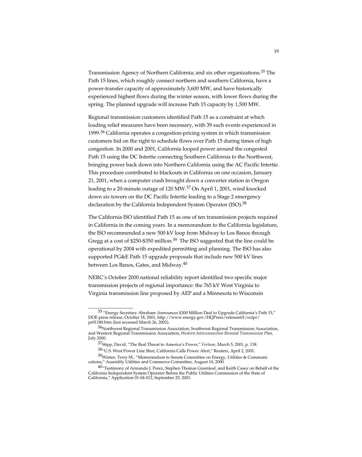Transmission Agency of Northern California; and six other organizations.<sup>35</sup> The Path 15 lines, which roughly connect northern and southern California, have a power-transfer capacity of approximately 3,600 MW, and have historically experienced highest flows during the winter season, with lower flows during the spring. The planned upgrade will increase Path 15 capacity by 1,500 MW.

Regional transmission customers identified Path 15 as a constraint at which loading relief measures have been necessary, with 39 such events experienced in 1999.36 California operates a congestion-pricing system in which transmission customers bid on the right to schedule flows over Path 15 during times of high congestion. In 2000 and 2001, California looped power around the congested Path 15 using the DC Intertie connecting Southern California to the Northwest, bringing power back down into Northern California using the AC Pacific Intertie. This procedure contributed to blackouts in California on one occasion, January 21, 2001, when a computer crash brought down a converter station in Oregon leading to a 20-minute outage of 120 MW.37 On April 1, 2001, wind knocked down six towers on the DC Pacific Intertie leading to a Stage 2 emergency declaration by the California Independent System Operator (ISO).<sup>38</sup>

The California ISO identified Path 15 as one of ten transmission projects required in California in the coming years. In a memorandum to the California legislature, the ISO recommended a new 500 kV loop from Midway to Los Banos through Gregg at a cost of \$250-\$350 million.<sup>39</sup> The ISO suggested that the line could be operational by 2004 with expedited permitting and planning. The ISO has also supported PG&E Path 15 upgrade proposals that include new 500 kV lines between Los Banos, Gates, and Midway.<sup>40</sup>

NERC's October 2000 national reliability report identified two specific major transmission projects of regional importance: the 765 kV West Virginia to Virginia transmission line proposed by AEP and a Minnesota to Wisconsin

<sup>35 &</sup>quot;Energy Secretary Abraham Announces \$300 Million Deal to Upgrade California's Path 15," DOE press release, October 18, 2001, http://www.energy.gov/HQPress/releases01/octpr/ pr01180.htm (last accessed March 26, 2002).

 $^{36}$ Northwest Regional Transmission Association, Southwest Regional Transmission Association, and Western Regional Transmission Association, *Western Interconnection Biennial Transmission Plan,* July 2000.

<sup>37</sup>Stipp, David, "The Real Threat to America's Power," *Fortune,* March 5, 2001, p. 138.

<sup>38&</sup>quot;U.S. West Power Line Shut, California Calls Power Alert," Reuters, April 2, 2001.

 $^{39}$ Winter, Terry M., "Memorandum to Senate Committee on Energy, Utilities & Communications," Assembly Utilities and Commerce Committee, August 10, 2000.

<sup>40&</sup>quot;Testimony of Armando J. Perez, Stephen Thomas Greenleaf, and Keith Casey on Behalf of the California Independent System Operator Before the Public Utilities Commission of the State of California," Application 01-04-012, September 25, 2001.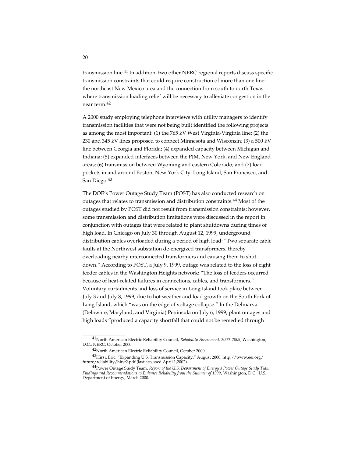transmission line.41 In addition, two other NERC regional reports discuss specific transmission constraints that could require construction of more than one line: the northeast New Mexico area and the connection from south to north Texas where transmission loading relief will be necessary to alleviate congestion in the near term.<sup>42</sup>

A 2000 study employing telephone interviews with utility managers to identify transmission facilities that were not being built identified the following projects as among the most important: (1) the 765 kV West Virginia-Virginia line; (2) the 230 and 345 kV lines proposed to connect Minnesota and Wisconsin; (3) a 500 kV line between Georgia and Florida; (4) expanded capacity between Michigan and Indiana; (5) expanded interfaces between the PJM, New York, and New England areas; (6) transmission between Wyoming and eastern Colorado; and (7) load pockets in and around Boston, New York City, Long Island, San Francisco, and San Diego.<sup>43</sup>

The DOE's Power Outage Study Team (POST) has also conducted research on outages that relates to transmission and distribution constraints.<sup>44</sup> Most of the outages studied by POST did not result from transmission constraints; however, some transmission and distribution limitations were discussed in the report in conjunction with outages that were related to plant shutdowns during times of high load. In Chicago on July 30 through August 12, 1999, underground distribution cables overloaded during a period of high load: "Two separate cable faults at the Northwest substation de-energized transformers, thereby overloading nearby interconnected transformers and causing them to shut down." According to POST, a July 9, 1999, outage was related to the loss of eight feeder cables in the Washington Heights network: "The loss of feeders occurred because of heat-related failures in connections, cables, and transformers." Voluntary curtailments and loss of service in Long Island took place between July 3 and July 8, 1999, due to hot weather and load growth on the South Fork of Long Island, which "was on the edge of voltage collapse." In the Delmarva (Delaware, Maryland, and Virginia) Peninsula on July 6, 1999, plant outages and high loads "produced a capacity shortfall that could not be remedied through

<sup>41</sup>North American Electric Reliability Council, *Reliability Assessment, 2000–2009,* Washington, D.C.: NERC, October 2000.

<sup>42</sup>North American Electric Reliability Council, October 2000.

<sup>43</sup>Hirst, Eric, "Expanding U.S. Transmission Capacity," August 2000, http://www.eei.org/ future/reliability/hirst2.pdf (last accessed April 1,2002).

<sup>44</sup>Power Outage Study Team, *Report of the U.S. Department of Energy's Power Outage Study Team: Findings and Recommendations to Enhance Reliability from the Summer of 1999*, Washington, D.C.: U.S. Department of Energy, March 2000.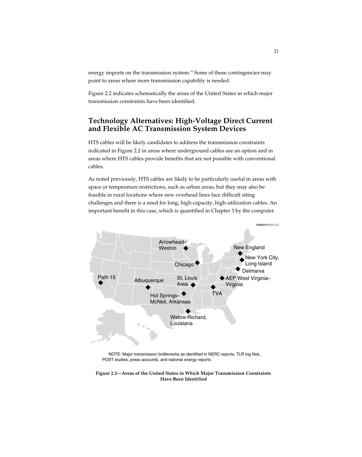energy imports on the transmission system." Some of these contingencies may point to areas where more transmission capability is needed.

Figure 2.2 indicates schematically the areas of the United States in which major transmission constraints have been identified.

## **Technology Alternatives: High-Voltage Direct Current and Flexible AC Transmission System Devices**

HTS cables will be likely candidates to address the transmission constraints indicated in Figure 2.2 in areas where underground cables are an option and in areas where HTS cables provide benefits that are not possible with conventional cables.

As noted previously, HTS cables are likely to be particularly useful in areas with space or temperature restrictions, such as urban areas, but they may also be feasible in rural locations where new overhead lines face difficult siting challenges and there is a need for long, high-capacity, high-utilization cables. An important benefit in this case, which is quantified in Chapter 3 by the computer



NOTE: Major transmission bottlenecks as identified in NERC reports, TLR log files, POST studies, press accounts, and national energy reports.

**Figure 2.2—Areas of the United States in Which Major Transmission Constraints Have Been Identified**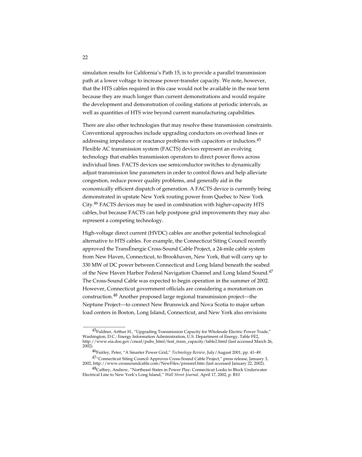simulation results for California's Path 15, is to provide a parallel transmission path at a lower voltage to increase power-transfer capacity. We note, however, that the HTS cables required in this case would not be available in the near term because they are much longer than current demonstrations and would require the development and demonstration of cooling stations at periodic intervals, as well as quantities of HTS wire beyond current manufacturing capabilities.

There are also other technologies that may resolve these transmission constraints. Conventional approaches include upgrading conductors on overhead lines or addressing impedance or reactance problems with capacitors or inductors.<sup>45</sup> Flexible AC transmission system (FACTS) devices represent an evolving technology that enables transmission operators to direct power flows across individual lines. FACTS devices use semiconductor switches to dynamically adjust transmission line parameters in order to control flows and help alleviate congestion, reduce power quality problems, and generally aid in the economically efficient dispatch of generation. A FACTS device is currently being demonstrated in upstate New York routing power from Quebec to New York City.46 FACTS devices may be used in combination with higher-capacity HTS cables, but because FACTS can help postpone grid improvements they may also represent a competing technology.

High-voltage direct current (HVDC) cables are another potential technological alternative to HTS cables. For example, the Connecticut Siting Council recently approved the TransÉnergie Cross-Sound Cable Project, a 24-mile cable system from New Haven, Connecticut, to Brookhaven, New York, that will carry up to 330 MW of DC power between Connecticut and Long Island beneath the seabed of the New Haven Harbor Federal Navigation Channel and Long Island Sound.47 The Cross-Sound Cable was expected to begin operation in the summer of 2002. However, Connecticut government officials are considering a moratorium on construction.48 Another proposed large regional transmission project—the Neptune Project—to connect New Brunswick and Nova Scotia to major urban load centers in Boston, Long Island, Connecticut, and New York also envisions

<sup>45</sup>Fuldner, Arthur H., "Upgrading Transmission Capacity for Wholesale Electric Power Trade," Washington, D.C.: Energy Information Administration, U.S. Department of Energy, Table FE2, http://www.eia.doe.gov/cneaf/pubs\_html/feat\_trans\_capacity/table2.html (last accessed March 26, 2002).

<sup>46</sup>Fairley, Peter, "A Smarter Power Grid," *Technology Review,* July/August 2001, pp. 41–49.

<sup>47&</sup>quot;Connecticut Siting Council Approves Cross-Sound Cable Project," press release, January 3, 2002, http://www.crosssoundcable.com/NewFiles/pressrel.htm (last accessed January 22, 2002).

<sup>48</sup>Caffrey, Andrew, "Northeast States in Power Play: Connecticut Looks to Block Underwater Electrical Line to New York's Long Island," *Wall Street Journal,* April 17, 2002, p. B10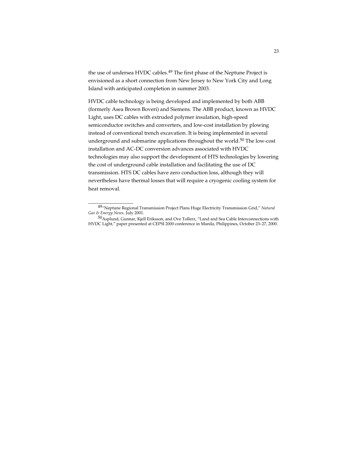the use of undersea HVDC cables.<sup>49</sup> The first phase of the Neptune Project is envisioned as a short connection from New Jersey to New York City and Long Island with anticipated completion in summer 2003.

HVDC cable technology is being developed and implemented by both ABB (formerly Asea Brown Boveri) and Siemens. The ABB product, known as HVDC Light, uses DC cables with extruded polymer insulation, high-speed semiconductor switches and converters, and low-cost installation by plowing instead of conventional trench excavation. It is being implemented in several underground and submarine applications throughout the world.<sup>50</sup> The low-cost installation and AC-DC conversion advances associated with HVDC technologies may also support the development of HTS technologies by lowering the cost of underground cable installation and facilitating the use of DC transmission. HTS DC cables have zero conduction loss, although they will nevertheless have thermal losses that will require a cryogenic cooling system for heat removal.

<sup>49&</sup>quot;Neptune Regional Transmission Project Plans Huge Electricity Transmission Grid," *Natural Gas & Energy News,* July 2001.

<sup>50</sup>Asplund, Gunnar, Kjell Eriksson, and Ove Tollerz, "Land and Sea Cable Interconnections with HVDC Light," paper presented at CEPSI 2000 conference in Manila, Philippines, October 23–27, 2000.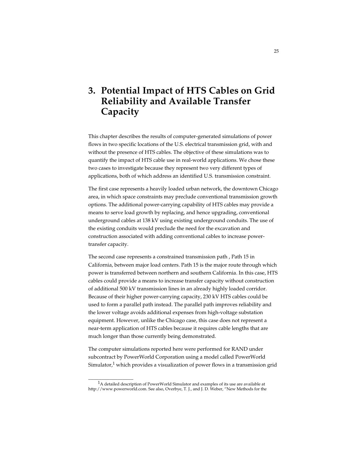# **3. Potential Impact of HTS Cables on Grid Reliability and Available Transfer Capacity**

This chapter describes the results of computer-generated simulations of power flows in two specific locations of the U.S. electrical transmission grid, with and without the presence of HTS cables. The objective of these simulations was to quantify the impact of HTS cable use in real-world applications. We chose these two cases to investigate because they represent two very different types of applications, both of which address an identified U.S. transmission constraint.

The first case represents a heavily loaded urban network, the downtown Chicago area, in which space constraints may preclude conventional transmission growth options. The additional power-carrying capability of HTS cables may provide a means to serve load growth by replacing, and hence upgrading, conventional underground cables at 138 kV using existing underground conduits. The use of the existing conduits would preclude the need for the excavation and construction associated with adding conventional cables to increase powertransfer capacity.

The second case represents a constrained transmission path , Path 15 in California, between major load centers. Path 15 is the major route through which power is transferred between northern and southern California. In this case, HTS cables could provide a means to increase transfer capacity without construction of additional 500 kV transmission lines in an already highly loaded corridor. Because of their higher power-carrying capacity, 230 kV HTS cables could be used to form a parallel path instead. The parallel path improves reliability and the lower voltage avoids additional expenses from high-voltage substation equipment. However, unlike the Chicago case, this case does not represent a near-term application of HTS cables because it requires cable lengths that are much longer than those currently being demonstrated.

The computer simulations reported here were performed for RAND under subcontract by PowerWorld Corporation using a model called PowerWorld Simulator,<sup>1</sup> which provides a visualization of power flows in a transmission grid

 $\overline{\phantom{a}}$  , where the contract of the contract of  $\overline{\phantom{a}}$ 

 $1_A$  detailed description of PowerWorld Simulator and examples of its use are available at http://www.powerworld.com. See also, Overbye, T. J., and J. D. Weber, "New Methods for the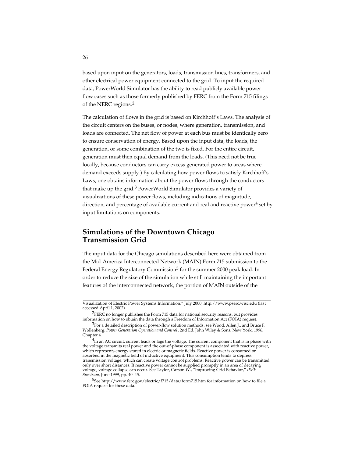based upon input on the generators, loads, transmission lines, transformers, and other electrical power equipment connected to the grid. To input the required data, PowerWorld Simulator has the ability to read publicly available powerflow cases such as those formerly published by FERC from the Form 715 filings of the NERC regions.<sup>2</sup>

The calculation of flows in the grid is based on Kirchhoff's Laws. The analysis of the circuit centers on the buses, or nodes, where generation, transmission, and loads are connected. The net flow of power at each bus must be identically zero to ensure conservation of energy. Based upon the input data, the loads, the generation, or some combination of the two is fixed. For the entire circuit, generation must then equal demand from the loads. (This need not be true locally, because conductors can carry excess generated power to areas where demand exceeds supply.) By calculating how power flows to satisfy Kirchhoff's Laws, one obtains information about the power flows through the conductors that make up the grid.3 PowerWorld Simulator provides a variety of visualizations of these power flows, including indications of magnitude, direction, and percentage of available current and real and reactive power<sup>4</sup> set by input limitations on components.

## **Simulations of the Downtown Chicago Transmission Grid**

The input data for the Chicago simulations described here were obtained from the Mid-America Interconnected Network (MAIN) Form 715 submission to the Federal Energy Regulatory Commission<sup>5</sup> for the summer 2000 peak load. In order to reduce the size of the simulation while still maintaining the important features of the interconnected network, the portion of MAIN outside of the

<sup>2</sup>FERC no longer publishes the Form 715 data for national security reasons, but provides information on how to obtain the data through a Freedom of Information Act (FOIA) request.

26

\_\_\_\_\_\_\_\_\_\_\_\_\_\_\_\_\_\_\_\_\_\_\_\_\_\_\_\_\_\_\_\_\_\_\_\_\_\_\_\_\_\_\_\_\_\_\_\_\_\_\_\_\_\_\_\_\_\_\_\_\_\_\_\_\_\_\_\_\_\_\_ Visualization of Electric Power Systems Information," July 2000, http://www.pserc.wisc.edu (last accessed April 1, 2002).

 $3$ For a detailed description of power-flow solution methods, see Wood, Allen J., and Bruce F. Wollenberg, *Power Generation Operation and Control*, 2nd Ed. John Wiley & Sons, New York, 1996, Chapter 4.

 $^{4}$ In an AC circuit, current leads or lags the voltage. The current component that is in phase with the voltage transmits real power and the out-of-phase component is associated with reactive power, which represents energy stored in electric or magnetic fields. Reactive power is consumed or absorbed in the magnetic field of inductive equipment. This consumption tends to depress transmission voltage, which can create voltage control problems. Reactive power can be transmitted only over short distances. If reactive power cannot be supplied promptly in an area of decaying voltage, voltage collapse can occur. See Taylor, Carson W., "Improving Grid Behavior," *IEEE Spectrum,* June 1999, pp. 40–45.

<sup>&</sup>lt;sup>5</sup>See http://www.ferc.gov/electric/f715/data/form715.htm for information on how to file a FOIA request for these data.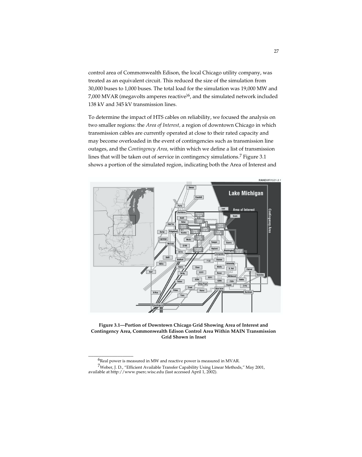control area of Commonwealth Edison, the local Chicago utility company, was treated as an equivalent circuit. This reduced the size of the simulation from 30,000 buses to 1,000 buses. The total load for the simulation was 19,000 MW and 7,000 MVAR (megavolts amperes reactive<sup>)6</sup>, and the simulated network included 138 kV and 345 kV transmission lines.

To determine the impact of HTS cables on reliability, we focused the analysis on two smaller regions: the *Area of Interest,* a region of downtown Chicago in which transmission cables are currently operated at close to their rated capacity and may become overloaded in the event of contingencies such as transmission line outages, and the *Contingency Area,* within which we define a list of transmission lines that will be taken out of service in contingency simulations.<sup>7</sup> Figure 3.1 shows a portion of the simulated region, indicating both the Area of Interest and



**Figure 3.1—Portion of Downtown Chicago Grid Showing Area of Interest and Contingency Area, Commonwealth Edison Control Area Within MAIN Transmission Grid Shown in Inset**

 $^6$ Real power is measured in MW and reactive power is measured in MVAR.

<sup>7</sup>Weber, J. D., "Efficient Available Transfer Capability Using Linear Methods," May 2001, available at http://www.pserc.wisc.edu (last accessed April 1, 2002).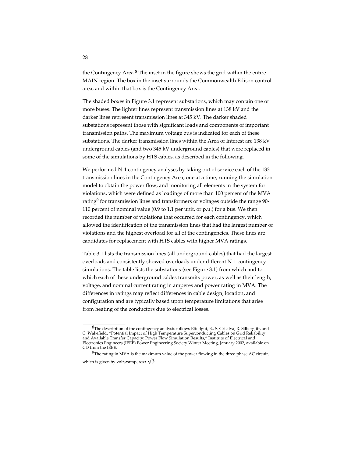the Contingency Area. $8$  The inset in the figure shows the grid within the entire MAIN region. The box in the inset surrounds the Commonwealth Edison control area, and within that box is the Contingency Area.

The shaded boxes in Figure 3.1 represent substations, which may contain one or more buses. The lighter lines represent transmission lines at 138 kV and the darker lines represent transmission lines at 345 kV. The darker shaded substations represent those with significant loads and components of important transmission paths. The maximum voltage bus is indicated for each of these substations. The darker transmission lines within the Area of Interest are 138 kV underground cables (and two 345 kV underground cables) that were replaced in some of the simulations by HTS cables, as described in the following.

We performed N-1 contingency analyses by taking out of service each of the 133 transmission lines in the Contingency Area, one at a time, running the simulation model to obtain the power flow, and monitoring all elements in the system for violations, which were defined as loadings of more than 100 percent of the MVA rating<sup>9</sup> for transmission lines and transformers or voltages outside the range 90-110 percent of nominal value (0.9 to 1.1 per unit, or p.u.) for a bus. We then recorded the number of violations that occurred for each contingency, which allowed the identification of the transmission lines that had the largest number of violations and the highest overload for all of the contingencies. These lines are candidates for replacement with HTS cables with higher MVA ratings.

Table 3.1 lists the transmission lines (all underground cables) that had the largest overloads and consistently showed overloads under different N-1 contingency simulations. The table lists the substations (see Figure 3.1) from which and to which each of these underground cables transmits power, as well as their length, voltage, and nominal current rating in amperes and power rating in MVA. The differences in ratings may reflect differences in cable design, location, and configuration and are typically based upon temperature limitations that arise from heating of the conductors due to electrical losses.

28

 ${}^{8}$ The description of the contingency analysis follows Ettedgui, E., S. Grijalva, R. Silberglitt, and C. Wakefield, "Potential Impact of High Temperature Superconducting Cables on Grid Reliability and Available Transfer Capacity: Power Flow Simulation Results," Institute of Electrical and Electronics Engineers (IEEE) Power Engineering Society Winter Meeting, January 2002, available on CD from the IEEE.

 $9$ The rating in MVA is the maximum value of the power flowing in the three-phase AC circuit, which is given by volts•amperes•  $\sqrt{3}$ .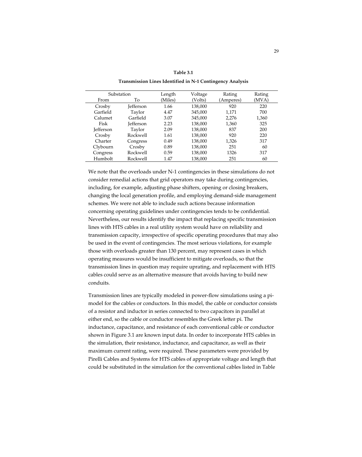| Substation<br>To<br>From |                  | Length<br>(Miles) | Voltage<br>(Volts) | Rating<br>(Amperes) | Rating<br>(MVA) |
|--------------------------|------------------|-------------------|--------------------|---------------------|-----------------|
| Crosby                   | <b>Jefferson</b> | 1.66              | 138,000            | 920                 | 220             |
| Garfield                 | Taylor           | 4.47              | 345,000            | 1,171               | 700             |
| Calumet                  | Garfield         | 3.07              | 345,000            | 2,276               | 1,360           |
| Fisk                     | <b>Jefferson</b> | 2.23              | 138,000            | 1,360               | 325             |
| <b>Jefferson</b>         | Taylor           | 2.09              | 138,000            | 837                 | 200             |
| Crosby                   | Rockwell         | 1.61              | 138,000            | 920                 | 220             |
| Charter                  | Congress         | 0.49              | 138,000            | 1,326               | 317             |
| Clybourn                 | Crosby           | 0.89              | 138,000            | 251                 | 60              |
| Congress                 | Rockwell         | 0.59              | 138,000            | 1326                | 317             |
| Humbolt                  | Rockwell         | 1.47              | 138,000            | 251                 | 60              |

**Table 3.1 Transmission Lines Identified in N-1 Contingency Analysis**

We note that the overloads under N-1 contingencies in these simulations do not consider remedial actions that grid operators may take during contingencies, including, for example, adjusting phase shifters, opening or closing breakers, changing the local generation profile, and employing demand-side management schemes. We were not able to include such actions because information concerning operating guidelines under contingencies tends to be confidential. Nevertheless, our results identify the impact that replacing specific transmission lines with HTS cables in a real utility system would have on reliability and transmission capacity, irrespective of specific operating procedures that may also be used in the event of contingencies. The most serious violations, for example those with overloads greater than 130 percent, may represent cases in which operating measures would be insufficient to mitigate overloads, so that the transmission lines in question may require uprating, and replacement with HTS cables could serve as an alternative measure that avoids having to build new conduits.

Transmission lines are typically modeled in power-flow simulations using a pimodel for the cables or conductors. In this model, the cable or conductor consists of a resistor and inductor in series connected to two capacitors in parallel at either end, so the cable or conductor resembles the Greek letter pi. The inductance, capacitance, and resistance of each conventional cable or conductor shown in Figure 3.1 are known input data. In order to incorporate HTS cables in the simulation, their resistance, inductance, and capacitance, as well as their maximum current rating, were required. These parameters were provided by Pirelli Cables and Systems for HTS cables of appropriate voltage and length that could be substituted in the simulation for the conventional cables listed in Table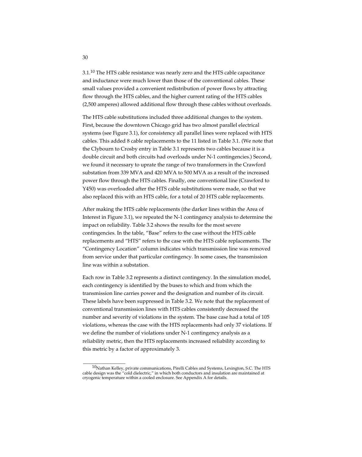3.1.10 The HTS cable resistance was nearly zero and the HTS cable capacitance and inductance were much lower than those of the conventional cables. These small values provided a convenient redistribution of power flows by attracting flow through the HTS cables, and the higher current rating of the HTS cables (2,500 amperes) allowed additional flow through these cables without overloads.

The HTS cable substitutions included three additional changes to the system. First, because the downtown Chicago grid has two almost parallel electrical systems (see Figure 3.1), for consistency all parallel lines were replaced with HTS cables. This added 8 cable replacements to the 11 listed in Table 3.1. (We note that the Clybourn to Crosby entry in Table 3.1 represents two cables because it is a double circuit and both circuits had overloads under N-1 contingencies.) Second, we found it necessary to uprate the range of two transformers in the Crawford substation from 339 MVA and 420 MVA to 500 MVA as a result of the increased power flow through the HTS cables. Finally, one conventional line (Crawford to Y450) was overloaded after the HTS cable substitutions were made, so that we also replaced this with an HTS cable, for a total of 20 HTS cable replacements.

After making the HTS cable replacements (the darker lines within the Area of Interest in Figure 3.1), we repeated the N-1 contingency analysis to determine the impact on reliability. Table 3.2 shows the results for the most severe contingencies. In the table, "Base" refers to the case without the HTS cable replacements and "HTS" refers to the case with the HTS cable replacements. The "Contingency Location" column indicates which transmission line was removed from service under that particular contingency. In some cases, the transmission line was within a substation.

Each row in Table 3.2 represents a distinct contingency. In the simulation model, each contingency is identified by the buses to which and from which the transmission line carries power and the designation and number of its circuit. These labels have been suppressed in Table 3.2. We note that the replacement of conventional transmission lines with HTS cables consistently decreased the number and severity of violations in the system. The base case had a total of 105 violations, whereas the case with the HTS replacements had only 37 violations. If we define the number of violations under N-1 contingency analysis as a reliability metric, then the HTS replacements increased reliability according to this metric by a factor of approximately 3.

 $^{10}$ Nathan Kelley, private communications, Pirelli Cables and Systems, Lexington, S.C. The HTS cable design was the "cold dielectric," in which both conductors and insulation are maintained at cryogenic temperature within a cooled enclosure. See Appendix A for details.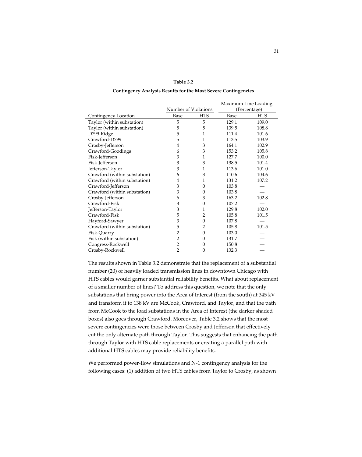|                              |                      |                | Maximum Line Loading |              |
|------------------------------|----------------------|----------------|----------------------|--------------|
|                              | Number of Violations |                |                      | (Percentage) |
| Contingency Location         | Base                 | <b>HTS</b>     | Base                 | <b>HTS</b>   |
| Taylor (within substation)   | 5                    | 5              | 129.1                | 109.0        |
| Taylor (within substation)   | 5                    | 5              | 139.5                | 108.8        |
| D799-Ridge                   | 5                    | 1              | 111.4                | 101.6        |
| Crawford-D799                | 5                    | 1              | 113.5                | 103.9        |
| Crosby-Jefferson             | 4                    | 3              | 164.1                | 102.9        |
| Crawford-Goodings            | 6                    | 3              | 153.2                | 105.8        |
| Fisk-Jefferson               | 3                    | 1              | 127.7                | 100.0        |
| Fisk-Jefferson               | 3                    | 3              | 138.5                | 101.4        |
| Jefferson-Taylor             | 3                    | 1              | 113.6                | 101.0        |
| Crawford (within substation) | 6                    | 3              | 110.6                | 104.6        |
| Crawford (within substation) | 4                    | 1              | 131.2                | 107.2        |
| Crawford-Jefferson           | 3                    | 0              | 103.8                |              |
| Crawford (within substation) | 3                    | 0              | 103.8                |              |
| Crosby-Jefferson             | 6                    | 3              | 163.2                | 102.8        |
| Crawford-Fisk                | 3                    | $\overline{0}$ | 107.2                |              |
| Jefferson-Taylor             | 3                    | 1              | 129.8                | 102.0        |
| Crawford-Fisk                | 5                    | 2              | 105.8                | 101.5        |
| Hayford-Sawyer               | 3                    | 0              | 107.8                |              |
| Crawford (within substation) | 5                    | 2              | 105.8                | 101.5        |
| Fisk-Quarry                  | $\overline{2}$       | 0              | 103.0                |              |
| Fisk (within substation)     | 2                    | 0              | 131.7                |              |
| Congress-Rockwell            | $\overline{2}$       | 0              | 150.8                |              |
| Crosby-Rockwell              | 2                    | 0              | 132.3                |              |

**Table 3.2 Contingency Analysis Results for the Most Severe Contingencies**

The results shown in Table 3.2 demonstrate that the replacement of a substantial number (20) of heavily loaded transmission lines in downtown Chicago with HTS cables would garner substantial reliability benefits. What about replacement of a smaller number of lines? To address this question, we note that the only substations that bring power into the Area of Interest (from the south) at 345 kV and transform it to 138 kV are McCook, Crawford, and Taylor, and that the path from McCook to the load substations in the Area of Interest (the darker shaded boxes) also goes through Crawford. Moreover, Table 3.2 shows that the most severe contingencies were those between Crosby and Jefferson that effectively cut the only alternate path through Taylor. This suggests that enhancing the path through Taylor with HTS cable replacements or creating a parallel path with additional HTS cables may provide reliability benefits.

We performed power-flow simulations and N-1 contingency analysis for the following cases: (1) addition of two HTS cables from Taylor to Crosby, as shown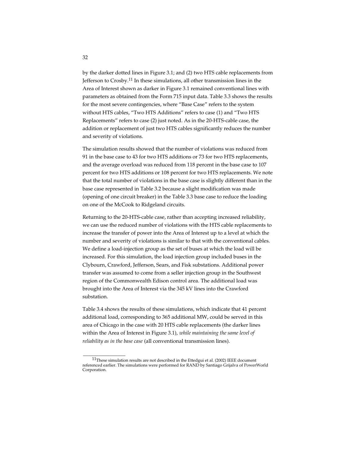by the darker dotted lines in Figure 3.1; and (2) two HTS cable replacements from Jefferson to Crosby.11 In these simulations, all other transmission lines in the Area of Interest shown as darker in Figure 3.1 remained conventional lines with parameters as obtained from the Form 715 input data. Table 3.3 shows the results for the most severe contingencies, where "Base Case" refers to the system without HTS cables, "Two HTS Additions" refers to case (1) and "Two HTS Replacements" refers to case (2) just noted. As in the 20-HTS-cable case, the addition or replacement of just two HTS cables significantly reduces the number and severity of violations.

The simulation results showed that the number of violations was reduced from 91 in the base case to 43 for two HTS additions or 73 for two HTS replacements, and the average overload was reduced from 118 percent in the base case to 107 percent for two HTS additions or 108 percent for two HTS replacements. We note that the total number of violations in the base case is slightly different than in the base case represented in Table 3.2 because a slight modification was made (opening of one circuit breaker) in the Table 3.3 base case to reduce the loading on one of the McCook to Ridgeland circuits.

Returning to the 20-HTS-cable case, rather than accepting increased reliability, we can use the reduced number of violations with the HTS cable replacements to increase the transfer of power into the Area of Interest up to a level at which the number and severity of violations is similar to that with the conventional cables. We define a load-injection group as the set of buses at which the load will be increased. For this simulation, the load injection group included buses in the Clybourn, Crawford, Jefferson, Sears, and Fisk substations. Additional power transfer was assumed to come from a seller injection group in the Southwest region of the Commonwealth Edison control area. The additional load was brought into the Area of Interest via the 345 kV lines into the Crawford substation.

Table 3.4 shows the results of these simulations, which indicate that 41 percent additional load, corresponding to 365 additional MW, could be served in this area of Chicago in the case with 20 HTS cable replacements (the darker lines within the Area of Interest in Figure 3.1), *while maintaining the same level of reliability as in the base case* (all conventional transmission lines).

 $11$ These simulation results are not described in the Ettedgui et al. (2002) IEEE document referenced earlier. The simulations were performed for RAND by Santiago Grijalva of PowerWorld Corporation.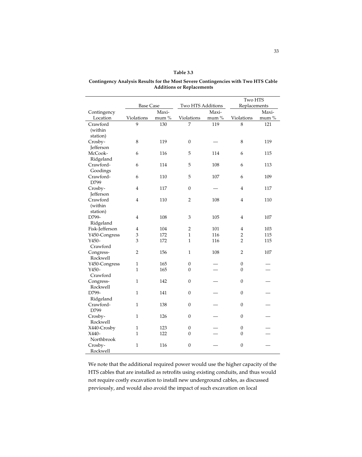#### **Table 3.3**

**Contingency Analysis Results for the Most Severe Contingencies with Two HTS Cable Additions or Replacements**

|                        | <b>Base Case</b> |       | Two HTS Additions |       | Two HTS<br>Replacements |          |
|------------------------|------------------|-------|-------------------|-------|-------------------------|----------|
| Contingency            |                  | Maxi- |                   | Maxi- |                         | Maxi-    |
| Location               | Violations       | mum % | Violations        | mum % | Violations              | mum $\%$ |
| Crawford               | 9                | 130   | 7                 | 119   | 8                       | 121      |
| (within                |                  |       |                   |       |                         |          |
| station)               |                  |       |                   |       |                         |          |
| Crosby-                | 8                | 119   | $\theta$          |       | 8                       | 119      |
| Jefferson              |                  |       |                   |       |                         |          |
| McCook-                | 6                | 116   | 5                 | 114   | 6                       | 115      |
| Ridgeland              |                  |       |                   |       |                         |          |
| Crawford-              | 6                | 114   | 5                 | 108   | 6                       | 113      |
| Goodings               |                  |       |                   |       |                         |          |
| Crawford-              | 6                | 110   | 5                 | 107   | 6                       | 109      |
| D799                   |                  |       |                   |       |                         |          |
| Crosby-                | 4                | 117   | $\theta$          |       | 4                       | 117      |
| Jefferson              |                  |       |                   |       |                         |          |
| Crawford               | 4                | 110   | $\overline{2}$    | 108   | $\overline{4}$          | 110      |
| (within                |                  |       |                   |       |                         |          |
| station)               |                  |       |                   |       |                         |          |
| D799-                  | 4                | 108   | 3                 | 105   | 4                       | 107      |
| Ridgeland              |                  |       |                   |       |                         |          |
| Fisk-Jefferson         | $\overline{4}$   | 104   | $\overline{2}$    | 101   | $\bf 4$                 | 103      |
| Y450-Congress          | 3                | 172   | $\mathbf{1}$      | 116   | $\overline{c}$          | 115      |
| $Y450-$                | 3                | 172   | $\mathbf{1}$      | 116   | $\overline{2}$          | 115      |
| Crawford               |                  |       |                   |       |                         |          |
| Congress-              | $\overline{2}$   | 156   | $\mathbf 1$       | 108   | $\overline{2}$          | 107      |
| Rockwell               |                  |       |                   |       |                         |          |
| Y450-Congress          | $\mathbf 1$      | 165   | $\boldsymbol{0}$  |       | $\boldsymbol{0}$        |          |
| $Y450-$                | $\mathbf{1}$     | 165   | $\boldsymbol{0}$  |       | $\boldsymbol{0}$        |          |
| Crawford               |                  |       |                   |       |                         |          |
| Congress-              | $\mathbf 1$      | 142   | $\boldsymbol{0}$  |       | $\boldsymbol{0}$        |          |
| Rockwell               |                  |       |                   |       |                         |          |
| D799-                  | $\mathbf{1}$     | 141   | $\boldsymbol{0}$  |       | $\mathbf{0}$            |          |
| Ridgeland              |                  |       |                   |       |                         |          |
| Crawford-<br>D799      | $\mathbf{1}$     | 138   | $\boldsymbol{0}$  |       | $\boldsymbol{0}$        |          |
|                        |                  | 126   |                   |       | $\boldsymbol{0}$        |          |
| Crosby-<br>Rockwell    | $\mathbf{1}$     |       | $\boldsymbol{0}$  |       |                         |          |
|                        | $\mathbf{1}$     | 123   | $\boldsymbol{0}$  |       | $\boldsymbol{0}$        |          |
| X440-Crosby<br>$X440-$ | 1                | 122   | $\theta$          |       | $\theta$                |          |
| Northbrook             |                  |       |                   |       |                         |          |
| Crosby-                | 1                | 116   | $\theta$          |       | $\boldsymbol{0}$        |          |
| Rockwell               |                  |       |                   |       |                         |          |

We note that the additional required power would use the higher capacity of the HTS cables that are installed as retrofits using existing conduits, and thus would not require costly excavation to install new underground cables, as discussed previously, and would also avoid the impact of such excavation on local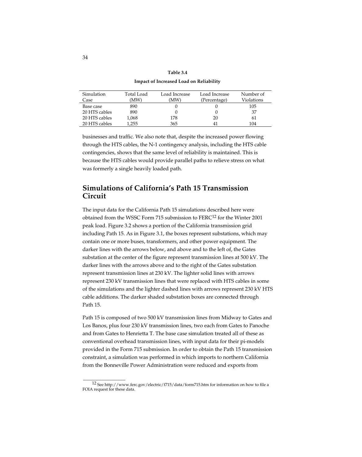| Simulation<br>Case | Total Load<br>MW) | Load Increase<br>(MW) | Load Increase<br>(Percentage) | Number of<br>Violations |
|--------------------|-------------------|-----------------------|-------------------------------|-------------------------|
| Base case          | 890               |                       |                               | 105                     |
| 20 HTS cables      | 890               |                       |                               | 37                      |
| 20 HTS cables      | 1,068             | 178                   | 20                            | 61                      |
| 20 HTS cables      | .255              | 365                   | 41                            | 104                     |

### **Table 3.4 Impact of Increased Load on Reliability**

businesses and traffic. We also note that, despite the increased power flowing through the HTS cables, the N-1 contingency analysis, including the HTS cable contingencies, shows that the same level of reliability is maintained. This is because the HTS cables would provide parallel paths to relieve stress on what was formerly a single heavily loaded path.

# **Simulations of California's Path 15 Transmission Circuit**

The input data for the California Path 15 simulations described here were obtained from the WSSC Form 715 submission to FERC<sup>12</sup> for the Winter 2001 peak load. Figure 3.2 shows a portion of the California transmission grid including Path 15. As in Figure 3.1, the boxes represent substations, which may contain one or more buses, transformers, and other power equipment. The darker lines with the arrows below, and above and to the left of, the Gates substation at the center of the figure represent transmission lines at 500 kV. The darker lines with the arrows above and to the right of the Gates substation represent transmission lines at 230 kV. The lighter solid lines with arrows represent 230 kV transmission lines that were replaced with HTS cables in some of the simulations and the lighter dashed lines with arrows represent 230 kV HTS cable additions. The darker shaded substation boxes are connected through Path 15.

Path 15 is composed of two 500 kV transmission lines from Midway to Gates and Los Banos, plus four 230 kV transmission lines, two each from Gates to Panoche and from Gates to Henrietta T. The base case simulation treated all of these as conventional overhead transmission lines, with input data for their pi-models provided in the Form 715 submission. In order to obtain the Path 15 transmission constraint, a simulation was performed in which imports to northern California from the Bonneville Power Administration were reduced and exports from

<sup>12</sup> See http://www.ferc.gov/electric/f715/data/form715.htm for information on how to file a FOIA request for these data.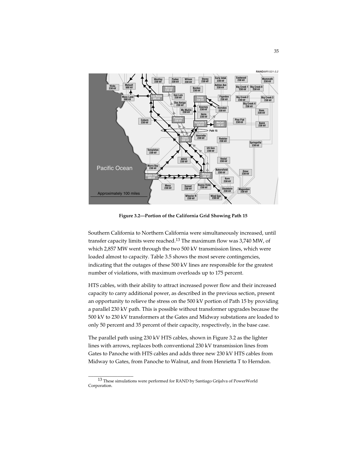

**Figure 3.2—Portion of the California Grid Showing Path 15**

Southern California to Northern California were simultaneously increased, until transfer capacity limits were reached.13 The maximum flow was 3,740 MW, of which 2,857 MW went through the two 500 kV transmission lines, which were loaded almost to capacity. Table 3.5 shows the most severe contingencies, indicating that the outages of these 500 kV lines are responsible for the greatest number of violations, with maximum overloads up to 175 percent.

HTS cables, with their ability to attract increased power flow and their increased capacity to carry additional power, as described in the previous section, present an opportunity to relieve the stress on the 500 kV portion of Path 15 by providing a parallel 230 kV path. This is possible without transformer upgrades because the 500 kV to 230 kV transformers at the Gates and Midway substations are loaded to only 50 percent and 35 percent of their capacity, respectively, in the base case.

The parallel path using 230 kV HTS cables, shown in Figure 3.2 as the lighter lines with arrows, replaces both conventional 230 kV transmission lines from Gates to Panoche with HTS cables and adds three new 230 kV HTS cables from Midway to Gates, from Panoche to Walnut, and from Henrietta T to Herndon.

 $\overline{\phantom{a}}$  , where the contract of the contract of  $\overline{\phantom{a}}$ 

<sup>&</sup>lt;sup>13</sup> These simulations were performed for RAND by Santiago Grijalva of PowerWorld Corporation.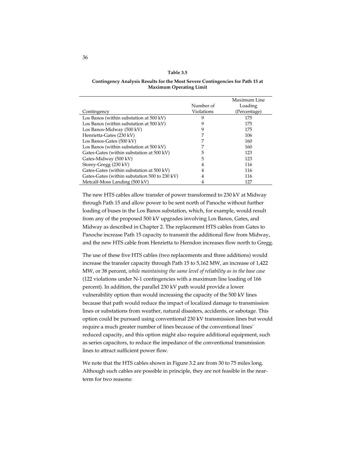#### **Table 3.5**

#### **Contingency Analysis Results for the Most Severe Contingencies for Path 15 at Maximum Operating Limit**

|                                               |            | Maximum Line |
|-----------------------------------------------|------------|--------------|
|                                               | Number of  | Loading      |
| Contingency                                   | Violations | (Percentage) |
| Los Banos (within substation at 500 kV)       | 9          | 175          |
| Los Banos (within substation at 500 kV)       | 9          | 175          |
| Los Banos-Midway (500 kV)                     | 9          | 175          |
| Henrietta-Gates (230 kV)                      |            | 106          |
| Los Banos-Gates (500 kV)                      |            | 160          |
| Los Banos (within substation at 500 kV)       |            | 160          |
| Gates-Gates (within substation at 500 kV)     | 5          | 123          |
| Gates-Midway (500 kV)                         | 5          | 123          |
| Storey-Gregg (230 kV)                         | 4          | 116          |
| Gates-Gates (within substation at 500 kV)     | 4          | 116          |
| Gates-Gates (within substation 500 to 230 kV) |            | 116          |
| Metcalf-Moss Landing (500 kV)                 |            | 127          |

The new HTS cables allow transfer of power transformed to 230 kV at Midway through Path 15 and allow power to be sent north of Panoche without further loading of buses in the Los Banos substation, which, for example, would result from any of the proposed 500 kV upgrades involving Los Banos, Gates, and Midway as described in Chapter 2. The replacement HTS cables from Gates to Panoche increase Path 15 capacity to transmit the additional flow from Midway, and the new HTS cable from Henrietta to Herndon increases flow north to Gregg.

The use of these five HTS cables (two replacements and three additions) would increase the transfer capacity through Path 15 to 5,162 MW, an increase of 1,422 MW, or 38 percent, *while maintaining the same level of reliability as in the base case* (122 violations under N-1 contingencies with a maximum line loading of 166 percent). In addition, the parallel 230 kV path would provide a lower vulnerability option than would increasing the capacity of the 500 kV lines because that path would reduce the impact of localized damage to transmission lines or substations from weather, natural disasters, accidents, or sabotage. This option could be pursued using conventional 230 kV transmission lines but would require a much greater number of lines because of the conventional lines' reduced capacity, and this option might also require additional equipment, such as series capacitors, to reduce the impedance of the conventional transmission lines to attract sufficient power flow.

We note that the HTS cables shown in Figure 3.2 are from 30 to 75 miles long. Although such cables are possible in principle, they are not feasible in the nearterm for two reasons: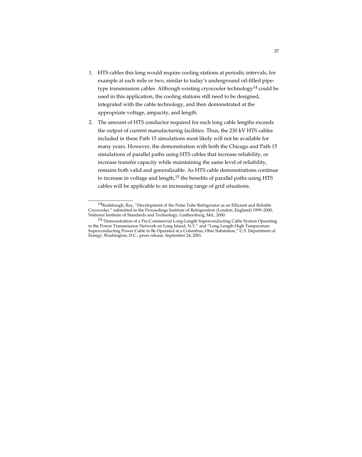- 1. HTS cables this long would require cooling stations at periodic intervals, for example at each mile or two, similar to today's underground oil-filled pipetype transmission cables. Although existing cryocooler technology<sup>14</sup> could be used in this application, the cooling stations still need to be designed, integrated with the cable technology, and then demonstrated at the appropriate voltage, ampacity, and length.
- 2. The amount of HTS conductor required for such long cable lengths exceeds the output of current manufacturing facilities. Thus, the 230 kV HTS cables included in these Path 15 simulations most likely will not be available for many years. However, the demonstration with both the Chicago and Path 15 simulations of parallel paths using HTS cables that increase reliability, or increase transfer capacity while maintaining the same level of reliability, remains both valid and generalizable. As HTS cable demonstrations continue to increase in voltage and length,<sup>15</sup> the benefits of parallel paths using HTS cables will be applicable to an increasing range of grid situations.

 $^{14}$ Radebaugh, Ray, "Development of the Pulse Tube Refrigerator as an Efficient and Reliable Cryocooler," submitted to the Proceedings Institute of Refrigeration (London, England) 1999–2000, National Institute of Standards and Technology, Gaithersburg, Md., 2000.

<sup>&</sup>lt;sup>15</sup>"Demonstration of a Pre-Commercial Long-Length Superconducting Cable System Operating in the Power Transmission Network on Long Island, N.Y." and "Long Length High Temperature Superconducting Power Cable to Be Operated at a Columbus, Ohio Substation," U.S. Department of Energy, Washington, D.C., press release, September 24, 2001.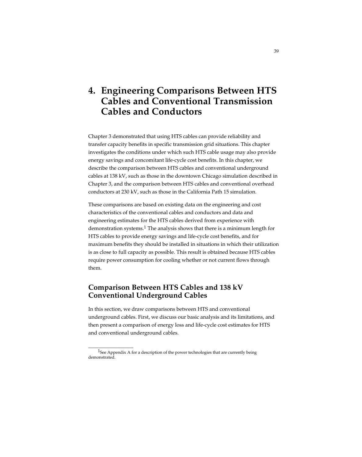# **4. Engineering Comparisons Between HTS Cables and Conventional Transmission Cables and Conductors**

Chapter 3 demonstrated that using HTS cables can provide reliability and transfer capacity benefits in specific transmission grid situations. This chapter investigates the conditions under which such HTS cable usage may also provide energy savings and concomitant life-cycle cost benefits. In this chapter, we describe the comparison between HTS cables and conventional underground cables at 138 kV, such as those in the downtown Chicago simulation described in Chapter 3, and the comparison between HTS cables and conventional overhead conductors at 230 kV, such as those in the California Path 15 simulation.

These comparisons are based on existing data on the engineering and cost characteristics of the conventional cables and conductors and data and engineering estimates for the HTS cables derived from experience with demonstration systems.<sup>1</sup> The analysis shows that there is a minimum length for HTS cables to provide energy savings and life-cycle cost benefits, and for maximum benefits they should be installed in situations in which their utilization is as close to full capacity as possible. This result is obtained because HTS cables require power consumption for cooling whether or not current flows through them.

## **Comparison Between HTS Cables and 138 kV Conventional Underground Cables**

In this section, we draw comparisons between HTS and conventional underground cables. First, we discuss our basic analysis and its limitations, and then present a comparison of energy loss and life-cycle cost estimates for HTS and conventional underground cables.

<sup>&</sup>lt;sup>1</sup>See Appendix A for a description of the power technologies that are currently being demonstrated.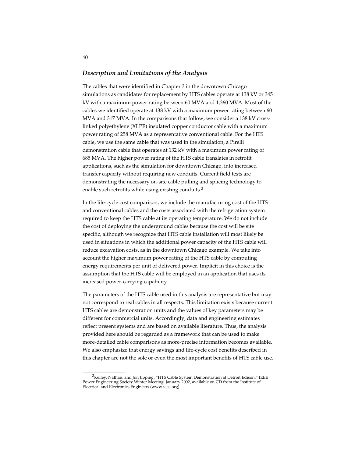### *Description and Limitations of the Analysis*

The cables that were identified in Chapter 3 in the downtown Chicago simulations as candidates for replacement by HTS cables operate at 138 kV or 345 kV with a maximum power rating between 60 MVA and 1,360 MVA. Most of the cables we identified operate at 138 kV with a maximum power rating between 60 MVA and 317 MVA. In the comparisons that follow, we consider a 138 kV crosslinked polyethylene (XLPE) insulated copper conductor cable with a maximum power rating of 258 MVA as a representative conventional cable. For the HTS cable, we use the same cable that was used in the simulation, a Pirelli demonstration cable that operates at 132 kV with a maximum power rating of 685 MVA. The higher power rating of the HTS cable translates in retrofit applications, such as the simulation for downtown Chicago, into increased transfer capacity without requiring new conduits. Current field tests are demonstrating the necessary on-site cable pulling and splicing technology to enable such retrofits while using existing conduits.<sup>2</sup>

In the life-cycle cost comparison, we include the manufacturing cost of the HTS and conventional cables and the costs associated with the refrigeration system required to keep the HTS cable at its operating temperature. We do not include the cost of deploying the underground cables because the cost will be site specific, although we recognize that HTS cable installation will most likely be used in situations in which the additional power capacity of the HTS cable will reduce excavation costs, as in the downtown Chicago example. We take into account the higher maximum power rating of the HTS cable by computing energy requirements per unit of delivered power. Implicit in this choice is the assumption that the HTS cable will be employed in an application that uses its increased power-carrying capability.

The parameters of the HTS cable used in this analysis are representative but may not correspond to real cables in all respects. This limitation exists because current HTS cables are demonstration units and the values of key parameters may be different for commercial units. Accordingly, data and engineering estimates reflect present systems and are based on available literature. Thus, the analysis provided here should be regarded as a framework that can be used to make more-detailed cable comparisons as more-precise information becomes available. We also emphasize that energy savings and life-cycle cost benefits described in this chapter are not the sole or even the most important benefits of HTS cable use.

\_\_\_\_\_\_\_\_\_\_\_\_\_\_\_\_

40

<sup>&</sup>lt;sup>2</sup>Kelley, Nathan, and Jon Jipping, "HTS Cable System Demonstration at Detroit Edison," IEEE Power Engineering Society Winter Meeting, January 2002, available on CD from the Institute of Electrical and Electronics Engineers (www.ieee.org).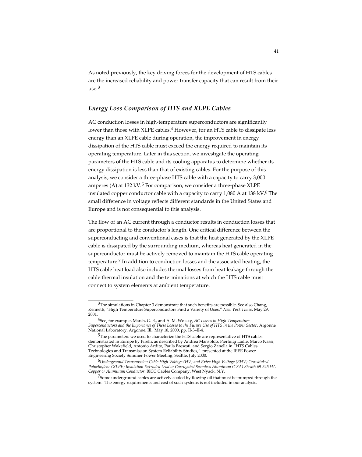As noted previously, the key driving forces for the development of HTS cables are the increased reliability and power transfer capacity that can result from their  $use.<sup>3</sup>$ 

### *Energy Loss Comparison of HTS and XLPE Cables*

AC conduction losses in high-temperature superconductors are significantly lower than those with XLPE cables.<sup>4</sup> However, for an HTS cable to dissipate less energy than an XLPE cable during operation, the improvement in energy dissipation of the HTS cable must exceed the energy required to maintain its operating temperature. Later in this section, we investigate the operating parameters of the HTS cable and its cooling apparatus to determine whether its energy dissipation is less than that of existing cables. For the purpose of this analysis, we consider a three-phase HTS cable with a capacity to carry 3,000 amperes (A) at  $132 \text{ kV}$ .<sup>5</sup> For comparison, we consider a three-phase XLPE insulated copper conductor cable with a capacity to carry  $1,080$  A at  $138$  kV.<sup>6</sup> The small difference in voltage reflects different standards in the United States and Europe and is not consequential to this analysis.

The flow of an AC current through a conductor results in conduction losses that are proportional to the conductor's length. One critical difference between the superconducting and conventional cases is that the heat generated by the XLPE cable is dissipated by the surrounding medium, whereas heat generated in the superconductor must be actively removed to maintain the HTS cable operating temperature.7 In addition to conduction losses and the associated heating, the HTS cable heat load also includes thermal losses from heat leakage through the cable thermal insulation and the terminations at which the HTS cable must connect to system elements at ambient temperature.

 $\overline{\phantom{a}}$  , where the contract of the contract of  $\overline{\phantom{a}}$ 

 $3$ The simulations in Chapter 3 demonstrate that such benefits are possible. See also Chang, Kenneth, "High Temperature Superconductors Find a Variety of Uses," *New York Times,* May 29, 2001.

<sup>4</sup>See, for example, Marsh, G. E., and A. M. Wolsky, *AC Losses in High-Temperature Superconductors and the Importance of These Losses to the Future Use of HTS in the Power Sector*, Argonne National Laboratory, Argonne, Ill., May 18, 2000, pp. II-3–II-4.

<sup>5</sup>The parameters we used to characterize the HTS cable are representative of HTS cables demonstrated in Europe by Pirelli, as described by Andrea Mansoldo, Pierluigi Ladie, Marco Nassi, Christopher Wakefield, Antonio Ardito, Paula Bresesti, and Sergio Zanella in "HTS Cables Technologies and Transmission System Reliability Studies," presented at the IEEE Power Engineering Society Summer Power Meeting, Seattle, July 2000.

<sup>6</sup>*Underground Transmission Cable High Voltage (HV) and Extra High Voltage (EHV) Crosslinked Polyethylene (XLPE) Insulation Extruded Lead or Corrugated Seamless Aluminum (CSA) Sheath 69-345 kV, Copper or Aluminum Conductor,* BICC Cables Company, West Nyack, N.Y.

 $<sup>7</sup>$ Some underground cables are actively cooled by flowing oil that must be pumped through the</sup> system. The energy requirements and cost of such systems is not included in our analysis.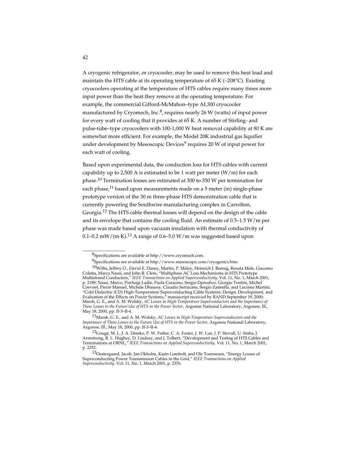A cryogenic refrigerator, or cryocooler, may be used to remove this heat load and maintain the HTS cable at its operating temperature of 65 K (–208°C). Existing cryocoolers operating at the temperature of HTS cables require many times more input power than the heat they remove at the operating temperature. For example, the commercial Gifford-McMahon–type AL300 cryocooler manufactured by Cryomech, Inc. $8$ , requires nearly 26 W (watts) of input power for every watt of cooling that it provides at 65 K. A number of Stirling- and pulse-tube–type cryocoolers with 100-1,000 W heat removal capability at 80 K are somewhat more efficient. For example, the Model 20K industrial gas liquifier under development by Mesoscopic Devices<sup>9</sup> requires 20 W of input power for each watt of cooling.

Based upon experimental data, the conduction loss for HTS cables with current capability up to 2,500 A is estimated to be 1 watt per meter  $(W/m)$  for each phase.10 Termination losses are estimated at 300 to 350 W per termination for each phase,<sup>11</sup> based upon measurements made on a  $5$  meter (m) single-phase prototype version of the 30 m three-phase HTS demonstration cable that is currently powering the Southwire manufacturing complex in Carrolton, Georgia.12 The HTS cable thermal losses will depend on the design of the cable and its envelope that contains the cooling fluid. An estimate of 0.5–1.5 W/m per phase was made based upon vacuum insulation with thermal conductivity of 0.1–0.2 mW/(m·K).<sup>13</sup> A range of 0.6–5.0 W/m was suggested based upon

<sup>8</sup>Specifications are available at http://www.cryomech.com.

<sup>9</sup>Specifications are available at http://www.mesoscopic.com/cryogenics.htm.

 $^{10}$ Willis, Jeffrey O., David E. Daney, Martin, P. Maley, Heinrich J. Boenig, Renata Mele, Giacomo Coletta, Marco Nassi, and John R. Clem, "Multiphase AC Loss Mechanisms in HTS Prototype Multistrand Conductors," *IEEE Transactions on Applied Superconductivity,* Vol. 11, No. 1, March 2001, p. 2189; Nassi, Marco, Pierluigi Ladie, Paola Caracino, Sergio Dpreafico, Giorgio Tontini, Michel Coevoet, Pierre Manuel, Michele Dhaussy, Claudio Serracane, Sergio Zannella, and Luciano Martini, "Cold Dielectric (CD) High-Temperature Superconducting Cable Systems: Design, Development, and Evaluation of the Effects on Power Systems," manuscript received by RAND September 19, 2000; Marsh, G. E., and A. M. Wolsky, *AC Losses in High-Temperature Superconductors and the Importance of These Losses to the Future Use of HTS in the Power Sector*, Argonne National Laboratory, Argonne, Ill., May 18, 2000, pp. II-3–II-4.

<sup>11</sup>Marsh, G. E., and A. M. Wolsky, *AC Losses in High-Temperature Superconductors and the Importance of These Losses to the Future Use of HTS in the Power Sector*, Argonne National Laboratory, Argonne, Ill., May 18, 2000, pp. II-3–II-4.

<sup>&</sup>lt;sup>12</sup>Gouge, M. J., J. A. Demko, P. W. Fisher, C. A. Foster, J. W. Lue, J. P. Stovall, U. Sinha, J. Armstrong, R. L. Hughey, D. Lindsay, and J. Tolbert, "Development and Testing of HTS Cables and Terminations at ORNL," *IEEE Transactions on Applied Superconductivity,* Vol. 11, No. 1, March 2001, p. 2352.

<sup>13</sup>Oestergaard, Jacob, Jan Okholm, Karin Lomholt, and Ole Toennesen, "Energy Losses of Superconducting Power Transmission Cables in the Grid," *IEEE Transactions on Applied Superconductivity,* Vol. 11, No. 1, March 2001, p. 2376.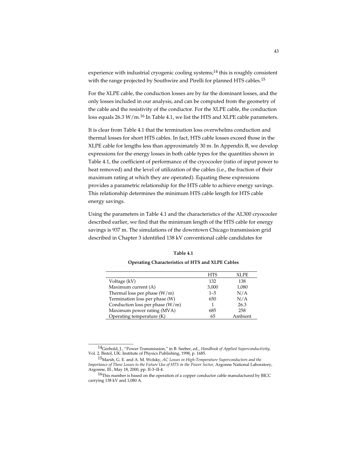experience with industrial cryogenic cooling systems;<sup>14</sup> this is roughly consistent with the range projected by Southwire and Pirelli for planned HTS cables.<sup>15</sup>

For the XLPE cable, the conduction losses are by far the dominant losses, and the only losses included in our analysis, and can be computed from the geometry of the cable and the resistivity of the conductor. For the XLPE cable, the conduction loss equals  $26.3 W/m$ .<sup>16</sup> In Table 4.1, we list the HTS and XLPE cable parameters.

It is clear from Table 4.1 that the termination loss overwhelms conduction and thermal losses for short HTS cables. In fact, HTS cable losses exceed those in the XLPE cable for lengths less than approximately 30 m. In Appendix B, we develop expressions for the energy losses in both cable types for the quantities shown in Table 4.1, the coefficient of performance of the cryocooler (ratio of input power to heat removed) and the level of utilization of the cables (i.e., the fraction of their maximum rating at which they are operated). Equating these expressions provides a parametric relationship for the HTS cable to achieve energy savings. This relationship determines the minimum HTS cable length for HTS cable energy savings.

Using the parameters in Table 4.1 and the characteristics of the AL300 cryocooler described earlier, we find that the minimum length of the HTS cable for energy savings is 937 m. The simulations of the downtown Chicago transmission grid described in Chapter 3 identified 138 kV conventional cable candidates for

|                                 | <b>HTS</b> | XLPE    |
|---------------------------------|------------|---------|
| Voltage (kV)                    | 132        | 138     |
| Maximum current (A)             | 3,000      | 1,080   |
| Thermal loss per phase $(W/m)$  | $1 - 5$    | N/A     |
| Termination loss per phase (W)  | 650        | N/A     |
| Conduction loss per phase (W/m) |            | 26.3    |
| Maximum power rating (MVA)      | 685        | 258     |
| Operating temperature (K)       | 65         | Ambient |
|                                 |            |         |

**Table 4.1 Operating Characteristics of HTS and XLPE Cables**

<sup>14</sup>Gerhold, J., "Power Transmission," in B. Seeber, ed., *Handbook of Applied Superconductivity,* Vol. 2, Bistol, UK: Institute of Physics Publishing, 1998, p. 1685.

<sup>15</sup>Marsh, G. E. and A. M. Wolsky, *AC Losses in High-Temperature Superconductors and the Importance of These Losses to the Future Use of HTS in the Power Sector*, Argonne National Laboratory, Argonne, Ill., May 18, 2000, pp. II-3–II-4.

 $16$ This number is based on the operation of a copper conductor cable manufactured by BICC carrying 138 kV and 1,080 A.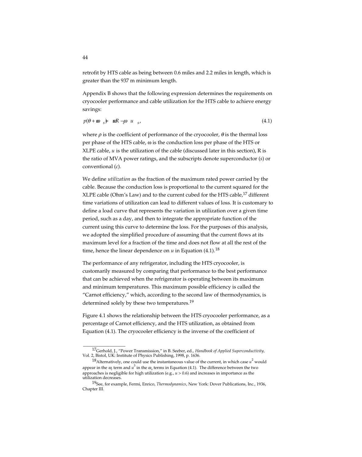retrofit by HTS cable as being between 0.6 miles and 2.2 miles in length, which is greater than the 937 m minimum length.

Appendix B shows that the following expression determines the requirements on cryocooler performance and cable utilization for the HTS cable to achieve energy savings:

$$
p(\theta + \mathbf{w} \ s) = \mathbf{w} \mathbf{R} - \mathbf{w} \ u \ s. \tag{4.1}
$$

where  $\rho$  is the coefficient of performance of the cryocooler,  $\theta$  is the thermal loss per phase of the HTS cable, ω is the conduction loss per phase of the HTS or XLPE cable,  $u$  is the utilization of the cable (discussed later in this section),  $R$  is the ratio of MVA power ratings, and the subscripts denote superconductor (*s*) or conventional (*c*).

We define *utilization* as the fraction of the maximum rated power carried by the cable. Because the conduction loss is proportional to the current squared for the XLPE cable (Ohm's Law) and to the current cubed for the HTS cable, $^{17}$  different time variations of utilization can lead to different values of loss. It is customary to define a load curve that represents the variation in utilization over a given time period, such as a day, and then to integrate the appropriate function of the current using this curve to determine the loss. For the purposes of this analysis, we adopted the simplified procedure of assuming that the current flows at its maximum level for a fraction of the time and does not flow at all the rest of the time, hence the linear dependence on  $u$  in Equation (4.1).<sup>18</sup>

The performance of any refrigerator, including the HTS cryocooler, is customarily measured by comparing that performance to the best performance that can be achieved when the refrigerator is operating between its maximum and minimum temperatures. This maximum possible efficiency is called the "Carnot efficiency," which, according to the second law of thermodynamics, is determined solely by these two temperatures.<sup>19</sup>

Figure 4.1 shows the relationship between the HTS cryocooler performance, as a percentage of Carnot efficiency, and the HTS utilization, as obtained from Equation (4.1). The cryocooler efficiency is the inverse of the coefficient of

\_\_\_\_\_\_\_\_\_\_\_\_\_\_\_\_

44

<sup>17</sup>Gerhold, J., "Power Transmission," in B. Seeber, ed., *Handbook of Applied Superconductivity,* Vol. 2, Bistol, UK: Institute of Physics Publishing, 1998, p. 1636.

<sup>&</sup>lt;sup>18</sup> Alternatively, one could use the instantaneous value of the current, in which case  $u^2$  would appear in the  $\omega_c$  term and  $u^3$  in the  $\omega_s$  terms in Equation (4.1). The difference between the two approaches is negligible for high utilization (e.g., *u* > 0.6) and increases in importance as the utilization decreases.

<sup>19</sup>See, for example, Fermi, Enrico, *Thermodynamics*, New York: Dover Publications, Inc., 1936, Chapter III.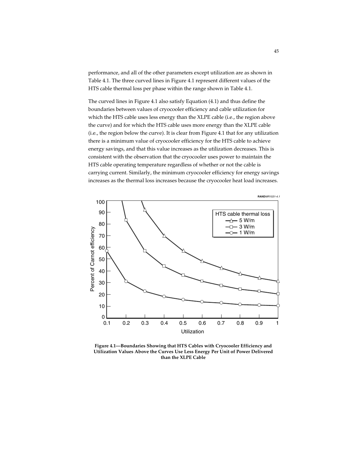performance, and all of the other parameters except utilization are as shown in Table 4.1. The three curved lines in Figure 4.1 represent different values of the HTS cable thermal loss per phase within the range shown in Table 4.1.

The curved lines in Figure 4.1 also satisfy Equation (4.1) and thus define the boundaries between values of cryocooler efficiency and cable utilization for which the HTS cable uses less energy than the XLPE cable (i.e., the region above the curve) and for which the HTS cable uses more energy than the XLPE cable (i.e., the region below the curve). It is clear from Figure 4.1 that for any utilization there is a minimum value of cryocooler efficiency for the HTS cable to achieve energy savings, and that this value increases as the utilization decreases. This is consistent with the observation that the cryocooler uses power to maintain the HTS cable operating temperature regardless of whether or not the cable is carrying current. Similarly, the minimum cryocooler efficiency for energy savings increases as the thermal loss increases because the cryocooler heat load increases.



**Figure 4.1—Boundaries Showing that HTS Cables with Cryocooler Efficiency and Utilization Values Above the Curves Use Less Energy Per Unit of Power Delivered than the XLPE Cable**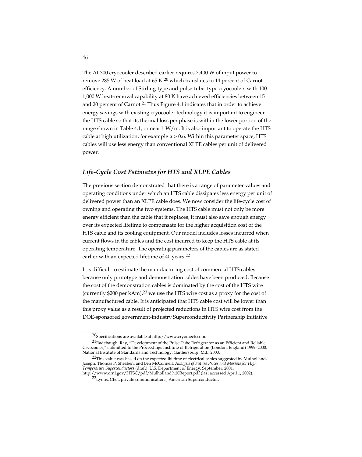The AL300 cryocooler described earlier requires 7,400 W of input power to remove 285 W of heat load at  $65$  K,<sup>20</sup> which translates to 14 percent of Carnot efficiency. A number of Stirling-type and pulse-tube–type cryocoolers with 100– 1,000 W heat-removal capability at 80 K have achieved efficiencies between 15 and 20 percent of Carnot.<sup>21</sup> Thus Figure 4.1 indicates that in order to achieve energy savings with existing cryocooler technology it is important to engineer the HTS cable so that its thermal loss per phase is within the lower portion of the range shown in Table 4.1, or near 1 W/m. It is also important to operate the HTS cable at high utilization, for example  $u > 0.6$ . Within this parameter space, HTS cables will use less energy than conventional XLPE cables per unit of delivered power.

### *Life-Cycle Cost Estimates for HTS and XLPE Cables*

The previous section demonstrated that there is a range of parameter values and operating conditions under which an HTS cable dissipates less energy per unit of delivered power than an XLPE cable does. We now consider the life-cycle cost of owning and operating the two systems. The HTS cable must not only be more energy efficient than the cable that it replaces, it must also save enough energy over its expected lifetime to compensate for the higher acquisition cost of the HTS cable and its cooling equipment. Our model includes losses incurred when current flows in the cables and the cost incurred to keep the HTS cable at its operating temperature. The operating parameters of the cables are as stated earlier with an expected lifetime of 40 years.<sup>22</sup>

It is difficult to estimate the manufacturing cost of commercial HTS cables because only prototype and demonstration cables have been produced. Because the cost of the demonstration cables is dominated by the cost of the HTS wire (currently \$200 per kAm),<sup>23</sup> we use the HTS wire cost as a proxy for the cost of the manufactured cable. It is anticipated that HTS cable cost will be lower than this proxy value as a result of projected reductions in HTS wire cost from the DOE-sponsored government-industry Superconductivity Partnership Initiative

<sup>20</sup>Specifications are available at http://www.cryomech.com.

<sup>21</sup>Radebaugh, Ray, "Development of the Pulse Tube Refrigerator as an Efficient and Reliable Cryocooler," submitted to the Proceedings Institute of Refrigeration (London, England) 1999–2000, National Institute of Standards and Technology, Gaithersburg, Md., 2000.

 $22$ This value was based on the expected lifetime of electrical cables suggested by Mulholland, Joseph, Thomas P. Sheahen, and Ben McConnell, *Analysis of Future Prices and Markets for High Temperature Superconductors* (draft), U.S. Department of Energy, September, 2001, http://www.ornl.gov/HTSC/pdf/Mulholland%20Report.pdf (last accessed April 1, 2002).

<sup>23</sup>Lyons, Chet, private communications, American Superconductor.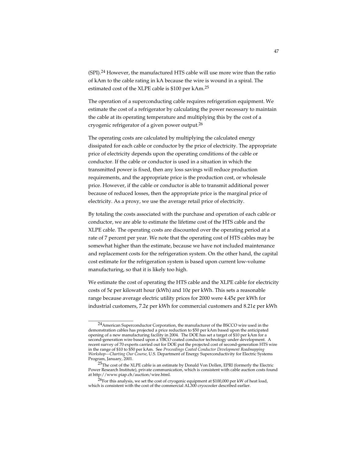(SPI).24 However, the manufactured HTS cable will use more wire than the ratio of kAm to the cable rating in kA because the wire is wound in a spiral. The estimated cost of the XLPE cable is \$100 per kAm.<sup>25</sup>

The operation of a superconducting cable requires refrigeration equipment. We estimate the cost of a refrigerator by calculating the power necessary to maintain the cable at its operating temperature and multiplying this by the cost of a cryogenic refrigerator of a given power output.26

The operating costs are calculated by multiplying the calculated energy dissipated for each cable or conductor by the price of electricity. The appropriate price of electricity depends upon the operating conditions of the cable or conductor. If the cable or conductor is used in a situation in which the transmitted power is fixed, then any loss savings will reduce production requirements, and the appropriate price is the production cost, or wholesale price. However, if the cable or conductor is able to transmit additional power because of reduced losses, then the appropriate price is the marginal price of electricity. As a proxy, we use the average retail price of electricity.

By totaling the costs associated with the purchase and operation of each cable or conductor, we are able to estimate the lifetime cost of the HTS cable and the XLPE cable. The operating costs are discounted over the operating period at a rate of 7 percent per year. We note that the operating cost of HTS cables may be somewhat higher than the estimate, because we have not included maintenance and replacement costs for the refrigeration system. On the other hand, the capital cost estimate for the refrigeration system is based upon current low-volume manufacturing, so that it is likely too high.

We estimate the cost of operating the HTS cable and the XLPE cable for electricity costs of  $5¢$  per kilowatt hour (kWh) and  $10¢$  per kWh. This sets a reasonable range because average electric utility prices for 2000 were 4.45¢ per kWh for industrial customers, 7.2¢ per kWh for commercial customers and 8.21¢ per kWh

<sup>24</sup>American Superconductor Corporation, the manufacturer of the BSCCO wire used in the demonstration cables has projected a price reduction to \$50 per kAm based upon the anticipated opening of a new manufacturing facility in 2004. The DOE has set a target of \$10 per kAm for a second-generation wire based upon a YBCO coated conductor technology under development. A recent survey of 70 experts carried out for DOE put the projected cost of second-generation HTS wire in the range of \$10 to \$50 per kAm. See *Proceedings Coated Conductor Development Roadmapping Workshop—Charting Our Course*, U.S. Department of Energy Superconductivity for Electric Systems Program, January, 2001.

<sup>&</sup>lt;sup>25</sup>The cost of the XLPE cable is an estimate by Donald Von Dollen, EPRI (formerly the Electric Power Research Institute), private communication, which is consistent with cable auction costs found at http://www.piap.ch/auction/wire.html.

 $^{26}$ For this analysis, we set the cost of cryogenic equipment at \$100,000 per kW of heat load, which is consistent with the cost of the commercial AL300 cryocooler described earlier.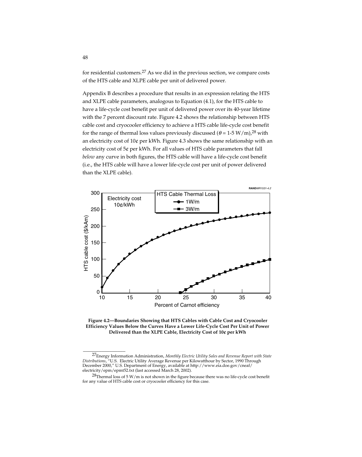for residential customers.<sup>27</sup> As we did in the previous section, we compare costs of the HTS cable and XLPE cable per unit of delivered power.

Appendix B describes a procedure that results in an expression relating the HTS and XLPE cable parameters, analogous to Equation (4.1), for the HTS cable to have a life-cycle cost benefit per unit of delivered power over its 40-year lifetime with the 7 percent discount rate. Figure 4.2 shows the relationship between HTS cable cost and cryocooler efficiency to achieve a HTS cable life-cycle cost benefit for the range of thermal loss values previously discussed  $(\theta = 1.5 \text{ W/m})^{28}$  with an electricity cost of 10¢ per kWh. Figure 4.3 shows the same relationship with an electricity cost of 5¢ per kWh. For all values of HTS cable parameters that fall *below* any curve in both figures, the HTS cable will have a life-cycle cost benefit (i.e., the HTS cable will have a lower life-cycle cost per unit of power delivered than the XLPE cable).



**Figure 4.2—Boundaries Showing that HTS Cables with Cable Cost and Cryocooler Efficiency Values Below the Curves Have a Lower Life-Cycle Cost Per Unit of Power Delivered than the XLPE Cable, Electricity Cost of 10¢ per kWh**

<sup>27</sup>Energy Information Administration, *Monthly Electric Utility Sales and Revenue Report with State Distributions*, "U.S. Electric Utility Average Revenue per Kilowatthour by Sector, 1990 Through December 2000," U.S. Department of Energy, available at http://www.eia.doe.gov/cneaf/ electricity/epm/epmt52.txt (last accessed March 28, 2002).

<sup>&</sup>lt;sup>28</sup>Thermal loss of 5 W/m is not shown in the figure because there was no life-cycle cost benefit for any value of HTS cable cost or cryocooler efficiency for this case.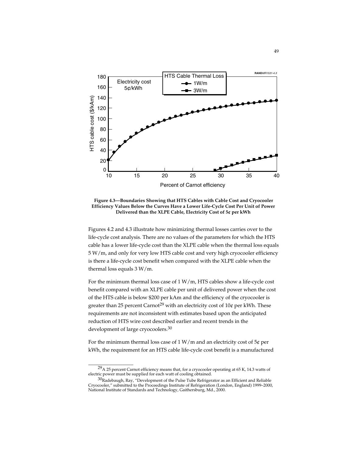

**Figure 4.3—Boundaries Showing that HTS Cables with Cable Cost and Cryocooler Efficiency Values Below the Curves Have a Lower Life-Cycle Cost Per Unit of Power Delivered than the XLPE Cable, Electricity Cost of 5¢ per kWh**

Figures 4.2 and 4.3 illustrate how minimizing thermal losses carries over to the life-cycle cost analysis. There are no values of the parameters for which the HTS cable has a lower life-cycle cost than the XLPE cable when the thermal loss equals 5 W/m, and only for very low HTS cable cost and very high cryocooler efficiency is there a life-cycle cost benefit when compared with the XLPE cable when the thermal loss equals 3 W/m.

For the minimum thermal loss case of 1 W/m, HTS cables show a life-cycle cost benefit compared with an XLPE cable per unit of delivered power when the cost of the HTS cable is below \$200 per kAm and the efficiency of the cryocooler is greater than 25 percent Carnot<sup>29</sup> with an electricity cost of  $10¢$  per kWh. These requirements are not inconsistent with estimates based upon the anticipated reduction of HTS wire cost described earlier and recent trends in the development of large cryocoolers.<sup>30</sup>

For the minimum thermal loss case of  $1 \text{ W/m}$  and an electricity cost of  $5¢$  per kWh, the requirement for an HTS cable life-cycle cost benefit is a manufactured

 $^{29}$ A 25 percent Carnot efficiency means that, for a cryocooler operating at 65 K, 14.3 watts of electric power must be supplied for each watt of cooling obtained.

 $30R$ adebaugh, Ray, "Development of the Pulse Tube Refrigerator as an Efficient and Reliable Cryocooler," submitted to the Proceedings Institute of Refrigeration (London, England) 1999–2000, National Institute of Standards and Technology, Gaithersburg, Md., 2000.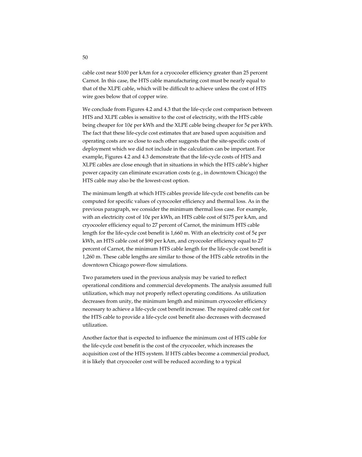cable cost near \$100 per kAm for a cryocooler efficiency greater than 25 percent Carnot. In this case, the HTS cable manufacturing cost must be nearly equal to that of the XLPE cable, which will be difficult to achieve unless the cost of HTS wire goes below that of copper wire.

We conclude from Figures 4.2 and 4.3 that the life-cycle cost comparison between HTS and XLPE cables is sensitive to the cost of electricity, with the HTS cable being cheaper for  $10¢$  per kWh and the XLPE cable being cheaper for  $5¢$  per kWh. The fact that these life-cycle cost estimates that are based upon acquisition and operating costs are so close to each other suggests that the site-specific costs of deployment which we did not include in the calculation can be important. For example, Figures 4.2 and 4.3 demonstrate that the life-cycle costs of HTS and XLPE cables are close enough that in situations in which the HTS cable's higher power capacity can eliminate excavation costs (e.g., in downtown Chicago) the HTS cable may also be the lowest-cost option.

The minimum length at which HTS cables provide life-cycle cost benefits can be computed for specific values of cyrocooler efficiency and thermal loss. As in the previous paragraph, we consider the minimum thermal loss case. For example, with an electricity cost of 10¢ per kWh, an HTS cable cost of \$175 per kAm, and cryocooler efficiency equal to 27 percent of Carnot, the minimum HTS cable length for the life-cycle cost benefit is 1,660 m. With an electricity cost of 5¢ per kWh, an HTS cable cost of \$90 per kAm, and cryocooler efficiency equal to 27 percent of Carnot, the minimum HTS cable length for the life-cycle cost benefit is 1,260 m. These cable lengths are similar to those of the HTS cable retrofits in the downtown Chicago power-flow simulations.

Two parameters used in the previous analysis may be varied to reflect operational conditions and commercial developments. The analysis assumed full utilization, which may not properly reflect operating conditions. As utilization decreases from unity, the minimum length and minimum cryocooler efficiency necessary to achieve a life-cycle cost benefit increase. The required cable cost for the HTS cable to provide a life-cycle cost benefit also decreases with decreased utilization.

Another factor that is expected to influence the minimum cost of HTS cable for the life-cycle cost benefit is the cost of the cryocooler, which increases the acquisition cost of the HTS system. If HTS cables become a commercial product, it is likely that cryocooler cost will be reduced according to a typical

50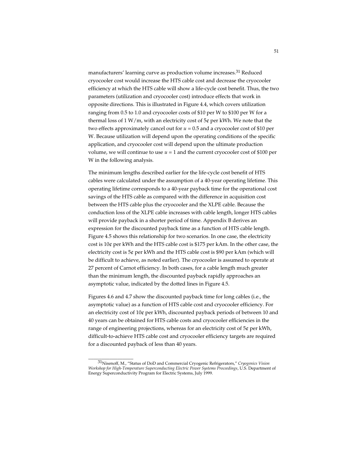manufacturers' learning curve as production volume increases.31 Reduced cryocooler cost would increase the HTS cable cost and decrease the cryocooler efficiency at which the HTS cable will show a life-cycle cost benefit. Thus, the two parameters (utilization and cryocooler cost) introduce effects that work in opposite directions. This is illustrated in Figure 4.4, which covers utilization ranging from 0.5 to 1.0 and cryocooler costs of \$10 per W to \$100 per W for a thermal loss of  $1 W/m$ , with an electricity cost of  $5¢$  per kWh. We note that the two effects approximately cancel out for  $u = 0.5$  and a cryocooler cost of \$10 per W. Because utilization will depend upon the operating conditions of the specific application, and cryocooler cost will depend upon the ultimate production volume, we will continue to use  $u = 1$  and the current cryocooler cost of \$100 per W in the following analysis.

The minimum lengths described earlier for the life-cycle cost benefit of HTS cables were calculated under the assumption of a 40-year operating lifetime. This operating lifetime corresponds to a 40-year payback time for the operational cost savings of the HTS cable as compared with the difference in acquisition cost between the HTS cable plus the cryocooler and the XLPE cable. Because the conduction loss of the XLPE cable increases with cable length, longer HTS cables will provide payback in a shorter period of time. Appendix B derives an expression for the discounted payback time as a function of HTS cable length. Figure 4.5 shows this relationship for two scenarios. In one case, the electricity cost is 10¢ per kWh and the HTS cable cost is \$175 per kAm. In the other case, the electricity cost is 5¢ per kWh and the HTS cable cost is \$90 per kAm (which will be difficult to achieve, as noted earlier). The cryocooler is assumed to operate at 27 percent of Carnot efficiency. In both cases, for a cable length much greater than the minimum length, the discounted payback rapidly approaches an asymptotic value, indicated by the dotted lines in Figure 4.5.

Figures 4.6 and 4.7 show the discounted payback time for long cables (i.e., the asymptotic value) as a function of HTS cable cost and cryocooler efficiency. For an electricity cost of 10¢ per kWh, discounted payback periods of between 10 and 40 years can be obtained for HTS cable costs and cryocooler efficiencies in the range of engineering projections, whereas for an electricity cost of 5¢ per kWh, difficult-to-achieve HTS cable cost and cryocooler efficiency targets are required for a discounted payback of less than 40 years.

<sup>31</sup>Nisenoff, M., "Status of DoD and Commercial Cryogenic Refrigerators," *Cryogenics Vision Workshop for High-Temperature Superconducting Electric Power Systems Proceedings*, U.S. Department of Energy Superconductivity Program for Electric Systems, July 1999.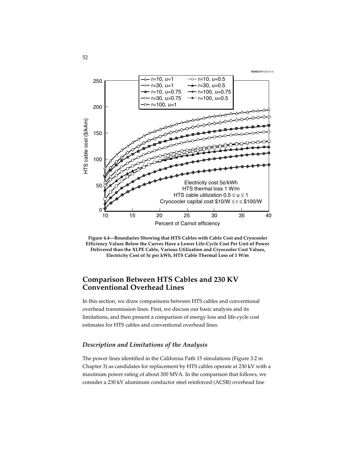**RAND**MR1531-4.4



**Figure 4.4—Boundaries Showing that HTS Cables with Cable Cost and Cryocooler Efficiency Values Below the Curves Have a Lower Life-Cycle Cost Per Unit of Power Delivered than the XLPE Cable, Various Utilization and Cryocooler Cost Values, Electricity Cost of 5¢ per kWh, HTS Cable Thermal Loss of 1 W/m**

# **Comparison Between HTS Cables and 230 KV Conventional Overhead Lines**

In this section, we draw comparisons between HTS cables and conventional overhead transmission lines. First, we discuss our basic analysis and its limitations, and then present a comparison of energy loss and life-cycle cost estimates for HTS cables and conventional overhead lines.

### *Description and Limitations of the Analysis*

The power lines identified in the California Path 15 simulations (Figure 3.2 in Chapter 3) as candidates for replacement by HTS cables operate at 230 kV with a maximum power rating of about 300 MVA. In the comparison that follows, we consider a 230 kV aluminum conductor steel reinforced (ACSR) overhead line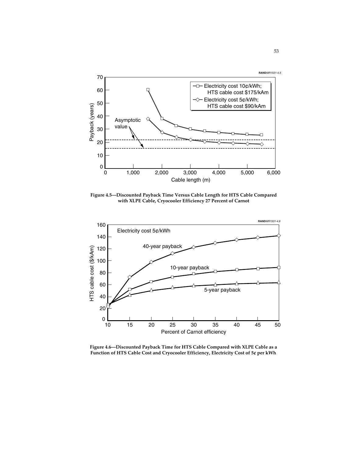

**Figure 4.5—Discounted Payback Time Versus Cable Length for HTS Cable Compared with XLPE Cable, Cryocooler Efficiency 27 Percent of Carnot**



**Figure 4.6—Discounted Payback Time for HTS Cable Compared with XLPE Cable as a Function of HTS Cable Cost and Cryocooler Efficiency, Electricity Cost of 5¢ per kWh**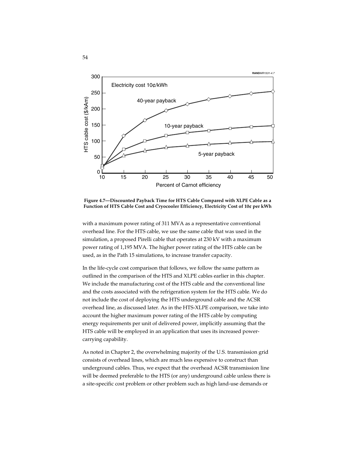

**Figure 4.7—Discounted Payback Time for HTS Cable Compared with XLPE Cable as a Function of HTS Cable Cost and Cryocooler Efficiency, Electricity Cost of 10¢ per kWh**

with a maximum power rating of 311 MVA as a representative conventional overhead line. For the HTS cable, we use the same cable that was used in the simulation, a proposed Pirelli cable that operates at 230 kV with a maximum power rating of 1,195 MVA. The higher power rating of the HTS cable can be used, as in the Path 15 simulations, to increase transfer capacity.

In the life-cycle cost comparison that follows, we follow the same pattern as outlined in the comparison of the HTS and XLPE cables earlier in this chapter. We include the manufacturing cost of the HTS cable and the conventional line and the costs associated with the refrigeration system for the HTS cable. We do not include the cost of deploying the HTS underground cable and the ACSR overhead line, as discussed later. As in the HTS-XLPE comparison, we take into account the higher maximum power rating of the HTS cable by computing energy requirements per unit of delivered power, implicitly assuming that the HTS cable will be employed in an application that uses its increased powercarrying capability.

As noted in Chapter 2, the overwhelming majority of the U.S. transmission grid consists of overhead lines, which are much less expensive to construct than underground cables. Thus, we expect that the overhead ACSR transmission line will be deemed preferable to the HTS (or any) underground cable unless there is a site-specific cost problem or other problem such as high land-use demands or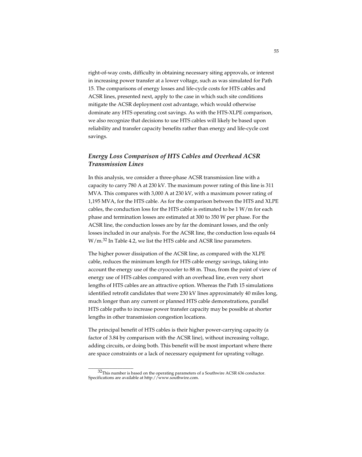right-of-way costs, difficulty in obtaining necessary siting approvals, or interest in increasing power transfer at a lower voltage, such as was simulated for Path 15. The comparisons of energy losses and life-cycle costs for HTS cables and ACSR lines, presented next, apply to the case in which such site conditions mitigate the ACSR deployment cost advantage, which would otherwise dominate any HTS operating cost savings. As with the HTS-XLPE comparison, we also recognize that decisions to use HTS cables will likely be based upon reliability and transfer capacity benefits rather than energy and life-cycle cost savings.

# *Energy Loss Comparison of HTS Cables and Overhead ACSR Transmission Lines*

In this analysis, we consider a three-phase ACSR transmission line with a capacity to carry 780 A at 230 kV. The maximum power rating of this line is 311 MVA. This compares with 3,000 A at 230 kV, with a maximum power rating of 1,195 MVA, for the HTS cable. As for the comparison between the HTS and XLPE cables, the conduction loss for the HTS cable is estimated to be 1 W/m for each phase and termination losses are estimated at 300 to 350 W per phase. For the ACSR line, the conduction losses are by far the dominant losses, and the only losses included in our analysis. For the ACSR line, the conduction loss equals 64 W/m.<sup>32</sup> In Table 4.2, we list the HTS cable and ACSR line parameters.

The higher power dissipation of the ACSR line, as compared with the XLPE cable, reduces the minimum length for HTS cable energy savings, taking into account the energy use of the cryocooler to 88 m. Thus, from the point of view of energy use of HTS cables compared with an overhead line, even very short lengths of HTS cables are an attractive option. Whereas the Path 15 simulations identified retrofit candidates that were 230 kV lines approximately 40 miles long, much longer than any current or planned HTS cable demonstrations, parallel HTS cable paths to increase power transfer capacity may be possible at shorter lengths in other transmission congestion locations.

The principal benefit of HTS cables is their higher power-carrying capacity (a factor of 3.84 by comparison with the ACSR line), without increasing voltage, adding circuits, or doing both. This benefit will be most important where there are space constraints or a lack of necessary equipment for uprating voltage.

 $\overline{\phantom{a}}$  , where the contract of the contract of  $\overline{\phantom{a}}$ 

<sup>32</sup>This number is based on the operating parameters of a Southwire ACSR 636 conductor. Specifications are available at http://www.southwire.com.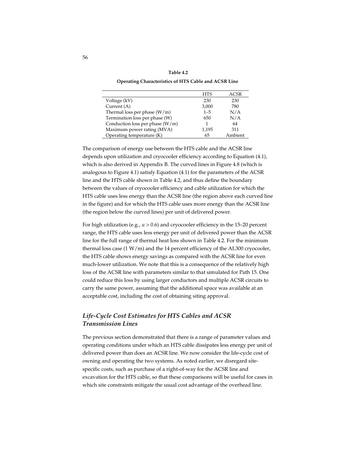#### **Table 4.2**

**Operating Characteristics of HTS Cable and ACSR Line**

|                                 | <b>HTS</b> | ACSR    |
|---------------------------------|------------|---------|
| Voltage (kV)                    | 230        | 230     |
| Current (A)                     | 3,000      | 780     |
| Thermal loss per phase $(W/m)$  | $1 - 5$    | N/A     |
| Termination loss per phase (W)  | 650        | N/A     |
| Conduction loss per phase (W/m) |            | 64      |
| Maximum power rating (MVA)      | 1,195      | 311     |
| Operating temperature (K)       | 65         | Ambient |

The comparison of energy use between the HTS cable and the ACSR line depends upon utilization and cryocooler efficiency according to Equation (4.1), which is also derived in Appendix B. The curved lines in Figure 4.8 (which is analogous to Figure 4.1) satisfy Equation (4.1) for the parameters of the ACSR line and the HTS cable shown in Table 4.2, and thus define the boundary between the values of cryocooler efficiency and cable utilization for which the HTS cable uses less energy than the ACSR line (the region above each curved line in the figure) and for which the HTS cable uses more energy than the ACSR line (the region below the curved lines) per unit of delivered power.

For high utilization (e.g., *u* > 0.6) and cryocooler efficiency in the 15–20 percent range, the HTS cable uses less energy per unit of delivered power than the ACSR line for the full range of thermal heat loss shown in Table 4.2. For the minimum thermal loss case (1 W/m) and the 14 percent efficiency of the AL300 cryocooler, the HTS cable shows energy savings as compared with the ACSR line for even much-lower utilization. We note that this is a consequence of the relatively high loss of the ACSR line with parameters similar to that simulated for Path 15. One could reduce this loss by using larger conductors and multiple ACSR circuits to carry the same power, assuming that the additional space was available at an acceptable cost, including the cost of obtaining siting approval.

# *Life-Cycle Cost Estimates for HTS Cables and ACSR Transmission Lines*

The previous section demonstrated that there is a range of parameter values and operating conditions under which an HTS cable dissipates less energy per unit of delivered power than does an ACSR line. We now consider the life-cycle cost of owning and operating the two systems. As noted earlier, we disregard sitespecific costs, such as purchase of a right-of-way for the ACSR line and excavation for the HTS cable, so that these comparisons will be useful for cases in which site constraints mitigate the usual cost advantage of the overhead line.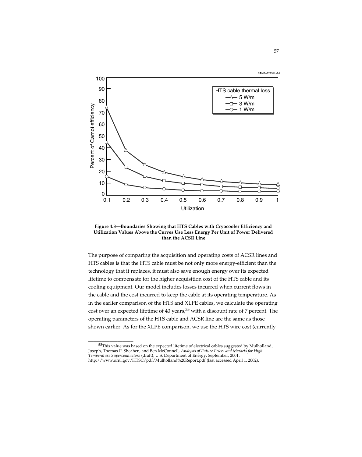

**Figure 4.8—Boundaries Showing that HTS Cables with Cryocooler Efficiency and Utilization Values Above the Curves Use Less Energy Per Unit of Power Delivered than the ACSR Line**

The purpose of comparing the acquisition and operating costs of ACSR lines and HTS cables is that the HTS cable must be not only more energy-efficient than the technology that it replaces, it must also save enough energy over its expected lifetime to compensate for the higher acquisition cost of the HTS cable and its cooling equipment. Our model includes losses incurred when current flows in the cable and the cost incurred to keep the cable at its operating temperature. As in the earlier comparison of the HTS and XLPE cables, we calculate the operating cost over an expected lifetime of 40 years,  $33$  with a discount rate of 7 percent. The operating parameters of the HTS cable and ACSR line are the same as those shown earlier. As for the XLPE comparison, we use the HTS wire cost (currently

 $\overline{\phantom{a}}$  , where the contract of the contract of  $\overline{\phantom{a}}$ 

 $33$ This value was based on the expected lifetime of electrical cables suggested by Mulholland, Joseph, Thomas P. Sheahen, and Ben McConnell, *Analysis of Future Prices and Markets for High Temperature Superconductors* (draft), U.S. Department of Energy, September, 2001, http://www.ornl.gov/HTSC/pdf/Mulholland%20Report.pdf (last accessed April 1, 2002).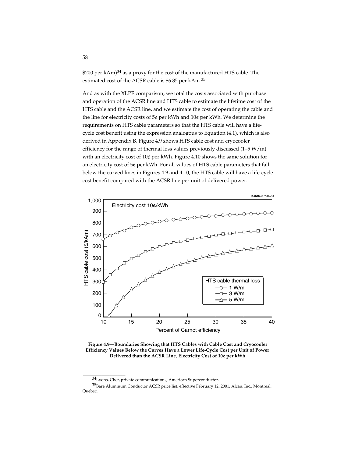\$200 per kAm) $34$  as a proxy for the cost of the manufactured HTS cable. The estimated cost of the ACSR cable is \$6.85 per kAm.35

And as with the XLPE comparison, we total the costs associated with purchase and operation of the ACSR line and HTS cable to estimate the lifetime cost of the HTS cable and the ACSR line, and we estimate the cost of operating the cable and the line for electricity costs of  $5¢$  per kWh and  $10¢$  per kWh. We determine the requirements on HTS cable parameters so that the HTS cable will have a lifecycle cost benefit using the expression analogous to Equation (4.1), which is also derived in Appendix B. Figure 4.9 shows HTS cable cost and cryocooler efficiency for the range of thermal loss values previously discussed  $(1-5 W/m)$ with an electricity cost of 10¢ per kWh. Figure 4.10 shows the same solution for an electricity cost of 5¢ per kWh. For all values of HTS cable parameters that fall below the curved lines in Figures 4.9 and 4.10, the HTS cable will have a life-cycle cost benefit compared with the ACSR line per unit of delivered power.



**Figure 4.9—Boundaries Showing that HTS Cables with Cable Cost and Cryocooler Efficiency Values Below the Curves Have a Lower Life-Cycle Cost per Unit of Power Delivered than the ACSR Line, Electricity Cost of 10¢ per kWh**

<sup>34</sup>Lyons, Chet, private communications, American Superconductor.

<sup>35</sup>Bare Aluminum Conductor ACSR price list, effective February 12, 2001, Alcan, Inc., Montreal, Quebec.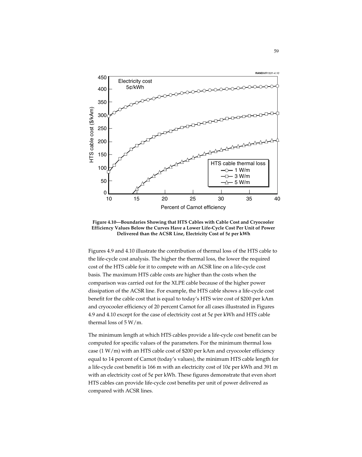

**Figure 4.10—Boundaries Showing that HTS Cables with Cable Cost and Cryocooler Efficiency Values Below the Curves Have a Lower Life-Cycle Cost Per Unit of Power Delivered than the ACSR Line, Electricity Cost of 5¢ per kWh**

Figures 4.9 and 4.10 illustrate the contribution of thermal loss of the HTS cable to the life-cycle cost analysis. The higher the thermal loss, the lower the required cost of the HTS cable for it to compete with an ACSR line on a life-cycle cost basis. The maximum HTS cable costs are higher than the costs when the comparison was carried out for the XLPE cable because of the higher power dissipation of the ACSR line. For example, the HTS cable shows a life-cycle cost benefit for the cable cost that is equal to today's HTS wire cost of \$200 per kAm and cryocooler efficiency of 20 percent Carnot for all cases illustrated in Figures 4.9 and 4.10 except for the case of electricity cost at  $5¢$  per kWh and HTS cable thermal loss of 5 W/m.

The minimum length at which HTS cables provide a life-cycle cost benefit can be computed for specific values of the parameters. For the minimum thermal loss case (1 W/m) with an HTS cable cost of \$200 per kAm and cryocooler efficiency equal to 14 percent of Carnot (today's values), the minimum HTS cable length for a life-cycle cost benefit is 166 m with an electricity cost of 10¢ per kWh and 391 m with an electricity cost of 5¢ per kWh. These figures demonstrate that even short HTS cables can provide life-cycle cost benefits per unit of power delivered as compared with ACSR lines.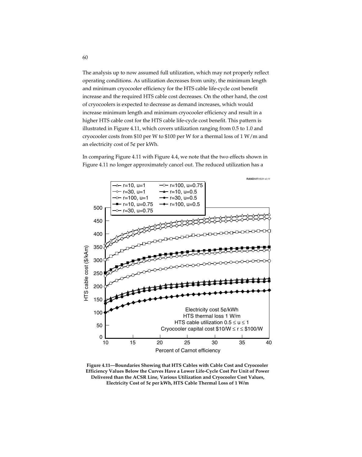The analysis up to now assumed full utilization, which may not properly reflect operating conditions. As utilization decreases from unity, the minimum length and minimum cryocooler efficiency for the HTS cable life-cycle cost benefit increase and the required HTS cable cost decreases. On the other hand, the cost of cryocoolers is expected to decrease as demand increases, which would increase minimum length and minimum cryocooler efficiency and result in a higher HTS cable cost for the HTS cable life-cycle cost benefit. This pattern is illustrated in Figure 4.11, which covers utilization ranging from 0.5 to 1.0 and cryocooler costs from \$10 per W to \$100 per W for a thermal loss of 1 W/m and an electricity cost of  $5¢$  per kWh.

In comparing Figure 4.11 with Figure 4.4, we note that the two effects shown in Figure 4.11 no longer approximately cancel out. The reduced utilization has a



**Figure 4.11—Boundaries Showing that HTS Cables with Cable Cost and Cryocooler Efficiency Values Below the Curves Have a Lower Life-Cycle Cost Per Unit of Power Delivered than the ACSR Line, Various Utilization and Cryocooler Cost Values, Electricity Cost of 5¢ per kWh, HTS Cable Thermal Loss of 1 W/m**

60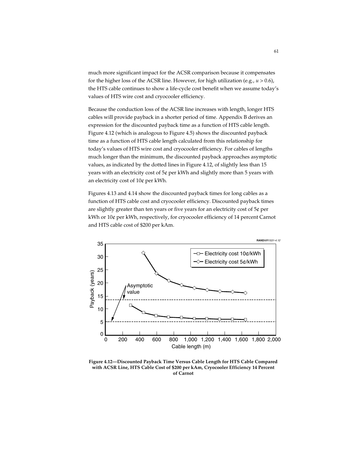much more significant impact for the ACSR comparison because it compensates for the higher loss of the ACSR line. However, for high utilization (e.g., *u* > 0.6), the HTS cable continues to show a life-cycle cost benefit when we assume today's values of HTS wire cost and cryocooler efficiency.

Because the conduction loss of the ACSR line increases with length, longer HTS cables will provide payback in a shorter period of time. Appendix B derives an expression for the discounted payback time as a function of HTS cable length. Figure 4.12 (which is analogous to Figure 4.5) shows the discounted payback time as a function of HTS cable length calculated from this relationship for today's values of HTS wire cost and cryocooler efficiency. For cables of lengths much longer than the minimum, the discounted payback approaches asymptotic values, as indicated by the dotted lines in Figure 4.12, of slightly less than 15 years with an electricity cost of 5¢ per kWh and slightly more than 5 years with an electricity cost of  $10¢$  per kWh.

Figures 4.13 and 4.14 show the discounted payback times for long cables as a function of HTS cable cost and cryocooler efficiency. Discounted payback times are slightly greater than ten years or five years for an electricity cost of  $5¢$  per kWh or 10¢ per kWh, respectively, for cryocooler efficiency of 14 percent Carnot and HTS cable cost of \$200 per kAm.



**Figure 4.12—Discounted Payback Time Versus Cable Length for HTS Cable Compared with ACSR Line, HTS Cable Cost of \$200 per kAm, Cryocooler Efficiency 14 Percent of Carnot**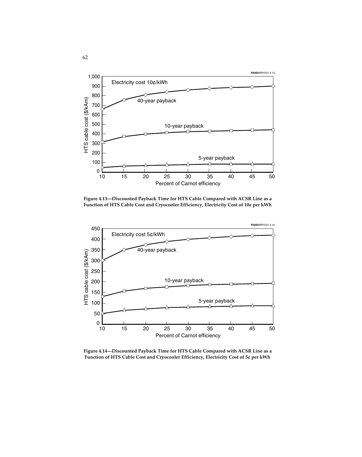

**Figure 4.13—Discounted Payback Time for HTS Cable Compared with ACSR Line as a Function of HTS Cable Cost and Cryocooler Efficiency, Electricity Cost of 10¢ per kWh**



**Figure 4.14—Discounted Payback Time for HTS Cable Compared with ACSR Line as a Function of HTS Cable Cost and Cryocooler Efficiency, Electricity Cost of 5¢ per kWh**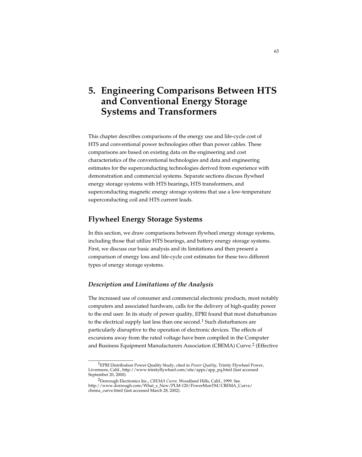# **5. Engineering Comparisons Between HTS and Conventional Energy Storage Systems and Transformers**

This chapter describes comparisons of the energy use and life-cycle cost of HTS and conventional power technologies other than power cables. These comparisons are based on existing data on the engineering and cost characteristics of the conventional technologies and data and engineering estimates for the superconducting technologies derived from experience with demonstration and commercial systems. Separate sections discuss flywheel energy storage systems with HTS bearings, HTS transformers, and superconducting magnetic energy storage systems that use a low-temperature superconducting coil and HTS current leads.

# **Flywheel Energy Storage Systems**

In this section, we draw comparisons between flywheel energy storage systems, including those that utilize HTS bearings, and battery energy storage systems. First, we discuss our basic analysis and its limitations and then present a comparison of energy loss and life-cycle cost estimates for these two different types of energy storage systems.

### *Description and Limitations of the Analysis*

 $\overline{\phantom{a}}$  , where the contract of the contract of  $\overline{\phantom{a}}$ 

The increased use of consumer and commercial electronic products, most notably computers and associated hardware, calls for the delivery of high-quality power to the end user. In its study of power quality, EPRI found that most disturbances to the electrical supply last less than one second.<sup>1</sup> Such disturbances are particularly disruptive to the operation of electronic devices. The effects of excursions away from the rated voltage have been compiled in the Computer and Business Equipment Manufacturers Association (CBEMA) Curve.<sup>2</sup> (Effective

<sup>1</sup>EPRI Distribution Power Quality Study, cited in *Power Quality*, Trinity Flywheel Power, Livermore, Calif., http://www.trinityflywheel.com/site/apps/app\_pq.html (last accessed September 20, 2000).

<sup>2</sup>Dorrough Electronics Inc., *CBEMA Curve,* Woodland Hills, Calif., 1999. See http://www.dorrough.com/What\_s\_New/PLM-120/PowerMonTM/CBEMA\_Curve/ cbema\_curve.html (last accessed March 28, 2002).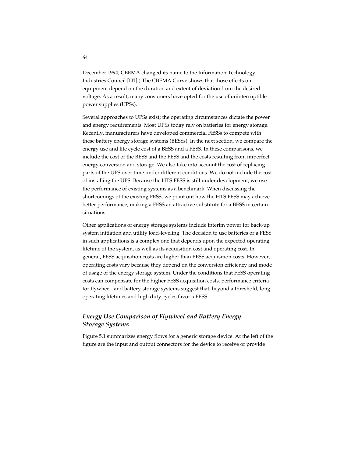December 1994, CBEMA changed its name to the Information Technology Industries Council [ITI].) The CBEMA Curve shows that those effects on equipment depend on the duration and extent of deviation from the desired voltage. As a result, many consumers have opted for the use of uninterruptible power supplies (UPSs).

Several approaches to UPSs exist; the operating circumstances dictate the power and energy requirements. Most UPSs today rely on batteries for energy storage. Recently, manufacturers have developed commercial FESSs to compete with these battery energy storage systems (BESSs). In the next section, we compare the energy use and life cycle cost of a BESS and a FESS. In these comparisons, we include the cost of the BESS and the FESS and the costs resulting from imperfect energy conversion and storage. We also take into account the cost of replacing parts of the UPS over time under different conditions. We do not include the cost of installing the UPS. Because the HTS FESS is still under development, we use the performance of existing systems as a benchmark. When discussing the shortcomings of the existing FESS, we point out how the HTS FESS may achieve better performance, making a FESS an attractive substitute for a BESS in certain situations.

Other applications of energy storage systems include interim power for back-up system initiation and utility load-leveling. The decision to use batteries or a FESS in such applications is a complex one that depends upon the expected operating lifetime of the system, as well as its acquisition cost and operating cost. In general, FESS acquisition costs are higher than BESS acquisition costs. However, operating costs vary because they depend on the conversion efficiency and mode of usage of the energy storage system. Under the conditions that FESS operating costs can compensate for the higher FESS acquisition costs, performance criteria for flywheel- and battery-storage systems suggest that, beyond a threshold, long operating lifetimes and high duty cycles favor a FESS.

# *Energy Use Comparison of Flywheel and Battery Energy Storage Systems*

Figure 5.1 summarizes energy flows for a generic storage device. At the left of the figure are the input and output connectors for the device to receive or provide

64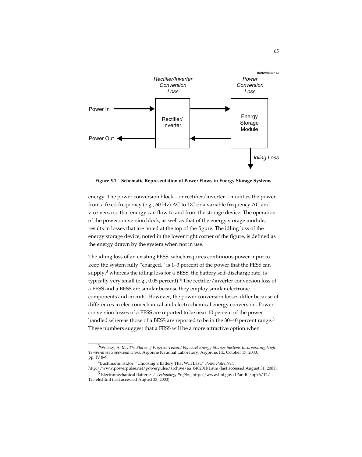

**Figure 5.1—Schematic Representation of Power Flows in Energy Storage Systems**

energy. The power conversion block—or rectifier/inverter—modifies the power from a fixed frequency (e.g., 60 Hz) AC to DC or a variable frequency AC and vice-versa so that energy can flow to and from the storage device. The operation of the power conversion block, as well as that of the energy storage module, results in losses that are noted at the top of the figure. The idling loss of the energy storage device, noted in the lower right corner of the figure, is defined as the energy drawn by the system when not in use.

The idling loss of an existing FESS, which requires continuous power input to keep the system fully "charged," is 1–3 percent of the power that the FESS can supply, $3$  whereas the idling loss for a BESS, the battery self-discharge rate, is typically very small (e.g., 0.05 percent).4 The rectifier/inverter conversion loss of a FESS and a BESS are similar because they employ similar electronic components and circuits. However, the power conversion losses differ because of differences in electromechanical and electrochemical energy conversion. Power conversion losses of a FESS are reported to be near 10 percent of the power handled whereas those of a BESS are reported to be in the 30–40 percent range.<sup>5</sup> These numbers suggest that a FESS will be a more attractive option when

<sup>3</sup>Wolsky, A. M., *The Status of Progress Toward Flywheel Energy Storage Systems Incorporating High-Temperature Superconductors,* Argonne National Laboratory, Argonne, Ill., October 17, 2000, pp. IV 8–9.

<sup>4</sup>Buchmann, Isidor, "Choosing a Battery That Will Last," *PowerPulse.Net,* http://www.powerpulse.net/powerpulse/archive/aa\_040201b1.stm (last accessed August 31, 2001).

<sup>5</sup> Electromechanical Batteries," *Technology Profiles*, http://www.llnl.gov/IPandC/op96/12/ 12c-ele.html (last accessed August 23, 2000).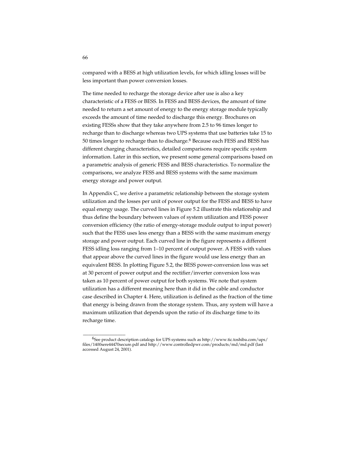compared with a BESS at high utilization levels, for which idling losses will be less important than power conversion losses.

The time needed to recharge the storage device after use is also a key characteristic of a FESS or BESS. In FESS and BESS devices, the amount of time needed to return a set amount of energy to the energy storage module typically exceeds the amount of time needed to discharge this energy. Brochures on existing FESSs show that they take anywhere from 2.5 to 96 times longer to recharge than to discharge whereas two UPS systems that use batteries take 15 to 50 times longer to recharge than to discharge.<sup>6</sup> Because each FESS and BESS has different charging characteristics, detailed comparisons require specific system information. Later in this section, we present some general comparisons based on a parametric analysis of generic FESS and BESS characteristics. To normalize the comparisons, we analyze FESS and BESS systems with the same maximum energy storage and power output.

In Appendix C, we derive a parametric relationship between the storage system utilization and the losses per unit of power output for the FESS and BESS to have equal energy usage. The curved lines in Figure 5.2 illustrate this relationship and thus define the boundary between values of system utilization and FESS power conversion efficiency (the ratio of energy-storage module output to input power) such that the FESS uses less energy than a BESS with the same maximum energy storage and power output. Each curved line in the figure represents a different FESS idling loss ranging from 1–10 percent of output power. A FESS with values that appear above the curved lines in the figure would use less energy than an equivalent BESS. In plotting Figure 5.2, the BESS power-conversion loss was set at 30 percent of power output and the rectifier/inverter conversion loss was taken as 10 percent of power output for both systems. We note that system utilization has a different meaning here than it did in the cable and conductor case described in Chapter 4. Here, utilization is defined as the fraction of the time that energy is being drawn from the storage system. Thus, any system will have a maximum utilization that depends upon the ratio of its discharge time to its recharge time.

\_\_\_\_\_\_\_\_\_\_\_\_\_\_\_\_

66

<sup>6</sup>See product description catalogs for UPS systems such as http://www.tic.toshiba.com/ups/ files/1400sere44470secure.pdf and http://www.controlledpwr.com/products/md/md.pdf (last accessed August 24, 2001).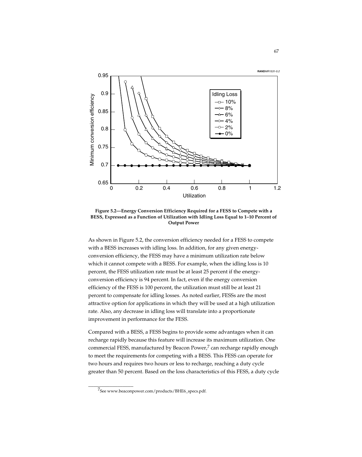

**Figure 5.2—Energy Conversion Efficiency Required for a FESS to Compete with a BESS, Expressed as a Function of Utilization with Idling Loss Equal to 1–10 Percent of Output Power**

As shown in Figure 5.2, the conversion efficiency needed for a FESS to compete with a BESS increases with idling loss. In addition, for any given energyconversion efficiency, the FESS may have a minimum utilization rate below which it cannot compete with a BESS. For example, when the idling loss is 10 percent, the FESS utilization rate must be at least 25 percent if the energyconversion efficiency is 94 percent. In fact, even if the energy conversion efficiency of the FESS is 100 percent, the utilization must still be at least 21 percent to compensate for idling losses. As noted earlier, FESSs are the most attractive option for applications in which they will be used at a high utilization rate. Also, any decrease in idling loss will translate into a proportionate improvement in performance for the FESS.

Compared with a BESS, a FESS begins to provide some advantages when it can recharge rapidly because this feature will increase its maximum utilization. One commercial FESS, manufactured by Beacon Power,<sup>7</sup> can recharge rapidly enough to meet the requirements for competing with a BESS. This FESS can operate for two hours and requires two hours or less to recharge, reaching a duty cycle greater than 50 percent. Based on the loss characteristics of this FESS, a duty cycle

 $\overline{\phantom{a}}$  , where the contract of the contract of  $\overline{\phantom{a}}$ 

<sup>7</sup>See www.beaconpower.com/products/BHE6\_specs.pdf.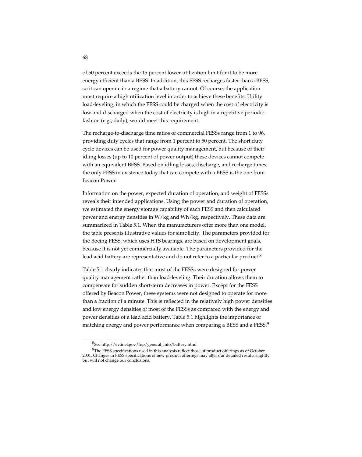of 50 percent exceeds the 15 percent lower utilization limit for it to be more energy efficient than a BESS. In addition, this FESS recharges faster than a BESS, so it can operate in a regime that a battery cannot. Of course, the application must require a high utilization level in order to achieve these benefits. Utility load-leveling, in which the FESS could be charged when the cost of electricity is low and discharged when the cost of electricity is high in a repetitive periodic fashion (e.g., daily), would meet this requirement.

The recharge-to-discharge time ratios of commercial FESSs range from 1 to 96, providing duty cycles that range from 1 percent to 50 percent. The short duty cycle devices can be used for power quality management, but because of their idling losses (up to 10 percent of power output) these devices cannot compete with an equivalent BESS. Based on idling losses, discharge, and recharge times, the only FESS in existence today that can compete with a BESS is the one from Beacon Power.

Information on the power, expected duration of operation, and weight of FESSs reveals their intended applications. Using the power and duration of operation, we estimated the energy storage capability of each FESS and then calculated power and energy densities in W/kg and Wh/kg, respectively. These data are summarized in Table 5.1. When the manufacturers offer more than one model, the table presents illustrative values for simplicity. The parameters provided for the Boeing FESS, which uses HTS bearings, are based on development goals, because it is not yet commercially available. The parameters provided for the lead acid battery are representative and do not refer to a particular product.<sup>8</sup>

Table 5.1 clearly indicates that most of the FESSs were designed for power quality management rather than load-leveling. Their duration allows them to compensate for sudden short-term decreases in power. Except for the FESS offered by Beacon Power, these systems were not designed to operate for more than a fraction of a minute. This is reflected in the relatively high power densities and low energy densities of most of the FESSs as compared with the energy and power densities of a lead acid battery. Table 5.1 highlights the importance of matching energy and power performance when comparing a BESS and a FESS.<sup>9</sup>

<sup>8</sup>See http://ev.inel.gov/fop/general\_info/battery.html.

<sup>&</sup>lt;sup>9</sup>The FESS specifications used in this analysis reflect those of product offerings as of October 2001. Changes in FESS specifications of new product offerings may alter our detailed results slightly but will not change our conclusions.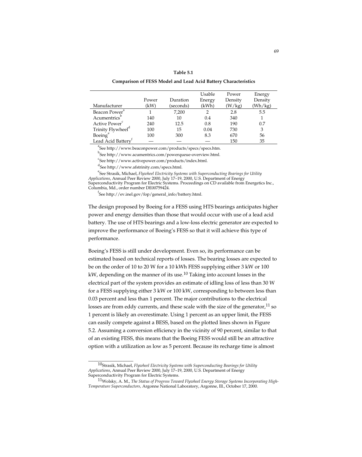#### **Table 5.1**

#### **Comparison of FESS Model and Lead Acid Battery Characteristics**

|                               | Power | Duration  | Usable<br>Energy | Power<br>Density | Energy<br>Density |
|-------------------------------|-------|-----------|------------------|------------------|-------------------|
| Manufacturer                  | (kW)  | (seconds) | (kWh)            | (W/kg)           | (Wh/kg)           |
| Beacon Power <sup>a</sup>     |       | 7,200     |                  | 2.8              | 5.5               |
| Acumentrics <sup>b</sup>      | 140   | 10        | 0.4              | 340              |                   |
| Active Power <sup>c</sup>     | 240   | 12.5      | 0.8              | 190              | 0.7               |
| Trinity Flywheel <sup>d</sup> | 100   | 15        | 0.04             | 730              | 3                 |
| Boeing <sup>e</sup>           | 100   | 300       | 8.3              | 670              | 56                |
| Lead Acid Battery             |       |           |                  | 150              | 35                |

<sup>a</sup>See http://www.beaconpower.com/products/specs/specs.htm.

b<br>See http://www.acumentrics.com/powerqueue-overview.html.

<sup>c</sup>See http://www.activepower.com/products/index.html.

d See http://www.afstrinity.com/specs.html.

e See Strasik, Michael, *Flywheel Electricity Systems with Superconducting Bearings for Utility Applications*, Annual Peer Review 2000, July 17–19, 2000, U.S. Department of Energy Superconductivity Program for Electric Systems. Proceedings on CD available from Energetics Inc., Columbia, Md., order number DE00759424.

<sup>f</sup>See http://ev.inel.gov/fop/general\_info/battery.html.

The design proposed by Boeing for a FESS using HTS bearings anticipates higher power and energy densities than those that would occur with use of a lead acid battery. The use of HTS bearings and a low-loss electric generator are expected to improve the performance of Boeing's FESS so that it will achieve this type of performance.

Boeing's FESS is still under development. Even so, its performance can be estimated based on technical reports of losses. The bearing losses are expected to be on the order of 10 to 20 W for a 10 kWh FESS supplying either 3 kW or 100  $kW$ , depending on the manner of its use.<sup>10</sup> Taking into account losses in the electrical part of the system provides an estimate of idling loss of less than 30 W for a FESS supplying either 3 kW or 100 kW, corresponding to between less than 0.03 percent and less than 1 percent. The major contributions to the electrical losses are from eddy currents, and these scale with the size of the generator, $^{11}$  so 1 percent is likely an overestimate. Using 1 percent as an upper limit, the FESS can easily compete against a BESS, based on the plotted lines shown in Figure 5.2. Assuming a conversion efficiency in the vicinity of 90 percent, similar to that of an existing FESS, this means that the Boeing FESS would still be an attractive option with a utilization as low as 5 percent. Because its recharge time is almost

 $\overline{\phantom{a}}$  , where the contract of the contract of  $\overline{\phantom{a}}$ 

<sup>10</sup>Strasik, Michael, *Flywheel Electricity Systems with Superconducting Bearings for Utility Applications*, Annual Peer Review 2000, July 17–19, 2000, U.S. Department of Energy Superconductivity Program for Electric Systems.

<sup>11</sup>Wolsky, A. M., *The Status of Progress Toward Flywheel Energy Storage Systems Incorporating High-Temperature Superconductors,* Argonne National Laboratory, Argonne, Ill., October 17, 2000.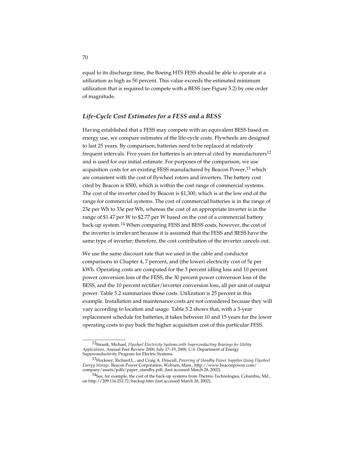equal to its discharge time, the Boeing HTS FESS should be able to operate at a utilization as high as 50 percent. This value exceeds the estimated minimum utilization that is required to compete with a BESS (see Figure 5.2) by one order of magnitude.

#### *Life-Cycle Cost Estimates for a FESS and a BESS*

Having established that a FESS may compete with an equivalent BESS based on energy use, we compare estimates of the life-cycle costs. Flywheels are designed to last 25 years. By comparison, batteries need to be replaced at relatively frequent intervals. Five years for batteries is an interval cited by manufacturers<sup>12</sup> and is used for our initial estimate. For purposes of the comparison, we use acquisition costs for an existing FESS manufactured by Beacon Power,<sup>13</sup> which are consistent with the cost of flywheel rotors and inverters. The battery cost cited by Beacon is \$500, which is within the cost range of commercial systems. The cost of the inverter cited by Beacon is \$1,300, which is at the low end of the range for commercial systems. The cost of commercial batteries is in the range of 23¢ per Wh to 33¢ per Wh, whereas the cost of an appropriate inverter is in the range of \$1.47 per W to \$2.77 per W based on the cost of a commercial battery back-up system.<sup>14</sup> When comparing FESS and BESS costs, however, the cost of the inverter is irrelevant because it is assumed that the FESS and BESS have the same type of inverter; therefore, the cost contribution of the inverter cancels out.

We use the same discount rate that we used in the cable and conductor comparisons in Chapter 4, 7 percent, and (the lower) electricity cost of  $5¢$  per kWh. Operating costs are computed for the 3 percent idling loss and 10 percent power conversion loss of the FESS, the 30 percent power conversion loss of the BESS, and the 10 percent rectifier/inverter conversion loss, all per unit of output power. Table 5.2 summarizes those costs. Utilization is 25 percent in this example. Installation and maintenance costs are not considered because they will vary according to location and usage. Table 5.2 shows that, with a 5-year replacement schedule for batteries, it takes between 10 and 15 years for the lower operating costs to pay back the higher acquisition cost of this particular FESS.

<sup>12</sup>Strasik, Michael, *Flywheel Electricity Systems with Superconducting Bearings for Utility Applications*, Annual Peer Review 2000, July 17–19, 2000, U.S. Department of Energy Superconductivity Program for Electric Systems.

<sup>13</sup>Hockney, Richard L., and Craig A. Driscoll, *Powering of Standby Power Supplies Using Flywheel Energy Storage*, Beacon Power Corporation, Woburn, Mass., http://www.beaconpower.com/ company/assets/pdfs/paper\_standby.pdf, (last accessed March 28, 2002).

<sup>&</sup>lt;sup>14</sup>See, for example, the cost of the back-up systems from Thermo Technologies, Columbia, Md., on http://209.116.252.72/backup.htm (last accessed March 28, 2002).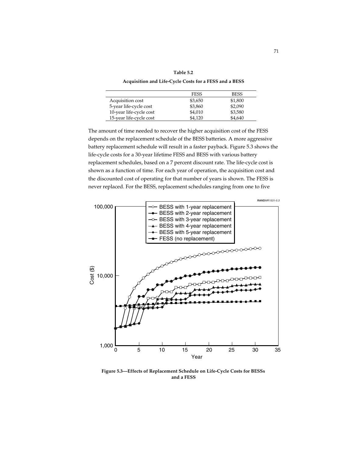|                         | FESS    | <b>BESS</b> |
|-------------------------|---------|-------------|
| Acquisition cost        | \$3,650 | \$1,800     |
| 5-year life-cycle cost  | \$3,860 | \$2,090     |
| 10-year life-cycle cost | \$4,010 | \$3,580     |
| 15-year life-cycle cost | \$4,120 | \$4,640     |

**Table 5.2 Acquisition and Life-Cycle Costs for a FESS and a BESS**

The amount of time needed to recover the higher acquisition cost of the FESS depends on the replacement schedule of the BESS batteries. A more aggressive battery replacement schedule will result in a faster payback. Figure 5.3 shows the life-cycle costs for a 30-year lifetime FESS and BESS with various battery replacement schedules, based on a 7 percent discount rate. The life-cycle cost is shown as a function of time. For each year of operation, the acquisition cost and the discounted cost of operating for that number of years is shown. The FESS is never replaced. For the BESS, replacement schedules ranging from one to five



**Figure 5.3—Effects of Replacement Schedule on Life-Cycle Costs for BESSs and a FESS**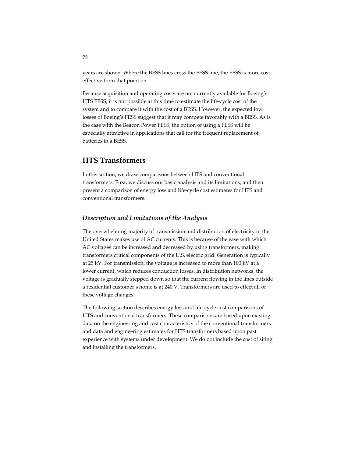years are shown. Where the BESS lines cross the FESS line, the FESS is more costeffective from that point on.

Because acquisition and operating costs are not currently available for Boeing's HTS FESS, it is not possible at this time to estimate the life-cycle cost of the system and to compare it with the cost of a BESS. However, the expected low losses of Boeing's FESS suggest that it may compete favorably with a BESS. As is the case with the Beacon Power FESS, the option of using a FESS will be especially attractive in applications that call for the frequent replacement of batteries in a BESS.

### **HTS Transformers**

In this section, we draw comparisons between HTS and conventional transformers. First, we discuss our basic analysis and its limitations, and then present a comparison of energy loss and life-cycle cost estimates for HTS and conventional transformers.

### *Description and Limitations of the Analysis*

The overwhelming majority of transmission and distribution of electricity in the United States makes use of AC currents. This is because of the ease with which AC voltages can be increased and decreased by using transformers, making transformers critical components of the U.S. electric grid. Generation is typically at 25 kV. For transmission, the voltage is increased to more than 100 kV at a lower current, which reduces conduction losses. In distribution networks, the voltage is gradually stepped down so that the current flowing in the lines outside a residential customer's home is at 240 V. Transformers are used to effect all of these voltage changes.

The following section describes energy loss and life-cycle cost comparisons of HTS and conventional transformers. These comparisons are based upon existing data on the engineering and cost characteristics of the conventional transformers and data and engineering estimates for HTS transformers based upon past experience with systems under development. We do not include the cost of siting and installing the transformers.

72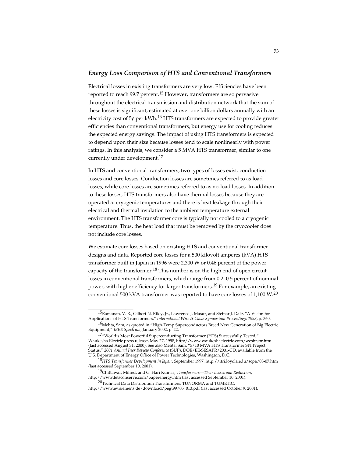#### *Energy Loss Comparison of HTS and Conventional Transformers*

Electrical losses in existing transformers are very low. Efficiencies have been reported to reach 99.7 percent.<sup>15</sup> However, transformers are so pervasive throughout the electrical transmission and distribution network that the sum of these losses is significant, estimated at over one billion dollars annually with an electricity cost of  $5¢$  per kWh.<sup>16</sup> HTS transformers are expected to provide greater efficiencies than conventional transformers, but energy use for cooling reduces the expected energy savings. The impact of using HTS transformers is expected to depend upon their size because losses tend to scale nonlinearly with power ratings. In this analysis, we consider a 5 MVA HTS transformer, similar to one currently under development.<sup>17</sup>

In HTS and conventional transformers, two types of losses exist: conduction losses and core losses. Conduction losses are sometimes referred to as load losses, while core losses are sometimes referred to as no-load losses. In addition to these losses, HTS transformers also have thermal losses because they are operated at cryogenic temperatures and there is heat leakage through their electrical and thermal insulation to the ambient temperature external environment. The HTS transformer core is typically not cooled to a cryogenic temperature. Thus, the heat load that must be removed by the cryocooler does not include core losses.

We estimate core losses based on existing HTS and conventional transformer designs and data. Reported core losses for a 500 kilovolt amperes (kVA) HTS transformer built in Japan in 1996 were 2,300 W or 0.46 percent of the power capacity of the transformer.<sup>18</sup> This number is on the high end of open circuit losses in conventional transformers, which range from 0.2–0.5 percent of nominal power, with higher efficiency for larger transformers.<sup>19</sup> For example, an existing conventional 500 kVA transformer was reported to have core losses of 1,100 W.<sup>20</sup>

<sup>&</sup>lt;sup>15</sup>Ramanan, V. R., Gilbert N. Riley, Jr., Lawrence J. Masur, and Steinar J. Dale, "A Vision for Applications of HTS Transformers," *International Wire & Cable Symposium Proceedings 1998*, p. 360.

 $^{16}$ Mehta, Sam, as quoted in "High-Temp Superconductors Breed New Generation of Big Electric Equipment," *IEEE Spectrum,* January 2002, p. 22.

<sup>17&</sup>quot;World's Most Powerful Superconducting Transformer (HTS) Successfully Tested," Waukesha Electric press release, May 27, 1998, http://www.waukeshaelectric.com/weshtspr.htm (last accessed August 31, 2000). See also Mehta, Sam, "5/10 MVA HTS Transformer SPI Project Status," *2001 Annual Peer Review Conference* (SUP), DOE/EE-SESAPR/2001-CD, available from the U.S. Department of Energy Office of Power Technologies, Washington, D.C.

<sup>18</sup>*HTS Transformer Development in Japan*, September 1997, http://itri.loyola.edu/scpa/03-07.htm (last accessed September 10, 2001).

<sup>19</sup>Chittawar, Milind, and G. Hari Kumar, *Transformers—Their Losses and Reduction*, http://www.letsconserve.com/paperenergy.htm (last accessed September 10, 2001).

 $20$ Technical Data Distribution Transformers: TUNORMA and TUMETIC,

http://www.ev.siemens.de/download/pegt99/05\_013.pdf (last accessed October 9, 2001).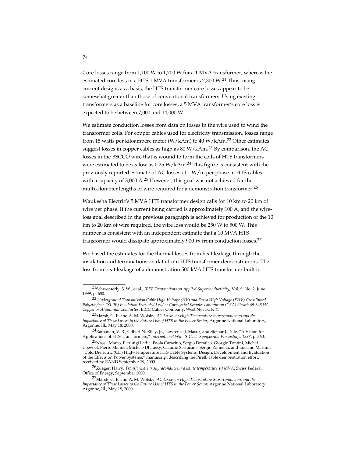Core losses range from 1,100 W to 1,700 W for a 1 MVA transformer, whereas the estimated core loss in a HTS 1 MVA transformer is 2,300 W.<sup>21</sup> Thus, using current designs as a basis, the HTS transformer core losses appear to be somewhat greater than those of conventional transformers. Using existing transformers as a baseline for core losses, a 5 MVA transformer's core loss is expected to be between 7,000 and 14,000 W.

We estimate conduction losses from data on losses in the wire used to wind the transformer coils. For copper cables used for electricity transmission, losses range from 15 watts per kiloampere meter (W/kAm) to 40 W/kAm.<sup>22</sup> Other estimates suggest losses in copper cables as high as  $80 W/kAm.<sup>23</sup>$  By comparison, the AC losses in the BSCCO wire that is wound to form the coils of HTS transformers were estimated to be as low as 0.25 W/kAm.24 This figure is consistent with the previously reported estimate of AC losses of 1 W/m per phase in HTS cables with a capacity of 3,000 A.25 However, this goal was not achieved for the multikilometer lengths of wire required for a demonstration transformer.<sup>26</sup>

Waukesha Electric's 5 MVA HTS transformer design calls for 10 km to 20 km of wire per phase. If the current being carried is approximately 100 A, and the wireloss goal described in the previous paragraph is achieved for production of the 10 km to 20 km of wire required, the wire loss would be 250 W to 500 W. This number is consistent with an independent estimate that a 10 MVA HTS transformer would dissipate approximately 900 W from conduction losses.<sup>27</sup>

We based the estimates for the thermal losses from heat leakage through the insulation and terminations on data from HTS transformer demonstrations. The loss from heat leakage of a demonstration 500 kVA HTS transformer built in

<sup>21</sup>Schwenterly, S. W., et al., *IEEE Transactions on Applied Superconductivity,* Vol. 9, No. 2, June 1999, p. 680.

<sup>22</sup> *Underground Transmission Cable High Voltage (HV) and Extra High Voltage (EHV) Crosslinked Polyethylene (XLPE) Insulation Extruded Lead or Corrugated Seamless aluminum (CSA) Sheath 69-345 kV, Copper or Aluminum Conductor,* BICC Cables Company, West Nyack, N.Y.

<sup>23</sup>Marsh, G. E. and A. M. Wolsky, *AC Losses in High-Temperature Superconductors and the Importance of These Losses to the Future Use of HTS in the Power Sector*, Argonne National Laboratory, Argonne, Ill., May 18, 2000.

<sup>24</sup>Ramanan, V. R., Gilbert N. Riley, Jr., Lawrence J. Masur, and Steinar J. Dale, "A Vision for Applications of HTS Transformers," *International Wire & Cable Symposium Proceedings 1998*, p. 360.

<sup>25</sup>Nassi, Marco, Pierluigi Ladie, Paola Caracino, Sergio Dreafico, Giorgio Tontini, Michel Coevoet, Pierre Manuel, Michele Dhaussy, Claudio Serracane, Sergio Zannella, and Luciano Martini, "Cold Dielectric (CD) High-Temperature HTS Cable Systems: Design, Development and Evaluation of the Effects on Power Systems," manuscript describing the Pirelli cable demonstration effort, received by RAND September 19, 2000.

<sup>26</sup>Zueger, Harry, *Transformateur supraconducteur à haute température 10 MVA*, Swiss Federal Office of Energy, September 2000.

<sup>27</sup>Marsh, G. E. and A. M. Wolsky, *AC Losses in High-Temperature Superconductors and the Importance of These Losses to the Future Use of HTS in the Power Sector*, Argonne National Laboratory, Argonne, Ill., May 18, 2000.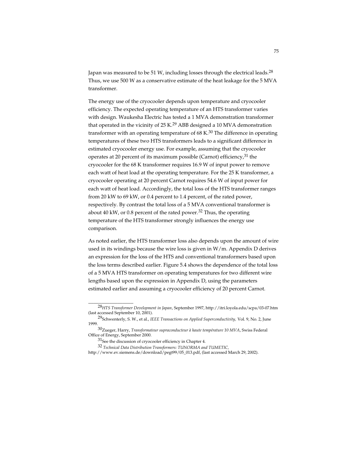Japan was measured to be 51 W, including losses through the electrical leads.<sup>28</sup> Thus, we use 500 W as a conservative estimate of the heat leakage for the 5 MVA transformer.

The energy use of the cryocooler depends upon temperature and cryocooler efficiency. The expected operating temperature of an HTS transformer varies with design. Waukesha Electric has tested a 1 MVA demonstration transformer that operated in the vicinity of  $25 K<sup>29</sup>$  ABB designed a 10 MVA demonstration transformer with an operating temperature of  $68 \text{ K.}^{30}$  The difference in operating temperatures of these two HTS transformers leads to a significant difference in estimated cryocooler energy use. For example, assuming that the cryocooler operates at 20 percent of its maximum possible (Carnot) efficiency,  $31$  the cryocooler for the 68 K transformer requires 16.9 W of input power to remove each watt of heat load at the operating temperature. For the 25 K transformer, a cryocooler operating at 20 percent Carnot requires 54.6 W of input power for each watt of heat load. Accordingly, the total loss of the HTS transformer ranges from 20 kW to 69 kW, or 0.4 percent to 1.4 percent, of the rated power, respectively. By contrast the total loss of a 5 MVA conventional transformer is about 40 kW, or 0.8 percent of the rated power.<sup>32</sup> Thus, the operating temperature of the HTS transformer strongly influences the energy use comparison.

As noted earlier, the HTS transformer loss also depends upon the amount of wire used in its windings because the wire loss is given in W/m. Appendix D derives an expression for the loss of the HTS and conventional transformers based upon the loss terms described earlier. Figure 5.4 shows the dependence of the total loss of a 5 MVA HTS transformer on operating temperatures for two different wire lengths based upon the expression in Appendix D, using the parameters estimated earlier and assuming a cryocooler efficiency of 20 percent Carnot.

 $\overline{\phantom{a}}$  , where the contract of the contract of  $\overline{\phantom{a}}$ 

<sup>28</sup>*HTS Transformer Development in Japan*, September 1997, http://itri.loyola.edu/scpa/03-07.htm (last accessed September 10, 2001).

<sup>29</sup>Schwenterly, S. W., et al., *IEEE Transactions on Applied Superconductivity,* Vol. 9, No. 2, June 1999.

<sup>30</sup>Zueger, Harry, *Transformateur supraconducteur à haute température 10 MVA*, Swiss Federal Office of Energy, September 2000.

<sup>&</sup>lt;sup>31</sup>See the discussion of cryocooler efficiency in Chapter 4.

<sup>32</sup> *Technical Data Distribution Transformers: TUNORMA and TUMETIC,*

http://www.ev.siemens.de/download/pegt99/05\_013.pdf, (last accessed March 29, 2002).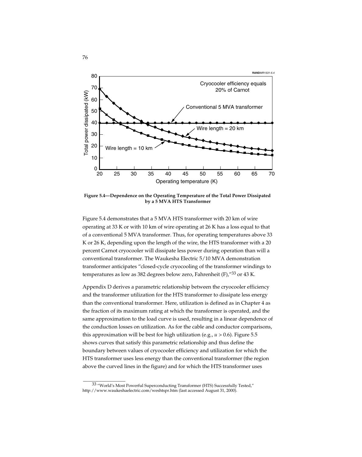

**Figure 5.4—Dependence on the Operating Temperature of the Total Power Dissipated by a 5 MVA HTS Transformer**

Figure 5.4 demonstrates that a 5 MVA HTS transformer with 20 km of wire operating at 33 K or with 10 km of wire operating at 26 K has a loss equal to that of a conventional 5 MVA transformer. Thus, for operating temperatures above 33 K or 26 K, depending upon the length of the wire, the HTS transformer with a 20 percent Carnot cryocooler will dissipate less power during operation than will a conventional transformer. The Waukesha Electric 5/10 MVA demonstration transformer anticipates "closed-cycle cryocooling of the transformer windings to temperatures as low as 382 degrees below zero, Fahrenheit  $(F)$ ,  $\frac{33}{3}$  or 43 K.

Appendix D derives a parametric relationship between the cryocooler efficiency and the transformer utilization for the HTS transformer to dissipate less energy than the conventional transformer. Here, utilization is defined as in Chapter 4 as the fraction of its maximum rating at which the transformer is operated, and the same approximation to the load curve is used, resulting in a linear dependence of the conduction losses on utilization. As for the cable and conductor comparisons, this approximation will be best for high utilization (e.g., *u* > 0.6). Figure 5.5 shows curves that satisfy this parametric relationship and thus define the boundary between values of cryocooler efficiency and utilization for which the HTS transformer uses less energy than the conventional transformer (the region above the curved lines in the figure) and for which the HTS transformer uses

<sup>33 &</sup>quot;World's Most Powerful Superconducting Transformer (HTS) Successfully Tested," http://www.waukeshaelectric.com/weshtspr.htm (last accessed August 31, 2000).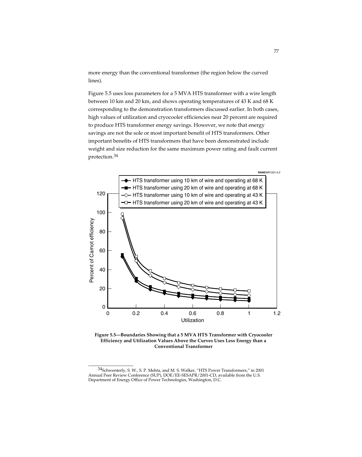more energy than the conventional transformer (the region below the curved lines).

Figure 5.5 uses loss parameters for a 5 MVA HTS transformer with a wire length between 10 km and 20 km, and shows operating temperatures of 43 K and 68 K corresponding to the demonstration transformers discussed earlier. In both cases, high values of utilization and cryocooler efficiencies near 20 percent are required to produce HTS transformer energy savings. However, we note that energy savings are not the sole or most important benefit of HTS transformers. Other important benefits of HTS transformers that have been demonstrated include weight and size reduction for the same maximum power rating and fault current protection.<sup>34</sup>



**Figure 5.5—Boundaries Showing that a 5 MVA HTS Transformer with Cryocooler Efficiency and Utilization Values Above the Curves Uses Less Energy than a Conventional Transformer**

<sup>34</sup>Schwenterly, S. W., S. P. Mehta, and M. S. Walker, "HTS Power Transformers," in 2001 Annual Peer Review Conference (SUP), DOE/EE-SESAPR/2001-CD, available from the U.S. Department of Energy Office of Power Technologies, Washington, D.C.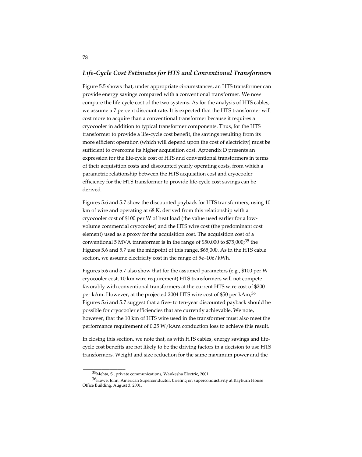#### *Life-Cycle Cost Estimates for HTS and Conventional Transformers*

Figure 5.5 shows that, under appropriate circumstances, an HTS transformer can provide energy savings compared with a conventional transformer. We now compare the life-cycle cost of the two systems. As for the analysis of HTS cables, we assume a 7 percent discount rate. It is expected that the HTS transformer will cost more to acquire than a conventional transformer because it requires a cryocooler in addition to typical transformer components. Thus, for the HTS transformer to provide a life-cycle cost benefit, the savings resulting from its more efficient operation (which will depend upon the cost of electricity) must be sufficient to overcome its higher acquisition cost. Appendix D presents an expression for the life-cycle cost of HTS and conventional transformers in terms of their acquisition costs and discounted yearly operating costs, from which a parametric relationship between the HTS acquisition cost and cryocooler efficiency for the HTS transformer to provide life-cycle cost savings can be derived.

Figures 5.6 and 5.7 show the discounted payback for HTS transformers, using 10 km of wire and operating at 68 K, derived from this relationship with a cryocooler cost of \$100 per W of heat load (the value used earlier for a lowvolume commercial cryocooler) and the HTS wire cost (the predominant cost element) used as a proxy for the acquisition cost. The acquisition cost of a conventional 5 MVA transformer is in the range of \$50,000 to  $$75,000;^{35}$  the Figures 5.6 and 5.7 use the midpoint of this range, \$65,000. As in the HTS cable section, we assume electricity cost in the range of  $5¢-10¢/kWh$ .

Figures 5.6 and 5.7 also show that for the assumed parameters (e.g., \$100 per W cryocooler cost, 10 km wire requirement) HTS transformers will not compete favorably with conventional transformers at the current HTS wire cost of \$200 per kAm. However, at the projected 2004 HTS wire cost of \$50 per kAm,<sup>36</sup> Figures 5.6 and 5.7 suggest that a five- to ten-year discounted payback should be possible for cryocooler efficiencies that are currently achievable. We note, however, that the 10 km of HTS wire used in the transformer must also meet the performance requirement of 0.25 W/kAm conduction loss to achieve this result.

In closing this section, we note that, as with HTS cables, energy savings and lifecycle cost benefits are not likely to be the driving factors in a decision to use HTS transformers. Weight and size reduction for the same maximum power and the

<sup>35</sup>Mehta, S., private communications, Waukesha Electric, 2001.

<sup>&</sup>lt;sup>36</sup>Howe, John, American Superconductor, briefing on superconductivity at Rayburn House Office Building, August 3, 2001.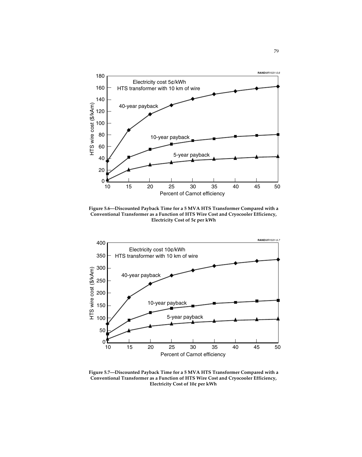

**Figure 5.6—Discounted Payback Time for a 5 MVA HTS Transformer Compared with a Conventional Transformer as a Function of HTS Wire Cost and Cryocooler Efficiency, Electricity Cost of 5¢ per kWh**



**Figure 5.7—Discounted Payback Time for a 5 MVA HTS Transformer Compared with a Conventional Transformer as a Function of HTS Wire Cost and Cryocooler Efficiency, Electricity Cost of 10¢ per kWh**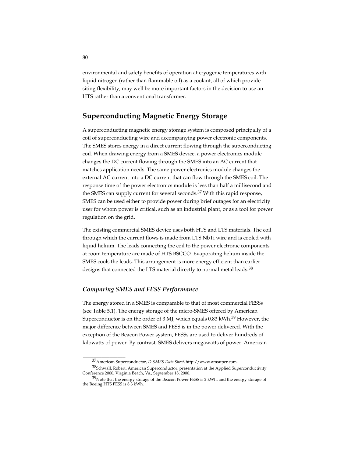environmental and safety benefits of operation at cryogenic temperatures with liquid nitrogen (rather than flammable oil) as a coolant, all of which provide siting flexibility, may well be more important factors in the decision to use an HTS rather than a conventional transformer.

# **Superconducting Magnetic Energy Storage**

A superconducting magnetic energy storage system is composed principally of a coil of superconducting wire and accompanying power electronic components. The SMES stores energy in a direct current flowing through the superconducting coil. When drawing energy from a SMES device, a power electronics module changes the DC current flowing through the SMES into an AC current that matches application needs. The same power electronics module changes the external AC current into a DC current that can flow through the SMES coil. The response time of the power electronics module is less than half a millisecond and the SMES can supply current for several seconds.<sup>37</sup> With this rapid response, SMES can be used either to provide power during brief outages for an electricity user for whom power is critical, such as an industrial plant, or as a tool for power regulation on the grid.

The existing commercial SMES device uses both HTS and LTS materials. The coil through which the current flows is made from LTS NbTi wire and is cooled with liquid helium. The leads connecting the coil to the power electronic components at room temperature are made of HTS BSCCO. Evaporating helium inside the SMES cools the leads. This arrangement is more energy efficient than earlier designs that connected the LTS material directly to normal metal leads.<sup>38</sup>

#### *Comparing SMES and FESS Performance*

\_\_\_\_\_\_\_\_\_\_\_\_\_\_\_\_

The energy stored in a SMES is comparable to that of most commercial FESSs (see Table 5.1). The energy storage of the micro-SMES offered by American Superconductor is on the order of 3 MJ, which equals  $0.83$  kWh.<sup>39</sup> However, the major difference between SMES and FESS is in the power delivered. With the exception of the Beacon Power system, FESSs are used to deliver hundreds of kilowatts of power. By contrast, SMES delivers megawatts of power. American

<sup>37</sup>American Superconductor, *D-SMES Data Sheet,* http://www.amsuper.com.

<sup>38</sup>Schwall, Robert, American Superconductor, presentation at the Applied Superconductivity Conference 2000, Virginia Beach, Va., September 18, 2000.

 $39$ Note that the energy storage of the Beacon Power FESS is 2 kWh, and the energy storage of the Boeing HTS FESS is 8.3 kWh.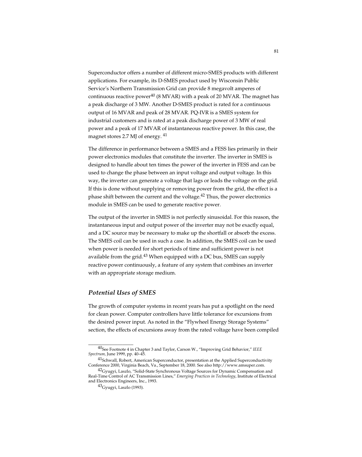Superconductor offers a number of different micro-SMES products with different applications. For example, its D-SMES product used by Wisconsin Public Service's Northern Transmission Grid can provide 8 megavolt amperes of continuous reactive power<sup>40</sup> (8 MVAR) with a peak of 20 MVAR. The magnet has a peak discharge of 3 MW. Another D-SMES product is rated for a continuous output of 16 MVAR and peak of 28 MVAR. PQ-IVR is a SMES system for industrial customers and is rated at a peak discharge power of 3 MW of real power and a peak of 17 MVAR of instantaneous reactive power. In this case, the magnet stores 2.7 MJ of energy.  $41$ 

The difference in performance between a SMES and a FESS lies primarily in their power electronics modules that constitute the inverter. The inverter in SMES is designed to handle about ten times the power of the inverter in FESS and can be used to change the phase between an input voltage and output voltage. In this way, the inverter can generate a voltage that lags or leads the voltage on the grid. If this is done without supplying or removing power from the grid, the effect is a phase shift between the current and the voltage.42 Thus, the power electronics module in SMES can be used to generate reactive power.

The output of the inverter in SMES is not perfectly sinusoidal. For this reason, the instantaneous input and output power of the inverter may not be exactly equal, and a DC source may be necessary to make up the shortfall or absorb the excess. The SMES coil can be used in such a case. In addition, the SMES coil can be used when power is needed for short periods of time and sufficient power is not available from the grid.<sup>43</sup> When equipped with a DC bus, SMES can supply reactive power continuously, a feature of any system that combines an inverter with an appropriate storage medium.

#### *Potential Uses of SMES*

The growth of computer systems in recent years has put a spotlight on the need for clean power. Computer controllers have little tolerance for excursions from the desired power input. As noted in the "Flywheel Energy Storage Systems" section, the effects of excursions away from the rated voltage have been compiled

<sup>40</sup>See Footnote 4 in Chapter 3 and Taylor, Carson W., "Improving Grid Behavior," *IEEE Spectrum,* June 1999, pp. 40–45.

<sup>41</sup>Schwall, Robert, American Superconductor, presentation at the Applied Superconductivity Conference 2000, Virginia Beach, Va., September 18, 2000. See also http://www.amsuper.com.

 $^{42}$ Gyugyi, Laszlo, "Solid-State Synchronous Voltage Sources for Dynamic Compensation and Real-Time Control of AC Transmission Lines," *Emerging Practices in Technology*, Institute of Electrical and Electronics Engineers, Inc., 1993.

 $43$ Gyugyi, Laszlo (1993).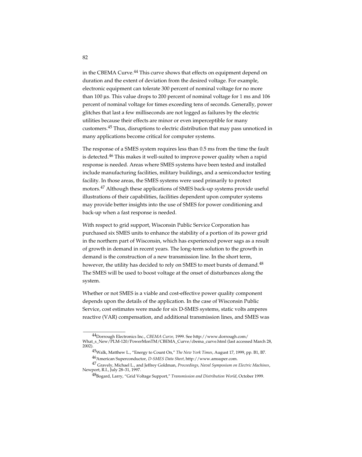in the CBEMA Curve.<sup>44</sup> This curve shows that effects on equipment depend on duration and the extent of deviation from the desired voltage. For example, electronic equipment can tolerate 300 percent of nominal voltage for no more than 100 µs. This value drops to 200 percent of nominal voltage for 1 ms and 106 percent of nominal voltage for times exceeding tens of seconds. Generally, power glitches that last a few milliseconds are not logged as failures by the electric utilities because their effects are minor or even imperceptible for many customers.45 Thus, disruptions to electric distribution that may pass unnoticed in many applications become critical for computer systems.

The response of a SMES system requires less than 0.5 ms from the time the fault is detected.46 This makes it well-suited to improve power quality when a rapid response is needed. Areas where SMES systems have been tested and installed include manufacturing facilities, military buildings, and a semiconductor testing facility. In those areas, the SMES systems were used primarily to protect motors.47 Although these applications of SMES back-up systems provide useful illustrations of their capabilities, facilities dependent upon computer systems may provide better insights into the use of SMES for power conditioning and back-up when a fast response is needed.

With respect to grid support, Wisconsin Public Service Corporation has purchased six SMES units to enhance the stability of a portion of its power grid in the northern part of Wisconsin, which has experienced power sags as a result of growth in demand in recent years. The long-term solution to the growth in demand is the construction of a new transmission line. In the short term, however, the utility has decided to rely on SMES to meet bursts of demand.<sup>48</sup> The SMES will be used to boost voltage at the onset of disturbances along the system.

Whether or not SMES is a viable and cost-effective power quality component depends upon the details of the application. In the case of Wisconsin Public Service, cost estimates were made for six D-SMES systems, static volts amperes reactive (VAR) compensation, and additional transmission lines, and SMES was

<sup>44</sup>Dorrough Electronics Inc., *CBEMA Curve,* 1999. See http://www.dorrough.com/ What\_s\_New/PLM-120/PowerMonTM/CBEMA\_Curve/cbema\_curve.html (last accessed March 28, 2002).

<sup>45</sup>Walk, Matthew L., "Energy to Count On," *The New York Times*, August 17, 1999, pp. B1, B7. 46American Superconductor, *D-SMES Data Sheet,* http://www.amsuper.com.

<sup>47</sup> Gravely, Michael L., and Jeffrey Goldman, *Proceedings, Naval Symposium on Electric Machines*, Newport, R.I., July 28–31, 1997.

<sup>48</sup>Bogard, Larry, "Grid Voltage Support," *Transmission and Distribution World*, October 1999.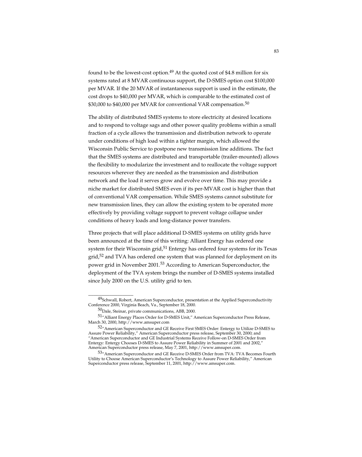found to be the lowest-cost option. $49$  At the quoted cost of \$4.8 million for six systems rated at 8 MVAR continuous support, the D-SMES option cost \$100,000 per MVAR. If the 20 MVAR of instantaneous support is used in the estimate, the cost drops to \$40,000 per MVAR, which is comparable to the estimated cost of \$30,000 to \$40,000 per MVAR for conventional VAR compensation.<sup>50</sup>

The ability of distributed SMES systems to store electricity at desired locations and to respond to voltage sags and other power quality problems within a small fraction of a cycle allows the transmission and distribution network to operate under conditions of high load within a tighter margin, which allowed the Wisconsin Public Service to postpone new transmission line additions. The fact that the SMES systems are distributed and transportable (trailer-mounted) allows the flexibility to modularize the investment and to reallocate the voltage support resources wherever they are needed as the transmission and distribution network and the load it serves grow and evolve over time. This may provide a niche market for distributed SMES even if its per-MVAR cost is higher than that of conventional VAR compensation. While SMES systems cannot substitute for new transmission lines, they can allow the existing system to be operated more effectively by providing voltage support to prevent voltage collapse under conditions of heavy loads and long-distance power transfers.

Three projects that will place additional D-SMES systems on utility grids have been announced at the time of this writing: Alliant Energy has ordered one system for their Wisconsin grid, $51$  Entergy has ordered four systems for its Texas grid,<sup>52</sup> and TVA has ordered one system that was planned for deployment on its power grid in November 2001.<sup>53</sup> According to American Superconductor, the deployment of the TVA system brings the number of D-SMES systems installed since July 2000 on the U.S. utility grid to ten.

 $\overline{\phantom{a}}$  , where the contract of the contract of  $\overline{\phantom{a}}$ 

<sup>&</sup>lt;sup>49</sup>Schwall, Robert, American Superconductor, presentation at the Applied Superconductivity Conference 2000, Virginia Beach, Va., September 18, 2000.

<sup>50</sup>Dale, Steinar, private communications, ABB, 2000.

<sup>51&</sup>quot;Alliant Energy Places Order for D-SMES Unit," American Superconductor Press Release, March 30, 2000, http://www.amsuper.com

<sup>52&</sup>quot;American Superconductor and GE Receive First SMES Order: Entergy to Utilize D-SMES to Assure Power Reliability," American Superconductor press release, September 30, 2000; and "American Superconductor and GE Industrial Systems Receive Follow-on D-SMES Order from Entergy: Entergy Chooses D-SMES to Assure Power Reliability in Summer of 2001 and 2002," American Superconductor press release, May 7, 2001, http://www.amsuper.com.

<sup>53&</sup>quot;American Superconductor and GE Receive D-SMES Order from TVA: TVA Becomes Fourth Utility to Choose American Superconductor's Technology to Assure Power Reliability," American Superconductor press release, September 11, 2001, http://www.amsuper.com.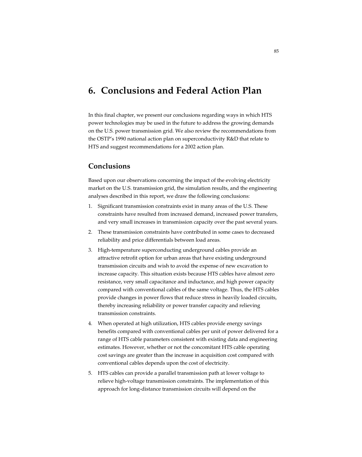# **6. Conclusions and Federal Action Plan**

In this final chapter, we present our conclusions regarding ways in which HTS power technologies may be used in the future to address the growing demands on the U.S. power transmission grid. We also review the recommendations from the OSTP's 1990 national action plan on superconductivity R&D that relate to HTS and suggest recommendations for a 2002 action plan.

# **Conclusions**

Based upon our observations concerning the impact of the evolving electricity market on the U.S. transmission grid, the simulation results, and the engineering analyses described in this report, we draw the following conclusions:

- 1. Significant transmission constraints exist in many areas of the U.S. These constraints have resulted from increased demand, increased power transfers, and very small increases in transmission capacity over the past several years.
- 2. These transmission constraints have contributed in some cases to decreased reliability and price differentials between load areas.
- 3. High-temperature superconducting underground cables provide an attractive retrofit option for urban areas that have existing underground transmission circuits and wish to avoid the expense of new excavation to increase capacity. This situation exists because HTS cables have almost zero resistance, very small capacitance and inductance, and high power capacity compared with conventional cables of the same voltage. Thus, the HTS cables provide changes in power flows that reduce stress in heavily loaded circuits, thereby increasing reliability or power transfer capacity and relieving transmission constraints.
- 4. When operated at high utilization, HTS cables provide energy savings benefits compared with conventional cables per unit of power delivered for a range of HTS cable parameters consistent with existing data and engineering estimates. However, whether or not the concomitant HTS cable operating cost savings are greater than the increase in acquisition cost compared with conventional cables depends upon the cost of electricity.
- 5. HTS cables can provide a parallel transmission path at lower voltage to relieve high-voltage transmission constraints. The implementation of this approach for long-distance transmission circuits will depend on the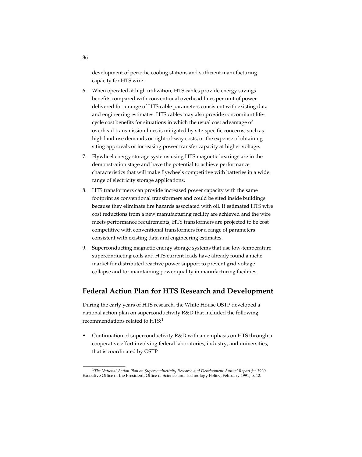development of periodic cooling stations and sufficient manufacturing capacity for HTS wire.

- 6. When operated at high utilization, HTS cables provide energy savings benefits compared with conventional overhead lines per unit of power delivered for a range of HTS cable parameters consistent with existing data and engineering estimates. HTS cables may also provide concomitant lifecycle cost benefits for situations in which the usual cost advantage of overhead transmission lines is mitigated by site-specific concerns, such as high land use demands or right-of-way costs, or the expense of obtaining siting approvals or increasing power transfer capacity at higher voltage.
- 7. Flywheel energy storage systems using HTS magnetic bearings are in the demonstration stage and have the potential to achieve performance characteristics that will make flywheels competitive with batteries in a wide range of electricity storage applications.
- 8. HTS transformers can provide increased power capacity with the same footprint as conventional transformers and could be sited inside buildings because they eliminate fire hazards associated with oil. If estimated HTS wire cost reductions from a new manufacturing facility are achieved and the wire meets performance requirements, HTS transformers are projected to be cost competitive with conventional transformers for a range of parameters consistent with existing data and engineering estimates.
- 9. Superconducting magnetic energy storage systems that use low-temperature superconducting coils and HTS current leads have already found a niche market for distributed reactive power support to prevent grid voltage collapse and for maintaining power quality in manufacturing facilities.

# **Federal Action Plan for HTS Research and Development**

During the early years of HTS research, the White House OSTP developed a national action plan on superconductivity R&D that included the following recommendations related to  $HTS<sup>1</sup>$ 

• Continuation of superconductivity R&D with an emphasis on HTS through a cooperative effort involving federal laboratories, industry, and universities, that is coordinated by OSTP

\_\_\_\_\_\_\_\_\_\_\_\_\_\_\_\_

86

<sup>1</sup>*The National Action Plan on Superconductivity Research and Development Annual Report for 1990,* Executive Office of the President, Office of Science and Technology Policy, February 1991, p. 12.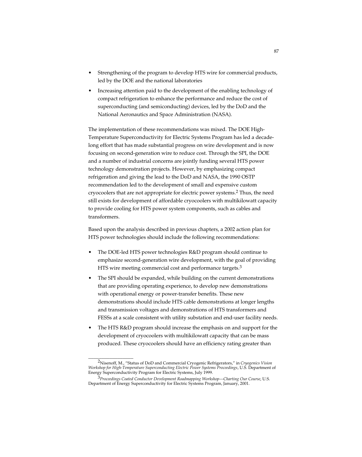- Strengthening of the program to develop HTS wire for commercial products, led by the DOE and the national laboratories
- Increasing attention paid to the development of the enabling technology of compact refrigeration to enhance the performance and reduce the cost of superconducting (and semiconducting) devices, led by the DoD and the National Aeronautics and Space Administration (NASA).

The implementation of these recommendations was mixed. The DOE High-Temperature Superconductivity for Electric Systems Program has led a decadelong effort that has made substantial progress on wire development and is now focusing on second-generation wire to reduce cost. Through the SPI, the DOE and a number of industrial concerns are jointly funding several HTS power technology demonstration projects. However, by emphasizing compact refrigeration and giving the lead to the DoD and NASA, the 1990 OSTP recommendation led to the development of small and expensive custom cryocoolers that are not appropriate for electric power systems.2 Thus, the need still exists for development of affordable cryocoolers with multikilowatt capacity to provide cooling for HTS power system components, such as cables and transformers.

Based upon the analysis described in previous chapters, a 2002 action plan for HTS power technologies should include the following recommendations:

- The DOE-led HTS power technologies R&D program should continue to emphasize second-generation wire development, with the goal of providing HTS wire meeting commercial cost and performance targets.<sup>3</sup>
- The SPI should be expanded, while building on the current demonstrations that are providing operating experience, to develop new demonstrations with operational energy or power-transfer benefits. These new demonstrations should include HTS cable demonstrations at longer lengths and transmission voltages and demonstrations of HTS transformers and FESSs at a scale consistent with utility substation and end-user facility needs.
- The HTS R&D program should increase the emphasis on and support for the development of cryocoolers with multikilowatt capacity that can be mass produced. These cryocoolers should have an efficiency rating greater than

\_\_\_\_\_\_\_\_\_\_\_\_\_\_\_\_\_

<sup>2</sup>Nisenoff, M., "Status of DoD and Commercial Cryogenic Refrigerators," in *Cryogenics Vision Workshop for High-Temperature Superconducting Electric Power Systems Proceedings*, U.S. Department of Energy Superconductivity Program for Electric Systems, July 1999.

<sup>3</sup>*Proceedings Coated Conductor Development Roadmapping Workshop—Charting Our Course*, U.S. Department of Energy Superconductivity for Electric Systems Program, January, 2001.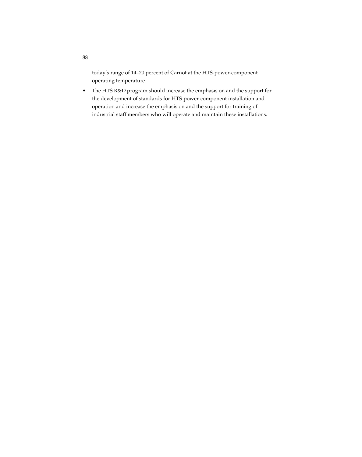today's range of 14–20 percent of Carnot at the HTS-power-component operating temperature.

• The HTS R&D program should increase the emphasis on and the support for the development of standards for HTS-power-component installation and operation and increase the emphasis on and the support for training of industrial staff members who will operate and maintain these installations.

88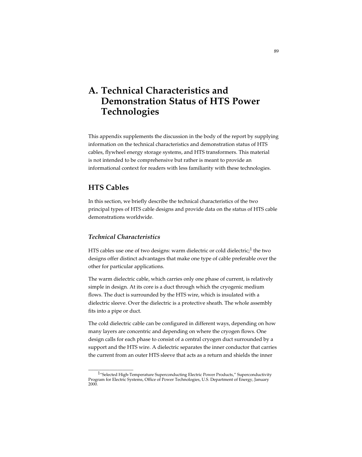# **A. Technical Characteristics and Demonstration Status of HTS Power Technologies**

This appendix supplements the discussion in the body of the report by supplying information on the technical characteristics and demonstration status of HTS cables, flywheel energy storage systems, and HTS transformers. This material is not intended to be comprehensive but rather is meant to provide an informational context for readers with less familiarity with these technologies.

## **HTS Cables**

\_\_\_\_\_\_\_\_\_\_\_\_\_\_\_\_\_

In this section, we briefly describe the technical characteristics of the two principal types of HTS cable designs and provide data on the status of HTS cable demonstrations worldwide.

## *Technical Characteristics*

HTS cables use one of two designs: warm dielectric or cold dielectric; $<sup>1</sup>$  the two</sup> designs offer distinct advantages that make one type of cable preferable over the other for particular applications.

The warm dielectric cable, which carries only one phase of current, is relatively simple in design. At its core is a duct through which the cryogenic medium flows. The duct is surrounded by the HTS wire, which is insulated with a dielectric sleeve. Over the dielectric is a protective sheath. The whole assembly fits into a pipe or duct.

The cold dielectric cable can be configured in different ways, depending on how many layers are concentric and depending on where the cryogen flows. One design calls for each phase to consist of a central cryogen duct surrounded by a support and the HTS wire. A dielectric separates the inner conductor that carries the current from an outer HTS sleeve that acts as a return and shields the inner

 $^{1}$ "Selected High-Temperature Superconducting Electric Power Products," Superconductivity Program for Electric Systems, Office of Power Technologies, U.S. Department of Energy, January 2000.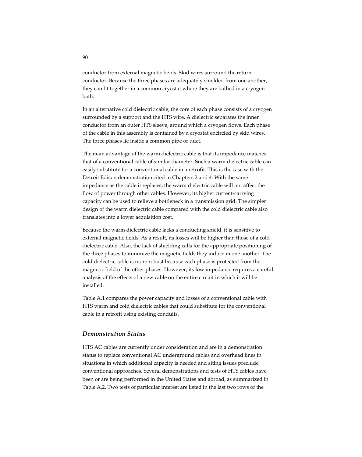conductor from external magnetic fields. Skid wires surround the return conductor. Because the three phases are adequately shielded from one another, they can fit together in a common cryostat where they are bathed in a cryogen bath.

In an alternative cold dielectric cable, the core of each phase consists of a cryogen surrounded by a support and the HTS wire. A dielectric separates the inner conductor from an outer HTS sleeve, around which a cryogen flows. Each phase of the cable in this assembly is contained by a cryostat encircled by skid wires. The three phases lie inside a common pipe or duct.

The main advantage of the warm dielectric cable is that its impedance matches that of a conventional cable of similar diameter. Such a warm dielectric cable can easily substitute for a conventional cable in a retrofit. This is the case with the Detroit Edison demonstration cited in Chapters 2 and 4. With the same impedance as the cable it replaces, the warm dielectric cable will not affect the flow of power through other cables. However, its higher current-carrying capacity can be used to relieve a bottleneck in a transmission grid. The simpler design of the warm dielectric cable compared with the cold dielectric cable also translates into a lower acquisition cost.

Because the warm dielectric cable lacks a conducting shield, it is sensitive to external magnetic fields. As a result, its losses will be higher than those of a cold dielectric cable. Also, the lack of shielding calls for the appropriate positioning of the three phases to minimize the magnetic fields they induce in one another. The cold dielectric cable is more robust because each phase is protected from the magnetic field of the other phases. However, its low impedance requires a careful analysis of the effects of a new cable on the entire circuit in which it will be installed.

Table A.1 compares the power capacity and losses of a conventional cable with HTS warm and cold dielectric cables that could substitute for the conventional cable in a retrofit using existing conduits.

## *Demonstration Status*

HTS AC cables are currently under consideration and are in a demonstration status to replace conventional AC underground cables and overhead lines in situations in which additional capacity is needed and siting issues preclude conventional approaches. Several demonstrations and tests of HTS cables have been or are being performed in the United States and abroad, as summarized in Table A.2. Two tests of particular interest are listed in the last two rows of the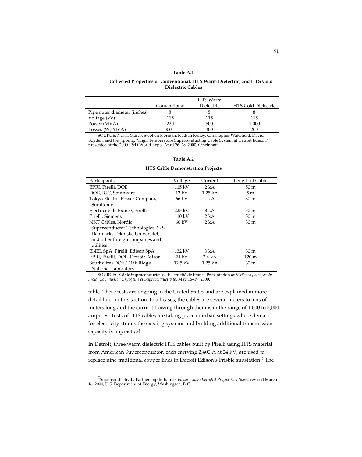#### **Table A.1**

### **Collected Properties of Conventional, HTS Warm Dielectric, and HTS Cold Dielectric Cables**

|                              |              | HTS Warm   |                            |
|------------------------------|--------------|------------|----------------------------|
|                              | Conventional | Dielectric | <b>HTS Cold Dielectric</b> |
| Pipe outer diameter (inches) |              |            |                            |
| Voltage (kV)                 | 115          | 115        | 115                        |
| Power (MVA)                  | 220          | 500        | 1,000                      |
| Losses $(W/MVA)$             | 300          | 300        | 200                        |

SOURCE: Nassi, Marco, Stephen Norman, Nathan Kelley, Christopher Wakefield, David Bogden, and Jon Jipping, "High Temperature Superconducting Cable System at Detroit Edison," presented at the 2000 T&D World Expo, April 26–28, 2000, Cincinnati.

### **Table A.2**

### **HTS Cable Demonstration Projects**

| Participants                       | Voltage          | Current | Length of Cable |
|------------------------------------|------------------|---------|-----------------|
| EPRI, Pirelli, DOE                 | $115 \text{ kV}$ | 2 kA    | 50 <sub>m</sub> |
| DOE, IGC, Southwire                | 12 kV            | 1.25 kA | 5 <sub>m</sub>  |
| Tokyo Electric Power Company,      | 66 kV            | 1 kA    | 30 <sub>m</sub> |
| Sumitomo                           |                  |         |                 |
| Electricité de France, Pirelli     | $225$ kV         | 3 kA    | 50 <sub>m</sub> |
| Pirelli, Siemens                   | 110 kV           | 2 kA    | 50 <sub>m</sub> |
| NKT Cables, Nordic                 | 60 kV            | 2 kA    | 30 <sub>m</sub> |
| Superconductor Technologies A/S,   |                  |         |                 |
| Danmarks Tekniske Universitet,     |                  |         |                 |
| and other foreign companies and    |                  |         |                 |
| utilities                          |                  |         |                 |
| ENEL SpA, Pirelli, Edison SpA      | 132 kV           | 3 kA    | 30 m            |
| EPRI, Pirelli, DOE, Detroit Edison | 24 kV            | 2.4 kA  | $120 \text{ m}$ |
| Southwire/DOE/ Oak Ridge           | $12.5$ kV        | 1.25 kA | 30 <sub>m</sub> |
| National Laboratory                |                  |         |                 |

SOURCE: "Câble Supraconducteur," Electricité de France Presentation at *Sixièmes Journées du Froid: Commission Cryogénie et Supraconductivité*, May 16–19, 2000.

table. These tests are ongoing in the United States and are explained in more detail later in this section. In all cases, the cables are several meters to tens of meters long and the current flowing through them is in the range of 1,000 to 3,000 amperes. Tests of HTS cables are taking place in urban settings where demand for electricity strains the existing systems and building additional transmission capacity is impractical.

In Detroit, three warm dielectric HTS cables built by Pirelli using HTS material from American Superconductor, each carrying 2,400 A at 24 kV, are used to replace nine traditional copper lines in Detroit Edison's Frisbie substation.2 The

 $\overline{\phantom{a}}$  , where the contract of the contract of  $\overline{\phantom{a}}$ 

<sup>2</sup>Superconductivity Partnership Initiative, *Power Cable (Retrofit) Project Fact Sheet*, revised March 16, 2000, U.S. Department of Energy, Washington, D.C.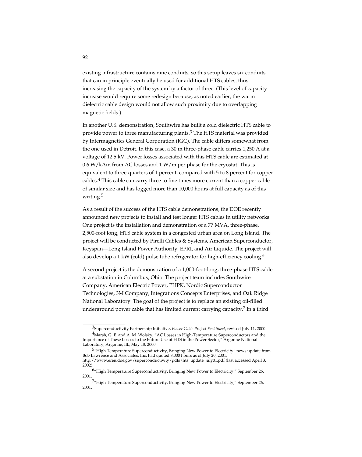existing infrastructure contains nine conduits, so this setup leaves six conduits that can in principle eventually be used for additional HTS cables, thus increasing the capacity of the system by a factor of three. (This level of capacity increase would require some redesign because, as noted earlier, the warm dielectric cable design would not allow such proximity due to overlapping magnetic fields.)

In another U.S. demonstration, Southwire has built a cold dielectric HTS cable to provide power to three manufacturing plants. $3$  The HTS material was provided by Intermagnetics General Corporation (IGC). The cable differs somewhat from the one used in Detroit. In this case, a 30 m three-phase cable carries 1,250 A at a voltage of 12.5 kV. Power losses associated with this HTS cable are estimated at 0.6 W/kAm from AC losses and 1 W/m per phase for the cryostat. This is equivalent to three-quarters of 1 percent, compared with 5 to 8 percent for copper cables.4 This cable can carry three to five times more current than a copper cable of similar size and has logged more than 10,000 hours at full capacity as of this writing.<sup>5</sup>

As a result of the success of the HTS cable demonstrations, the DOE recently announced new projects to install and test longer HTS cables in utility networks. One project is the installation and demonstration of a 77 MVA, three-phase, 2,500-foot long, HTS cable system in a congested urban area on Long Island. The project will be conducted by Pirelli Cables & Systems, American Superconductor, Keyspan—Long Island Power Authority, EPRI, and Air Liquide. The project will also develop a 1 kW (cold) pulse tube refrigerator for high-efficiency cooling.<sup>6</sup>

A second project is the demonstration of a 1,000-foot-long, three-phase HTS cable at a substation in Columbus, Ohio. The project team includes Southwire Company, American Electric Power, PHPK, Nordic Superconductor Technologies, 3M Company, Integrations Concepts Enterprises, and Oak Ridge National Laboratory. The goal of the project is to replace an existing oil-filled underground power cable that has limited current carrying capacity.<sup>7</sup> In a third

\_\_\_\_\_\_\_\_\_\_\_\_\_\_\_\_

<sup>3</sup>Superconductivity Partnership Initiative, *Power Cable Project Fact Sheet*, revised July 11, 2000.  $^4$ Marsh, G. E. and A. M. Wolsky, "AC Losses in High-Temperature Superconductors and the Importance of These Losses to the Future Use of HTS in the Power Sector," Argonne National Laboratory, Argonne, Ill., May 18, 2000.

<sup>5&</sup>quot;High Temperature Superconductivity, Bringing New Power to Electricity" news update from Bob Lawrence and Associates, Inc. had quoted 8,000 hours as of July 20, 2001,

http://www.eren.doe.gov/superconductivity/pdfs/hts\_update\_july01.pdf (last accessed April 3, 2002).

<sup>6&</sup>quot;High Temperature Superconductivity, Bringing New Power to Electricity," September 26, 2001.

<sup>7&</sup>quot;High Temperature Superconductivity, Bringing New Power to Electricity," September 26, 2001.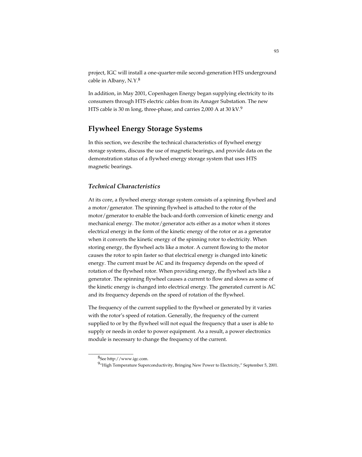project, IGC will install a one-quarter-mile second-generation HTS underground cable in Albany, N.Y.<sup>8</sup>

In addition, in May 2001, Copenhagen Energy began supplying electricity to its consumers through HTS electric cables from its Amager Substation. The new HTS cable is 30 m long, three-phase, and carries 2,000 A at 30 kV.<sup>9</sup>

# **Flywheel Energy Storage Systems**

In this section, we describe the technical characteristics of flywheel energy storage systems, discuss the use of magnetic bearings, and provide data on the demonstration status of a flywheel energy storage system that uses HTS magnetic bearings.

### *Technical Characteristics*

At its core, a flywheel energy storage system consists of a spinning flywheel and a motor/generator. The spinning flywheel is attached to the rotor of the motor/generator to enable the back-and-forth conversion of kinetic energy and mechanical energy. The motor/generator acts either as a motor when it stores electrical energy in the form of the kinetic energy of the rotor or as a generator when it converts the kinetic energy of the spinning rotor to electricity. When storing energy, the flywheel acts like a motor. A current flowing to the motor causes the rotor to spin faster so that electrical energy is changed into kinetic energy. The current must be AC and its frequency depends on the speed of rotation of the flywheel rotor. When providing energy, the flywheel acts like a generator. The spinning flywheel causes a current to flow and slows as some of the kinetic energy is changed into electrical energy. The generated current is AC and its frequency depends on the speed of rotation of the flywheel.

The frequency of the current supplied to the flywheel or generated by it varies with the rotor's speed of rotation. Generally, the frequency of the current supplied to or by the flywheel will not equal the frequency that a user is able to supply or needs in order to power equipment. As a result, a power electronics module is necessary to change the frequency of the current.

\_\_\_\_\_\_\_\_\_\_\_\_\_\_\_\_\_

<sup>8</sup>See http://www.igc.com.

<sup>&</sup>lt;sup>9</sup> High Temperature Superconductivity, Bringing New Power to Electricity," September 5, 2001.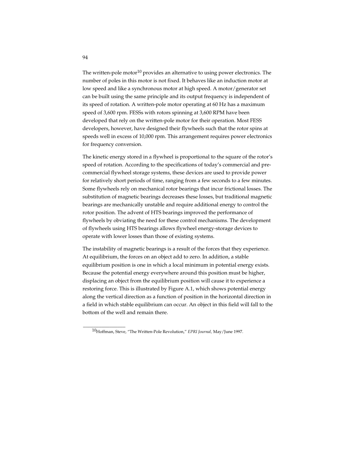The written-pole motor<sup>10</sup> provides an alternative to using power electronics. The number of poles in this motor is not fixed. It behaves like an induction motor at low speed and like a synchronous motor at high speed. A motor/generator set can be built using the same principle and its output frequency is independent of its speed of rotation. A written-pole motor operating at 60 Hz has a maximum speed of 3,600 rpm. FESSs with rotors spinning at 3,600 RPM have been developed that rely on the written-pole motor for their operation. Most FESS developers, however, have designed their flywheels such that the rotor spins at speeds well in excess of 10,000 rpm. This arrangement requires power electronics for frequency conversion.

The kinetic energy stored in a flywheel is proportional to the square of the rotor's speed of rotation. According to the specifications of today's commercial and precommercial flywheel storage systems, these devices are used to provide power for relatively short periods of time, ranging from a few seconds to a few minutes. Some flywheels rely on mechanical rotor bearings that incur frictional losses. The substitution of magnetic bearings decreases these losses, but traditional magnetic bearings are mechanically unstable and require additional energy to control the rotor position. The advent of HTS bearings improved the performance of flywheels by obviating the need for these control mechanisms. The development of flywheels using HTS bearings allows flywheel energy-storage devices to operate with lower losses than those of existing systems.

The instability of magnetic bearings is a result of the forces that they experience. At equilibrium, the forces on an object add to zero. In addition, a stable equilibrium position is one in which a local minimum in potential energy exists. Because the potential energy everywhere around this position must be higher, displacing an object from the equilibrium position will cause it to experience a restoring force. This is illustrated by Figure A.1, which shows potential energy along the vertical direction as a function of position in the horizontal direction in a field in which stable equilibrium can occur. An object in this field will fall to the bottom of the well and remain there.

\_\_\_\_\_\_\_\_\_\_\_\_\_\_\_\_

<sup>10</sup>Hoffman, Steve, "The Written-Pole Revolution," *EPRI Journal,* May/June 1997.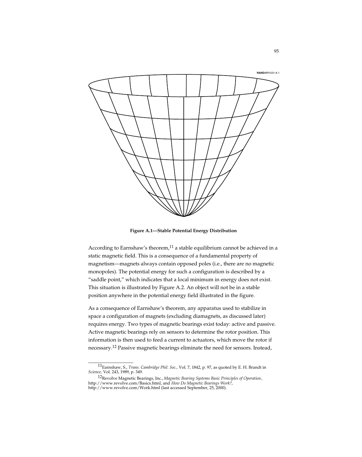

**Figure A.1—Stable Potential Energy Distribution**

According to Earnshaw's theorem,<sup>11</sup> a stable equilibrium cannot be achieved in a static magnetic field. This is a consequence of a fundamental property of magnetism—magnets always contain opposed poles (i.e., there are no magnetic monopoles). The potential energy for such a configuration is described by a "saddle point," which indicates that a local minimum in energy does not exist. This situation is illustrated by Figure A.2. An object will not be in a stable position anywhere in the potential energy field illustrated in the figure.

As a consequence of Earnshaw's theorem, any apparatus used to stabilize in space a configuration of magnets (excluding diamagnets, as discussed later) requires energy. Two types of magnetic bearings exist today: active and passive. Active magnetic bearings rely on sensors to determine the rotor position. This information is then used to feed a current to actuators, which move the rotor if necessary.12 Passive magnetic bearings eliminate the need for sensors. Instead,

 $\overline{\phantom{a}}$  , where the contract of the contract of  $\overline{\phantom{a}}$ 

<sup>11</sup>Earnshaw, S., *Trans. Cambridge Phil. Soc.,* Vol. 7, 1842, p. 97, as quoted by E. H. Brandt in *Science,* Vol. 243, 1989, p. 349.

<sup>12</sup>Revolve Magnetic Bearings, Inc., *Magnetic Bearing Systems Basic Principles of Operation*, http://www.revolve.com/Basics.html, and *How Do Magnetic Bearings Work?*, http://www.revolve.com/Work.html (last accessed September, 25, 2000).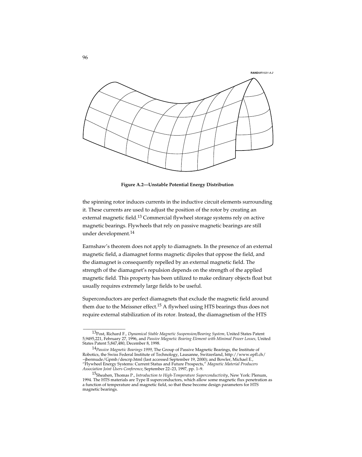

**Figure A.2—Unstable Potential Energy Distribution**

the spinning rotor induces currents in the inductive circuit elements surrounding it. These currents are used to adjust the position of the rotor by creating an external magnetic field.<sup>13</sup> Commercial flywheel storage systems rely on active magnetic bearings. Flywheels that rely on passive magnetic bearings are still under development.14

Earnshaw's theorem does not apply to diamagnets. In the presence of an external magnetic field, a diamagnet forms magnetic dipoles that oppose the field, and the diamagnet is consequently repelled by an external magnetic field. The strength of the diamagnet's repulsion depends on the strength of the applied magnetic field. This property has been utilized to make ordinary objects float but usually requires extremely large fields to be useful.

Superconductors are perfect diamagnets that exclude the magnetic field around them due to the Meissner effect.15 A flywheel using HTS bearings thus does not require external stabilization of its rotor. Instead, the diamagnetism of the HTS

\_\_\_\_\_\_\_\_\_\_\_\_\_\_\_\_

<sup>13</sup>Post, Richard F., *Dynamical Stable Magnetic Suspension/Bearing System,* United States Patent 5,9495,221, February 27, 1996, and *Passive Magnetic Bearing Element with Minimal Power Losses,* United States Patent 5,847,480, December 8, 1998.

<sup>14</sup>*Passive Magnetic Bearings 1999*, The Group of Passive Magnetic Bearings, the Institute of Robotics, the Swiss Federal Institute of Technology, Lausanne, Switzerland, http://www.epfl.ch/ ~jbermude/Gpmb/descrp.html (last accessed September 19, 2000); and Bowler, Michael E., "Flywheel Energy Systems: Current Status and Future Prospects," *Magnetic Material Producers Association Joint Users Conference*, September 22–23, 1997, pp. 1–9.

<sup>15</sup>Sheahen, Thomas P., *Introduction to High-Temperature Superconductivity*, New York: Plenum, 1994. The HTS materials are Type II superconductors, which allow some magnetic flux penetration as a function of temperature and magnetic field, so that these become design parameters for HTS magnetic bearings.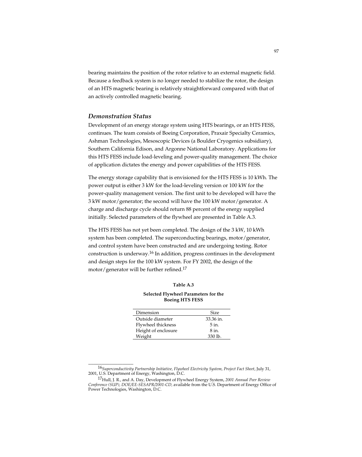bearing maintains the position of the rotor relative to an external magnetic field. Because a feedback system is no longer needed to stabilize the rotor, the design of an HTS magnetic bearing is relatively straightforward compared with that of an actively controlled magnetic bearing.

### *Demonstration Status*

\_\_\_\_\_\_\_\_\_\_\_\_\_\_\_\_\_

Development of an energy storage system using HTS bearings, or an HTS FESS, continues. The team consists of Boeing Corporation, Praxair Specialty Ceramics, Ashman Technologies, Mesoscopic Devices (a Boulder Cryogenics subsidiary), Southern California Edison, and Argonne National Laboratory. Applications for this HTS FESS include load-leveling and power-quality management. The choice of application dictates the energy and power capabilities of the HTS FESS.

The energy storage capability that is envisioned for the HTS FESS is 10 kWh. The power output is either 3 kW for the load-leveling version or 100 kW for the power-quality management version. The first unit to be developed will have the 3 kW motor/generator; the second will have the 100 kW motor/generator. A charge and discharge cycle should return 88 percent of the energy supplied initially. Selected parameters of the flywheel are presented in Table A.3.

The HTS FESS has not yet been completed. The design of the 3 kW, 10 kWh system has been completed. The superconducting bearings, motor/generator, and control system have been constructed and are undergoing testing. Rotor construction is underway.16 In addition, progress continues in the development and design steps for the 100 kW system. For FY 2002, the design of the motor/generator will be further refined.17

| Table A.3 |  |
|-----------|--|
|-----------|--|

### **Selected Flywheel Parameters for the Boeing HTS FESS**

| Dimension           | <b>Size</b> |
|---------------------|-------------|
| Outside diameter    | 33.36 in.   |
| Flywheel thickness  | $5$ in.     |
| Height of enclosure | 8 in.       |
| Weight              | $330$ lb.   |
|                     |             |

<sup>16</sup>*Superconductivity Partnership Initiative, Flywheel Electricity System, Project Fact Sheet*, July 31, 2001, U.S. Department of Energy, Washington, D.C.

<sup>17</sup>Hull, J. R., and A. Day, Development of Flywheel Energy System, *2001 Annual Peer Review Conference (SUP), DOE/EE-SESAPR/2001-CD,* available from the U.S. Department of Energy Office of Power Technologies, Washington, D.C.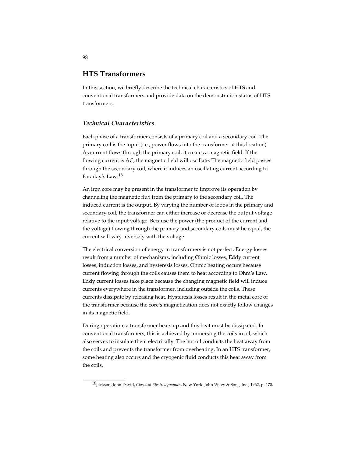# **HTS Transformers**

In this section, we briefly describe the technical characteristics of HTS and conventional transformers and provide data on the demonstration status of HTS transformers.

## *Technical Characteristics*

\_\_\_\_\_\_\_\_\_\_\_\_\_\_\_\_

Each phase of a transformer consists of a primary coil and a secondary coil. The primary coil is the input (i.e., power flows into the transformer at this location). As current flows through the primary coil, it creates a magnetic field. If the flowing current is AC, the magnetic field will oscillate. The magnetic field passes through the secondary coil, where it induces an oscillating current according to Faraday's Law.<sup>18</sup>

An iron core may be present in the transformer to improve its operation by channeling the magnetic flux from the primary to the secondary coil. The induced current is the output. By varying the number of loops in the primary and secondary coil, the transformer can either increase or decrease the output voltage relative to the input voltage. Because the power (the product of the current and the voltage) flowing through the primary and secondary coils must be equal, the current will vary inversely with the voltage.

The electrical conversion of energy in transformers is not perfect. Energy losses result from a number of mechanisms, including Ohmic losses, Eddy current losses, induction losses, and hysteresis losses. Ohmic heating occurs because current flowing through the coils causes them to heat according to Ohm's Law. Eddy current losses take place because the changing magnetic field will induce currents everywhere in the transformer, including outside the coils. These currents dissipate by releasing heat. Hysteresis losses result in the metal core of the transformer because the core's magnetization does not exactly follow changes in its magnetic field.

During operation, a transformer heats up and this heat must be dissipated. In conventional transformers, this is achieved by immersing the coils in oil, which also serves to insulate them electrically. The hot oil conducts the heat away from the coils and prevents the transformer from overheating. In an HTS transformer, some heating also occurs and the cryogenic fluid conducts this heat away from the coils.

98

<sup>18</sup>Jackson, John David, *Classical Electrodynamics*, New York: John Wiley & Sons, Inc., 1962, p. 170.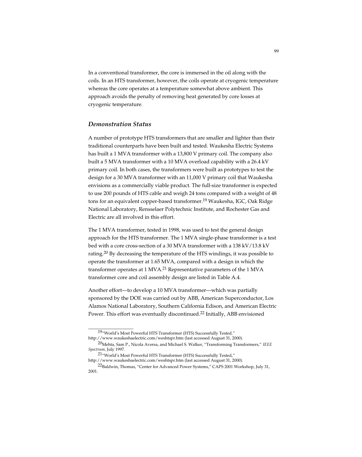In a conventional transformer, the core is immersed in the oil along with the coils. In an HTS transformer, however, the coils operate at cryogenic temperature whereas the core operates at a temperature somewhat above ambient. This approach avoids the penalty of removing heat generated by core losses at cryogenic temperature.

## *Demonstration Status*

 $\overline{\phantom{a}}$  , where the contract of the contract of  $\overline{\phantom{a}}$ 

A number of prototype HTS transformers that are smaller and lighter than their traditional counterparts have been built and tested. Waukesha Electric Systems has built a 1 MVA transformer with a 13,800 V primary coil. The company also built a 5 MVA transformer with a 10 MVA overload capability with a 26.4 kV primary coil. In both cases, the transformers were built as prototypes to test the design for a 30 MVA transformer with an 11,000 V primary coil that Waukesha envisions as a commercially viable product. The full-size transformer is expected to use 200 pounds of HTS cable and weigh 24 tons compared with a weight of 48 tons for an equivalent copper-based transformer.<sup>19</sup> Waukesha, IGC, Oak Ridge National Laboratory, Rensselaer Polytechnic Institute, and Rochester Gas and Electric are all involved in this effort.

The 1 MVA transformer, tested in 1998, was used to test the general design approach for the HTS transformer. The 1 MVA single-phase transformer is a test bed with a core cross-section of a 30 MVA transformer with a 138 kV/13.8 kV rating.<sup>20</sup> By decreasing the temperature of the HTS windings, it was possible to operate the transformer at 1.65 MVA, compared with a design in which the transformer operates at 1 MVA.21 Representative parameters of the 1 MVA transformer core and coil assembly design are listed in Table A.4.

Another effort—to develop a 10 MVA transformer—which was partially sponsored by the DOE was carried out by ABB, American Superconductor, Los Alamos National Laboratory, Southern California Edison, and American Electric Power. This effort was eventually discontinued.<sup>22</sup> Initially, ABB envisioned

<sup>19&</sup>quot;World's Most Powerful HTS Transformer (HTS) Successfully Tested*,*"

http://www.waukeshaelectric.com/weshtspr.htm (last accessed August 31, 2000).

<sup>20</sup>Mehta, Sam P., Nicola Aversa, and Michael S. Walker, "Transforming Transformers," *IEEE Spectrum,* July 1997.

<sup>21&</sup>quot;World's Most Powerful HTS Transformer (HTS) Successfully Tested," http://www.waukeshaelectric.com/weshtspr.htm (last accessed August 31, 2000).

<sup>&</sup>lt;sup>22</sup>Baldwin, Thomas, "Center for Advanced Power Systems," CAPS 2001 Workshop, July 31, 2001.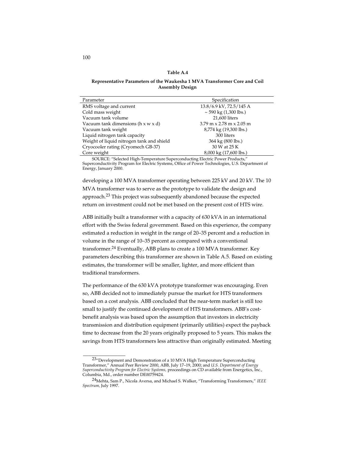### **Table A.4**

### **Representative Parameters of the Waukesha 1 MVA Transformer Core and Coil Assembly Design**

| Specification              |
|----------------------------|
| 13.8/6.9 kV, 72.5/145 A    |
| $\sim$ 590 kg (1,300 lbs.) |
| 21,600 liters              |
| 3.79 m x 2.78 m x 2.05 m   |
| 8,774 kg (19,300 lbs.)     |
| 300 liters                 |
| 364 kg (800 lbs.)          |
| 30 W at 25 K               |
| 8,000 kg (17,600 lbs.)     |
|                            |

SOURCE: "Selected High-Temperature Superconducting Electric Power Products," Superconductivity Program for Electric Systems, Office of Power Technologies, U.S. Department of Energy, January 2000.

developing a 100 MVA transformer operating between 225 kV and 20 kV. The 10 MVA transformer was to serve as the prototype to validate the design and approach.<sup>23</sup> This project was subsequently abandoned because the expected return on investment could not be met based on the present cost of HTS wire.

ABB initially built a transformer with a capacity of 630 kVA in an international effort with the Swiss federal government. Based on this experience, the company estimated a reduction in weight in the range of 20–35 percent and a reduction in volume in the range of 10–35 percent as compared with a conventional transformer.<sup>24</sup> Eventually, ABB plans to create a 100 MVA transformer. Key parameters describing this transformer are shown in Table A.5. Based on existing estimates, the transformer will be smaller, lighter, and more efficient than traditional transformers.

The performance of the 630 kVA prototype transformer was encouraging. Even so, ABB decided not to immediately pursue the market for HTS transformers based on a cost analysis. ABB concluded that the near-term market is still too small to justify the continued development of HTS transformers. ABB's costbenefit analysis was based upon the assumption that investors in electricity transmission and distribution equipment (primarily utilities) expect the payback time to decrease from the 20 years originally proposed to 5 years. This makes the savings from HTS transformers less attractive than originally estimated. Meeting

\_\_\_\_\_\_\_\_\_\_\_\_\_\_\_\_

 $^{23}$ "Development and Demonstration of a 10 MVA High Temperature Superconducting Transformer," Annual Peer Review 2000, ABB, July 17–19, 2000; and *U.S. Department of Energy Superconductivity Program for Electric Systems,* proceedings on CD available from Energetics, Inc., Columbia, Md., order number DE00759424.

<sup>24</sup>Mehta, Sam P., Nicola Aversa, and Michael S. Walker, "Transforming Transformers," *IEEE Spectrum,* July 1997.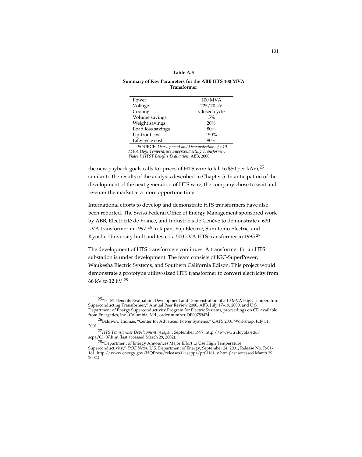#### **Table A.5**

### **Summary of Key Parameters for the ABB HTS 100 MVA Transformer**

| Power             | <b>100 MVA</b> |
|-------------------|----------------|
| Voltage           | 225/20 kV      |
| Cooling           | Closed cycle   |
| Volume savings    | 5%             |
| Weight savings    | 20%            |
| Load loss savings | 80%            |
| Up-front cost     | 150%           |
| Life-cycle cost   | 90%            |
|                   |                |

SOURCE: *Development and Demonstration of a 10 MVA High Temperature Superconducting Transformer; Phase I: HTST Benefits Evaluation,* ABB, 2000.

the new payback goals calls for prices of HTS wire to fall to \$50 per kAm,<sup>25</sup> similar to the results of the analysis described in Chapter 5. In anticipation of the development of the next generation of HTS wire, the company chose to wait and re-enter the market at a more opportune time.

International efforts to develop and demonstrate HTS transformers have also been reported. The Swiss Federal Office of Energy Management sponsored work by ABB, Electricité de France, and Industriels de Genève to demonstrate a 630 kVA transformer in 1997.26 In Japan, Fuji Electric, Sumitomo Electric, and Kyushu University built and tested a 500 kVA HTS transformer in 1995.<sup>27</sup>

The development of HTS transformers continues. A transformer for an HTS substation is under development. The team consists of IGC-SuperPower, Waukesha Electric Systems, and Southern California Edison. This project would demonstrate a prototype utility-sized HTS transformer to convert electricity from 66 kV to 12 kV.<sup>28</sup>

\_\_\_\_\_\_\_\_\_\_\_\_\_\_\_\_\_

<sup>&</sup>lt;sup>25</sup>"HTST Benefits Evaluation; Development and Demonstration of a 10 MVA High Temperature Superconducting Transformer," Annual Peer Review 2000, ABB, July 17-19, 2000; and U.S. Department of Energy Superconductivity Program for Electric Systems, proceedings on CD available from Energetics, Inc., Columbia, Md., order number DE00759424.

<sup>26</sup>Baldwin, Thomas, "Center for Advanced Power Systems," CAPS 2001 Workshop, July 31, 2001.

<sup>27</sup>*HTS Transformer Development in Japan*, September 1997, http://www.itri.loyola.edu/ scpa/03\_07.htm (last accessed March 29, 2002).

<sup>28&</sup>quot;Department of Energy Announces Major Effort to Use High Temperature Superconductivity," *DOE News,* U.S. Department of Energy, September 24, 2001, Release No. R-01- 161, http://www.energy.gov/HQPress/releases01/seppr/pr01161\_v.htm (last accessed March 29, 2002.)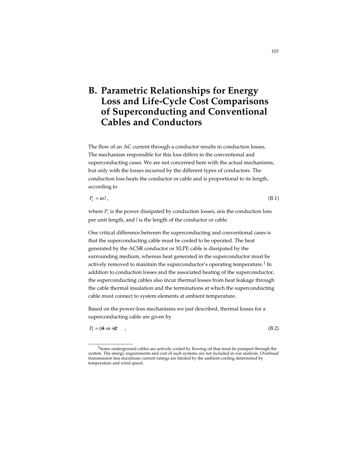# **B. Parametric Relationships for Energy Loss and Life-Cycle Cost Comparisons of Superconducting and Conventional Cables and Conductors**

The flow of an AC current through a conductor results in conduction losses. The mechanism responsible for this loss differs in the conventional and superconducting cases. We are not concerned here with the actual mechanisms, but only with the losses incurred by the different types of conductors. The conduction loss heats the conductor or cable and is proportional to its length, according to

$$
P_c = \omega l \tag{B.1}
$$

where  $P_c$  is the power dissipated by conduction losses,  $\omega$  is the conduction loss per unit length, and *l* is the length of the conductor or cable.

One critical difference between the superconducting and conventional cases is that the superconducting cable must be cooled to be operated. The heat generated by the ACSR conductor or XLPE cable is dissipated by the surrounding medium, whereas heat generated in the superconductor must be actively removed to maintain the superconductor's operating temperature.<sup>1</sup> In addition to conduction losses and the associated heating of the superconductor, the superconducting cables also incur thermal losses from heat leakage through the cable thermal insulation and the terminations at which the superconducting cable must connect to system elements at ambient temperature.

Based on the power-loss mechanisms we just described, thermal losses for a superconducting cable are given by

 $P_t = (\theta \omega + t \tau)$  (B.2)

\_\_\_\_\_\_\_\_\_\_\_\_\_\_\_\_\_

<sup>&</sup>lt;sup>1</sup>Some underground cables are actively cooled by flowing oil that must be pumped through the system. The energy requirements and cost of such systems are not included in our analysis. Overhead transmission line maximum current ratings are limited by the ambient cooling determined by temperature and wind speed.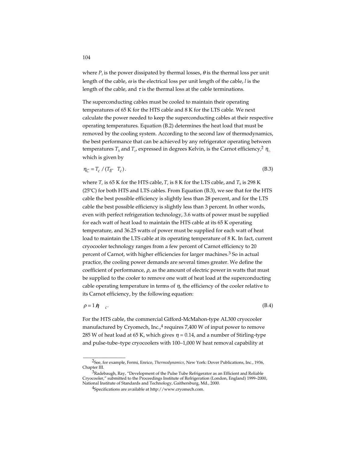where  $P_t$  is the power dissipated by thermal losses*,*  $\theta$  is the thermal loss per unit length of the cable, ω is the electrical loss per unit length of the cable, *l* is the length of the cable, and  $\tau$  is the thermal loss at the cable terminations.

The superconducting cables must be cooled to maintain their operating temperatures of 65 K for the HTS cable and 8 K for the LTS cable. We next calculate the power needed to keep the superconducting cables at their respective operating temperatures. Equation (B.2) determines the heat load that must be removed by the cooling system. According to the second law of thermodynamics, the best performance that can be achieved by any refrigerator operating between temperatures  $T_h$  and  $T_c$ , expressed in degrees Kelvin, is the Carnot efficiency,<sup>2</sup>  $\eta_c$ which is given by

$$
\eta_C = T_c / (T_{\overline{h}} - T_c). \tag{B.3}
$$

where  $T_c$  is 65 K for the HTS cable,  $T_c$  is 8 K for the LTS cable, and  $T_h$  is 298 K (25ºC) for both HTS and LTS cables. From Equation (B.3), we see that for the HTS cable the best possible efficiency is slightly less than 28 percent, and for the LTS cable the best possible efficiency is slightly less than 3 percent. In other words, even with perfect refrigeration technology, 3.6 watts of power must be supplied for each watt of heat load to maintain the HTS cable at its 65 K operating temperature, and 36.25 watts of power must be supplied for each watt of heat load to maintain the LTS cable at its operating temperature of 8 K. In fact, current cryocooler technology ranges from a few percent of Carnot efficiency to 20 percent of Carnot, with higher efficiencies for larger machines.<sup>3</sup> So in actual practice, the cooling power demands are several times greater. We define the coefficient of performance,  $\rho$ , as the amount of electric power in watts that must be supplied to the cooler to remove one watt of heat load at the superconducting cable operating temperature in terms of  $\eta$ , the efficiency of the cooler relative to its Carnot efficiency, by the following equation:

 $\rho = 1/\eta$  (B.4)

\_\_\_\_\_\_\_\_\_\_\_\_\_\_\_\_

For the HTS cable, the commercial Gifford-McMahon-type AL300 cryocooler manufactured by Cryomech, Inc., $4$  requires 7,400 W of input power to remove 285 W of heat load at 65 K, which gives  $\eta = 0.14$ , and a number of Stirling-type and pulse-tube–type cryocoolers with 100–1,000 W heat removal capability at

<sup>2</sup>See, for example, Fermi, Enrico, *Thermodynamics*, New York: Dover Publications, Inc., 1936, Chapter III.

 $3$ Radebaugh, Ray, "Development of the Pulse Tube Refrigerator as an Efficient and Reliable Cryocooler," submitted to the Proceedings Institute of Refrigeration (London, England) 1999–2000, National Institute of Standards and Technology, Gaithersburg, Md., 2000.

<sup>4</sup>Specifications are available at http://www.cryomech.com.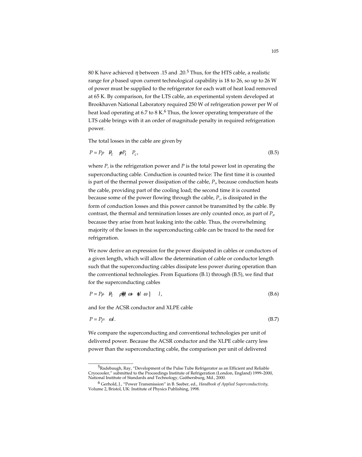80 K have achieved  $\eta$  between .15 and .20.<sup>5</sup> Thus, for the HTS cable, a realistic range for  $\rho$  based upon current technological capability is 18 to 26, so up to 26 W of power must be supplied to the refrigerator for each watt of heat load removed at 65 K. By comparison, for the LTS cable, an experimental system developed at Brookhaven National Laboratory required 250 W of refrigeration power per W of heat load operating at 6.7 to 8 K. $6$  Thus, the lower operating temperature of the LTS cable brings with it an order of magnitude penalty in required refrigeration power.

The total losses in the cable are given by

$$
P = P_{\tau} + P_{c} + P_{r} + P_{c}, \tag{B.5}
$$

where *Pr* is the refrigeration power and *P* is the total power lost in operating the superconducting cable. Conduction is counted twice: The first time it is counted is part of the thermal power dissipation of the cable*,*  $P_{t}$ *,* because conduction heats the cable, providing part of the cooling load; the second time it is counted because some of the power flowing through the cable,  $P_c$ , is dissipated in the form of conduction losses and this power cannot be transmitted by the cable. By contrast, the thermal and termination losses are only counted once, as part of  $P_\nu$ because they arise from heat leaking into the cable. Thus, the overwhelming majority of the losses in the superconducting cable can be traced to the need for refrigeration.

We now derive an expression for the power dissipated in cables or conductors of a given length, which will allow the determination of cable or conductor length such that the superconducting cables dissipate less power during operation than the conventional technologies. From Equations (B.1) through (B.5), we find that for the superconducting cables

 $P = P_r + P_c$  *p*(*e*)  $\omega$  *d*  $\omega$  *d l*, (B.6)

and for the ACSR conductor and XLPE cable

\_\_\_\_\_\_\_\_\_\_\_\_\_\_\_\_\_

$$
P = P_{\overline{C}} \quad \omega l. \tag{B.7}
$$

We compare the superconducting and conventional technologies per unit of delivered power. Because the ACSR conductor and the XLPE cable carry less power than the superconducting cable, the comparison per unit of delivered

<sup>&</sup>lt;sup>5</sup>Radebaugh, Ray, "Development of the Pulse Tube Refrigerator as an Efficient and Reliable Cryocooler," submitted to the Proceedings Institute of Refrigeration (London, England) 1999–2000, National Institute of Standards and Technology, Gaithersburg, Md., 2000.

<sup>6</sup> Gerhold, J., "Power Transmission" in B. Seeber, ed., *Handbook of Applied Superconductivity,* Volume 2, Bristol, UK: Institute of Physics Publishing, 1998.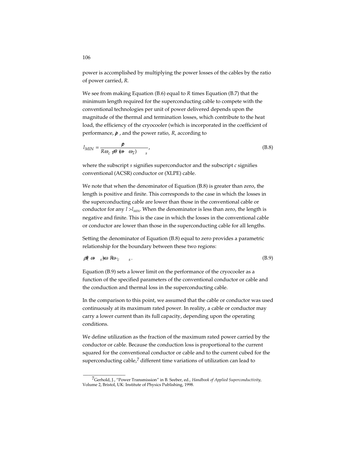power is accomplished by multiplying the power losses of the cables by the ratio of power carried, *R*.

We see from making Equation (B.6) equal to *R* times Equation (B.7) that the minimum length required for the superconducting cable to compete with the conventional technologies per unit of power delivered depends upon the magnitude of the thermal and termination losses, which contribute to the heat load, the efficiency of the cryocooler (which is incorporated in the coefficient of performance, ρ) , and the power ratio, *R*, according to

$$
l_{MIN} = \frac{\rho}{R\omega_c \rho \theta \ (\omega + \ \omega_{\overline{s}})}\tag{B.8}
$$

where the subscript *s* signifies superconductor and the subscript *c* signifies conventional (ACSR) conductor or (XLPE) cable.

We note that when the denominator of Equation (B.8) is greater than zero, the length is positive and finite. This corresponds to the case in which the losses in the superconducting cable are lower than those in the conventional cable or conductor for any  $l > l_{MIN}$ . When the denominator is less than zero, the length is negative and finite. This is the case in which the losses in the conventional cable or conductor are lower than those in the superconducting cable for all lengths.

Setting the denominator of Equation (B.8) equal to zero provides a parametric relationship for the boundary between these two regions:

 $\rho \theta \omega_{s} \star \omega R \omega_{c}$  *s*. (B.9)

Equation (B.9) sets a lower limit on the performance of the cryocooler as a function of the specified parameters of the conventional conductor or cable and the conduction and thermal loss in the superconducting cable.

In the comparison to this point, we assumed that the cable or conductor was used continuously at its maximum rated power. In reality, a cable or conductor may carry a lower current than its full capacity, depending upon the operating conditions.

We define utilization as the fraction of the maximum rated power carried by the conductor or cable. Because the conduction loss is proportional to the current squared for the conventional conductor or cable and to the current cubed for the superconducting cable, $7$  different time variations of utilization can lead to

\_\_\_\_\_\_\_\_\_\_\_\_\_\_\_\_

106

<sup>7</sup>Gerhold, J., "Power Transmission" in B. Seeber, ed., *Handbook of Applied Superconductivity,* Volume 2, Bristol, UK: Institute of Physics Publishing, 1998.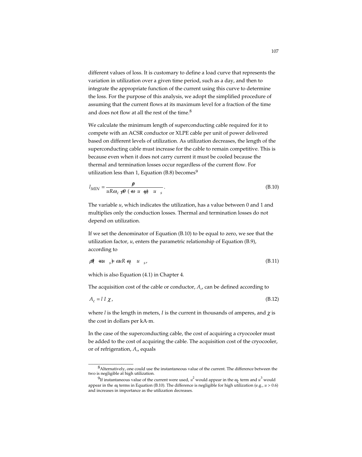different values of loss. It is customary to define a load curve that represents the variation in utilization over a given time period, such as a day, and then to integrate the appropriate function of the current using this curve to determine the loss. For the purpose of this analysis, we adopt the simplified procedure of assuming that the current flows at its maximum level for a fraction of the time and does not flow at all the rest of the time.<sup>8</sup>

We calculate the minimum length of superconducting cable required for it to compete with an ACSR conductor or XLPE cable per unit of power delivered based on different levels of utilization. As utilization decreases, the length of the superconducting cable must increase for the cable to remain competitive. This is because even when it does not carry current it must be cooled because the thermal and termination losses occur regardless of the current flow. For utilization less than 1, Equation (B.8) becomes<sup>9</sup>

$$
l_{MIN} = \frac{p}{uR\omega_c \rho \theta \ (\omega u \ \omega) \ u \ s}.
$$
 (B.10)

The variable *u*, which indicates the utilization, has a value between 0 and 1 and multiplies only the conduction losses. Thermal and termination losses do not depend on utilization.

If we set the denominator of Equation (B.10) to be equal to zero, we see that the utilization factor, *u*, enters the parametric relationship of Equation (B.9), according to

$$
\rho \theta \quad \text{for} \quad s \neq \alpha \alpha R \quad \alpha \quad s \tag{B.11}
$$

which is also Equation (4.1) in Chapter 4.

\_\_\_\_\_\_\_\_\_\_\_\_\_\_\_\_\_

The acquisition cost of the cable or conductor,  $A_{\alpha}$  can be defined according to

 $A_c = l I \chi$ , (B.12)

where  $l$  is the length in meters,  $I$  is the current in thousands of amperes, and  $\chi$  is the cost in dollars per kA·m.

In the case of the superconducting cable, the cost of acquiring a cryocooler must be added to the cost of acquiring the cable. The acquisition cost of the cryocooler, or of refrigeration, *Ar*, equals

 $8$ Alternatively, one could use the instantaneous value of the current. The difference between the two is negligible at high utilization.

<sup>&</sup>lt;sup>9</sup>If instantaneous value of the current were used,  $u^2$  would appear in the  $\omega_c$  term and  $u^3$  would appear in the <sup>ω</sup>*s* terms in Equation (B.10). The difference is negligible for high utilization (e.g., *u* > 0.6) and increases in importance as the utilization decreases.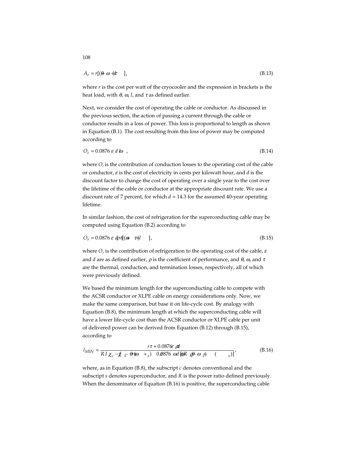$$
A_r = r[(\theta \omega + \theta \omega + \theta \omega)]
$$
\n(B.13)

where *r* is the cost per watt of the cryocooler and the expression in brackets is the heat load, with  $\theta$ ,  $\omega$ , *l*, and  $\tau$  as defined earlier.

Next, we consider the cost of operating the cable or conductor. As discussed in the previous section, the action of passing a current through the cable or conductor results in a loss of power. This loss is proportional to length as shown in Equation (B.1). The cost resulting from this loss of power may be computed according to

 $O_c = 0.0876 \varepsilon \, d \, k \nu$ , (B.14)

where  $O<sub>c</sub>$  is the contribution of conduction losses to the operating cost of the cable or conductor, ε is the cost of electricity in cents per kilowatt hour, and *d* is the discount factor to change the cost of operating over a single year to the cost over the lifetime of the cable or conductor at the appropriate discount rate. We use a discount rate of 7 percent, for which *d* = 14.3 for the assumed 40-year operating lifetime.

In similar fashion, the cost of refrigeration for the superconducting cable may be computed using Equation (B.2) according to

$$
O_r = 0.0876 \varepsilon \, d\rho \, \theta \, (\omega \, \tau) \, l \qquad , \tag{B.15}
$$

where  $O_r$  is the contribution of refrigeration to the operating cost of the cable,  $\varepsilon$ and *d* are as defined earlier,  $\rho$  is the coefficient of performance, and  $\theta$ ,  $\omega$ , and  $\tau$ are the thermal, conduction, and termination losses, respectively, all of which were previously defined.

We based the minimum length for the superconducting cable to compete with the ACSR conductor or XLPE cable on energy considerations only. Now, we make the same comparison, but base it on life-cycle cost. By analogy with Equation (B.8), the minimum length at which the superconducting cable will have a lower life-cycle cost than the ACSR conductor or XLPE cable per unit of delivered power can be derived from Equation (B.12) through (B.15), according to

$$
l_{MIN} = \frac{r\tau + 0.087\epsilon \rho d}{R L \chi_c - \chi \frac{\tau}{s} \theta \text{ (60 + s)} 0.8876 \text{ od } [\text{ (gR } \rho \text{ to } s)]'}
$$
(B.16)

where, as in Equation (B.8), the subscript *c* denotes conventional and the subscript *s* denotes superconductor, and *R* is the power ratio defined previously. When the denominator of Equation (B.16) is positive, the superconducting cable

108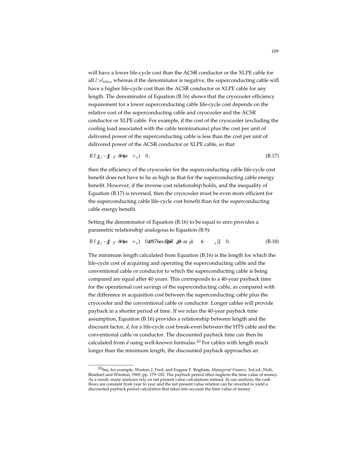will have a lower life-cycle cost than the ACSR conductor or the XLPE cable for all  $l > l<sub>MIN</sub>$ , whereas if the denominator is negative, the superconducting cable will have a higher life-cycle cost than the ACSR conductor or XLPE cable for any length. The denominator of Equation (B.16) shows that the cryocooler efficiency requirement for a lower superconducting cable life-cycle cost depends on the relative cost of the superconducting cable and cryocooler and the ACSR conductor or XLPE cable. For example, if the cost of the cryocooler (excluding the cooling load associated with the cable terminations) plus the cost per unit of delivered power of the superconducting cable is less than the cost per unit of delivered power of the ACSR conductor or XLPE cable, so that

 $R I \chi_c - \chi = \sigma (\omega > s) = 0,$  (B.17)

then the efficiency of the cryocooler for the superconducting cable life-cycle cost benefit does not have to be as high as that for the superconducting cable energy benefit. However, if the inverse cost relationship holds, and the inequality of Equation (B.17) is reversed, then the cryocooler must be even more efficient for the superconducting cable life-cycle cost benefit than for the superconducting cable energy benefit.

Setting the denominator of Equation (B.16) to be equal to zero provides a parametric relationship analogous to Equation (B.9):

 $R I \chi_c - \chi = \partial \phi \omega + s$  0.0876 $\omega d[\phi R \rho \omega + \phi + \phi] = \int_0^{\pi} (B.18)$ 

The minimum length calculated from Equation (B.16) is the length for which the life-cycle cost of acquiring and operating the superconducting cable and the conventional cable or conductor to which the superconducting cable is being compared are equal after 40 years. This corresponds to a 40-year payback time for the operational cost savings of the superconducting cable, as compared with the difference in acquisition cost between the superconducting cable plus the cryocooler and the conventional cable or conductor. Longer cables will provide payback in a shorter period of time. If we relax the 40-year payback time assumption, Equation (B.16) provides a relationship between length and the discount factor, *d*, for a life-cycle cost break-even between the HTS cable and the conventional cable or conductor. The discounted payback time can then be calculated from *d* using well-known formulas.10 For cables with length much longer than the minimum length, the discounted payback approaches an

 $\overline{\phantom{a}}$  , where the contract of the contract of  $\overline{\phantom{a}}$ 

<sup>10</sup>See, for example, Weston, J. Fred, and Eugene F. Brigham, *Managerial Finance*, 3rd ed., Holt, Rinehart and Winston, 1969, pp. 179–182. The payback period often neglects the time value of money. As a result, many analyses rely on net present value calculations instead. In our analysis, the cash flows are constant from year to year and the net present value relation can be inverted to yield a discounted payback period calculation that takes into account the time value of money.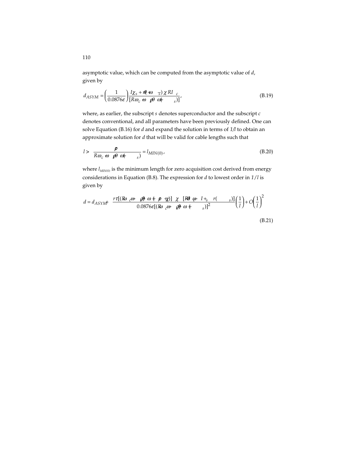asymptotic value, which can be computed from the asymptotic value of *d*, given by

$$
d_{ASYM} = \left(\frac{1}{0.0876\epsilon}\right) \frac{I\chi_s + i\theta \text{ to } \frac{1}{\epsilon}\chi R I_c}{[R\omega_c \text{ to } \frac{1}{\epsilon}\theta \text{ of } \frac{1}{\epsilon}\chi]'}.
$$
(B.19)

where, as earlier, the subscript *s* denotes superconductor and the subscript *c* denotes conventional, and all parameters have been previously defined. One can solve Equation (B.16) for *d* and expand the solution in terms of *1/l* to obtain an approximate solution for *d* that will be valid for cable lengths such that

$$
l > \frac{p}{R\omega_c \omega_p \omega + \omega_c} = l_{MIN(0)},
$$
 (B.20)

where  $l_{MIN(0)}$  is the minimum length for zero acquisition cost derived from energy considerations in Equation (B.8). The expression for *d* to lowest order in *1*/*l* is given by

$$
d = d_{ASYM} + \frac{r\tau[(R\omega_c\omega - \rho\theta_c\omega + \rho + \chi)] \chi [R\theta \omega + I_{s}r(\omega_s)]}{0.0876\epsilon[(R\omega_c\omega - \rho\theta_c\omega + \chi_s)]^2} \left(\frac{1}{l}\right) + O\left(\frac{1}{l}\right)^2
$$
\n(B.21)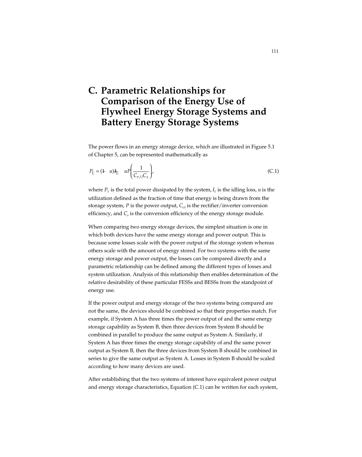# **C. Parametric Relationships for Comparison of the Energy Use of Flywheel Energy Storage Systems and Battery Energy Storage Systems**

The power flows in an energy storage device, which are illustrated in Figure 5.1 of Chapter 5, can be represented mathematically as

$$
P_L = (1 \quad u) I_L \quad u P \left( \frac{1}{C_{r/i} C_s} \right), \tag{C.1}
$$

where  $P_L$  is the total power dissipated by the system,  $I_L$  is the idling loss,  $u$  is the utilization defined as the fraction of time that energy is being drawn from the storage system, *P* is the power output, *C*<sub>*r/i*</sub> is the rectifier/inverter conversion efficiency, and *C<sub>s</sub>* is the conversion efficiency of the energy storage module.

When comparing two energy storage devices, the simplest situation is one in which both devices have the same energy storage and power output. This is because some losses scale with the power output of the storage system whereas others scale with the amount of energy stored. For two systems with the same energy storage and power output, the losses can be compared directly and a parametric relationship can be defined among the different types of losses and system utilization. Analysis of this relationship then enables determination of the relative desirability of these particular FESSs and BESSs from the standpoint of energy use.

If the power output and energy storage of the two systems being compared are not the same, the devices should be combined so that their properties match. For example, if System A has three times the power output of and the same energy storage capability as System B, then three devices from System B should be combined in parallel to produce the same output as System A. Similarly, if System A has three times the energy storage capability of and the same power output as System B, then the three devices from System B should be combined in series to give the same output as System A. Losses in System B should be scaled according to how many devices are used.

After establishing that the two systems of interest have equivalent power output and energy storage characteristics, Equation (C.1) can be written for each system,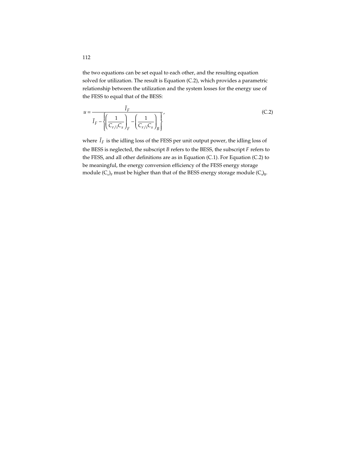the two equations can be set equal to each other, and the resulting equation solved for utilization. The result is Equation (C.2), which provides a parametric relationship between the utilization and the system losses for the energy use of the FESS to equal that of the BESS:

$$
u = \frac{\overline{I}_F}{\overline{I}_F - \left\{ \left( \frac{1}{C_{r/i}C_s} \right)_F - \left( \frac{1}{C_{r/i}C_s} \right)_B \right\}},
$$
(C.2)

where  $I_F$  is the idling loss of the FESS per unit output power, the idling loss of the BESS is neglected, the subscript *B* refers to the BESS, the subscript *F* refers to the FESS, and all other definitions are as in Equation (C.1). For Equation (C.2) to be meaningful, the energy conversion efficiency of the FESS energy storage module  $(\mathsf{C}_{\mathrm{s}})_{\mathrm{F}}$  must be higher than that of the BESS energy storage module  $(\mathsf{C}_{\mathrm{s}})_{\mathrm{B}}$ .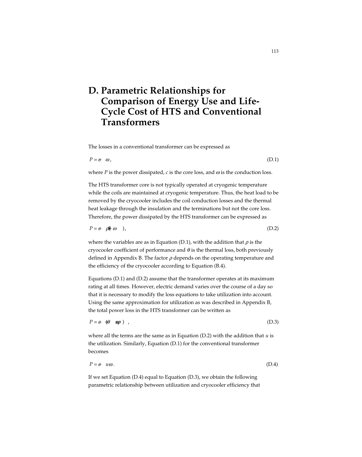# **D. Parametric Relationships for Comparison of Energy Use and Life-Cycle Cost of HTS and Conventional Transformers**

The losses in a conventional transformer can be expressed as

 $P = \theta \omega$ ,  $P = \mathbf{e} \cdot \mathbf{\omega}$ , (D.1)

where  $P$  is the power dissipated,  $c$  is the core loss, and  $\omega$  is the conduction loss.

The HTS transformer core is not typically operated at cryogenic temperature while the coils are maintained at cryogenic temperature. Thus, the heat load to be removed by the cryocooler includes the coil conduction losses and the thermal heat leakage through the insulation and the terminations but not the core loss. Therefore, the power dissipated by the HTS transformer can be expressed as

$$
P = \mathbf{e} \quad \rho \mathbf{e} \quad \omega \quad ), \tag{D.2}
$$

where the variables are as in Equation (D.1), with the addition that  $\rho$  is the cryocooler coefficient of performance and  $\theta$  is the thermal loss, both previously defined in Appendix B. The factor  $\rho$  depends on the operating temperature and the efficiency of the cryocooler according to Equation (B.4).

Equations (D.1) and (D.2) assume that the transformer operates at its maximum rating at all times. However, electric demand varies over the course of a day so that it is necessary to modify the loss equations to take utilization into account. Using the same approximation for utilization as was described in Appendix B, the total power loss in the HTS transformer can be written as

$$
P = \mathbf{e} + \mathbf{e} \mathbf{u} \mathbf{p} \tag{D.3}
$$

where all the terms are the same as in Equation (D.2) with the addition that *u* is the utilization. Similarly, Equation (D.1) for the conventional transformer becomes

$$
P = \mathbf{A} \quad u\omega. \tag{D.4}
$$

If we set Equation (D.4) equal to Equation (D.3), we obtain the following parametric relationship between utilization and cryocooler efficiency that